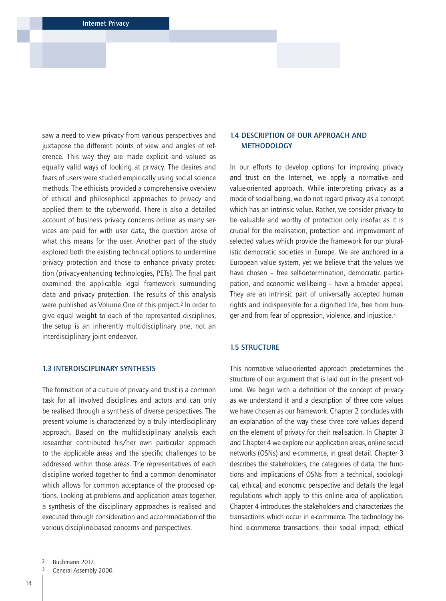saw a need to view privacy from various perspectives and juxtapose the different points of view and angles of reference. This way they are made explicit and valued as equally valid ways of looking at privacy. The desires and fears of users were studied empirically using social science methods. The ethicists provided a comprehensive overview of ethical and philosophical approaches to privacy and applied them to the cyberworld. There is also a detailed account of business privacy concerns online: as many services are paid for with user data, the question arose of what this means for the user. Another part of the study explored both the existing technical options to undermine privacy protection and those to enhance privacy protection (privacy-enhancing technologies, PETs). The final part examined the applicable legal framework surrounding data and privacy protection. The results of this analysis were published as Volume One of this project.2 In order to give equal weight to each of the represented disciplines, the setup is an inherently multidisciplinary one, not an interdisciplinary joint endeavor.

# 1.3 INTERDISCIPLINARY SYNTHESIS

The formation of a culture of privacy and trust is a common task for all involved disciplines and actors and can only be realised through a synthesis of diverse perspectives. The present volume is characterized by a truly interdisciplinary approach. Based on the multidisciplinary analysis each researcher contributed his/her own particular approach to the applicable areas and the specific challenges to be addressed within those areas. The representatives of each discipline worked together to find a common denominator which allows for common acceptance of the proposed options. Looking at problems and application areas together, a synthesis of the disciplinary approaches is realised and executed through consideration and accommodation of the various discipline-based concerns and perspectives.

# 1.4 DESCRIPTION OF OUR APPROACH AND **METHODOLOGY**

In our efforts to develop options for improving privacy and trust on the Internet, we apply a normative and value-oriented approach. While interpreting privacy as a mode of social being, we do not regard privacy as a concept which has an intrinsic value. Rather, we consider privacy to be valuable and worthy of protection only insofar as it is crucial for the realisation, protection and improvement of selected values which provide the framework for our pluralistic democratic societies in Europe. We are anchored in a European value system, yet we believe that the values we have chosen – free self-determination, democratic participation, and economic well-being – have a broader appeal. They are an intrinsic part of universally accepted human rights and indispensible for a dignified life, free from hunger and from fear of oppression, violence, and injustice.3

# 1.5 STRUCTURE

This normative value-oriented approach predetermines the structure of our argument that is laid out in the present volume. We begin with a definition of the concept of privacy as we understand it and a description of three core values we have chosen as our framework. Chapter 2 concludes with an explanation of the way these three core values depend on the element of privacy for their realisation. In Chapter 3 and Chapter 4 we explore our application areas, online social networks (OSNs) and e-commerce, in great detail. Chapter 3 describes the stakeholders, the categories of data, the functions and implications of OSNs from a technical, sociological, ethical, and economic perspective and details the legal regulations which apply to this online area of application. Chapter 4 introduces the stakeholders and characterizes the transactions which occur in e-commerce. The technology behind e-commerce transactions, their social impact, ethical

<sup>2</sup> Buchmann 2012.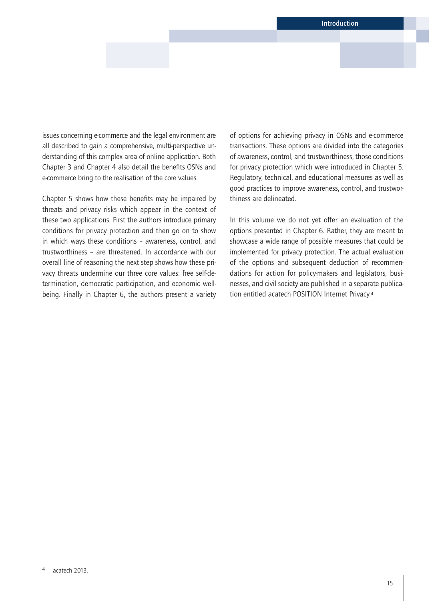issues concerning e-commerce and the legal environment are all described to gain a comprehensive, multi-perspective understanding of this complex area of online application. Both Chapter 3 and Chapter 4 also detail the benefits OSNs and e-commerce bring to the realisation of the core values.

Chapter 5 shows how these benefits may be impaired by threats and privacy risks which appear in the context of these two applications. First the authors introduce primary conditions for privacy protection and then go on to show in which ways these conditions – awareness, control, and trustworthiness – are threatened. In accordance with our overall line of reasoning the next step shows how these privacy threats undermine our three core values: free self-determination, democratic participation, and economic wellbeing. Finally in Chapter 6, the authors present a variety of options for achieving privacy in OSNs and e-commerce transactions. These options are divided into the categories of awareness, control, and trustworthiness, those conditions for privacy protection which were introduced in Chapter 5. Regulatory, technical, and educational measures as well as good practices to improve awareness, control, and trustworthiness are delineated.

In this volume we do not yet offer an evaluation of the options presented in Chapter 6. Rather, they are meant to showcase a wide range of possible measures that could be implemented for privacy protection. The actual evaluation of the options and subsequent deduction of recommendations for action for policy-makers and legislators, businesses, and civil society are published in a separate publication entitled acatech POSITION Internet Privacy.4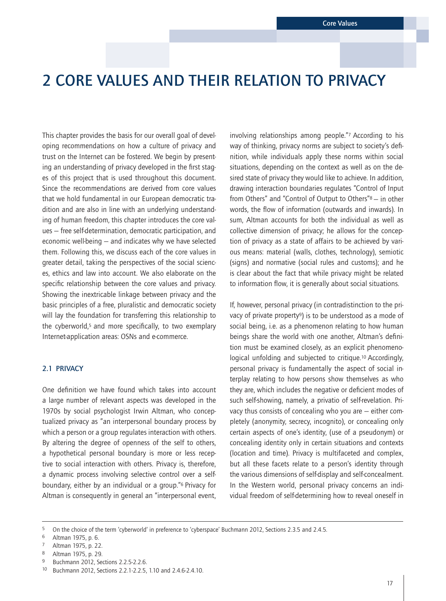# 2 CORE VALUES AND THEIR RELATION TO PRIVACY

This chapter provides the basis for our overall goal of developing recommendations on how a culture of privacy and trust on the Internet can be fostered. We begin by presenting an understanding of privacy developed in the first stages of this project that is used throughout this document. Since the recommendations are derived from core values that we hold fundamental in our European democratic tradition and are also in line with an underlying understanding of human freedom, this chapter introduces the core values — free self-determination, democratic participation, and economic well-being — and indicates why we have selected them. Following this, we discuss each of the core values in greater detail, taking the perspectives of the social sciences, ethics and law into account. We also elaborate on the specific relationship between the core values and privacy. Showing the inextricable linkage between privacy and the basic principles of a free, pluralistic and democratic society will lay the foundation for transferring this relationship to the cyberworld,5 and more specifically, to two exemplary Internet-application areas: OSNs and e-commerce.

# 2.1 PRIVACY

One definition we have found which takes into account a large number of relevant aspects was developed in the 1970s by social psychologist Irwin Altman, who conceptualized privacy as "an interpersonal boundary process by which a person or a group regulates interaction with others. By altering the degree of openness of the self to others, a hypothetical personal boundary is more or less receptive to social interaction with others. Privacy is, therefore, a dynamic process involving selective control over a selfboundary, either by an individual or a group."6 Privacy for Altman is consequently in general an "interpersonal event,

involving relationships among people."7 According to his way of thinking, privacy norms are subject to society's definition, while individuals apply these norms within social situations, depending on the context as well as on the desired state of privacy they would like to achieve. In addition, drawing interaction boundaries regulates "Control of Input from Others" and "Control of Output to Others"8 — in other words, the flow of information (outwards and inwards). In sum, Altman accounts for both the individual as well as collective dimension of privacy; he allows for the conception of privacy as a state of affairs to be achieved by various means: material (walls, clothes, technology), semiotic (signs) and normative (social rules and customs); and he is clear about the fact that while privacy might be related to information flow, it is generally about social situations.

If, however, personal privacy (in contradistinction to the privacy of private property9) is to be understood as a mode of social being, i.e. as a phenomenon relating to how human beings share the world with one another, Altman's definition must be examined closely, as an explicit phenomenological unfolding and subjected to critique.10 Accordingly, personal privacy is fundamentally the aspect of social interplay relating to how persons show themselves as who they are, which includes the negative or deficient modes of such self-showing, namely, a privatio of self-revelation. Privacy thus consists of concealing who you are — either completely (anonymity, secrecy, incognito), or concealing only certain aspects of one's identity, (use of a pseudonym) or concealing identity only in certain situations and contexts (location and time). Privacy is multifaceted and complex, but all these facets relate to a person's identity through the various dimensions of self-display and self-concealment. In the Western world, personal privacy concerns an individual freedom of self-determining how to reveal oneself in

<sup>5</sup> On the choice of the term 'cyberworld' in preference to 'cyberspace' Buchmann 2012, Sections 2.3.5 and 2.4.5.

<sup>6</sup> Altman 1975, p. 6.

Altman 1975, p. 22.

<sup>8</sup> Altman 1975, p. 29.

<sup>9</sup> Buchmann 2012, Sections 2.2.5-2.2.6.

<sup>10</sup> Buchmann 2012, Sections 2.2.1-2.2.5, 1.10 and 2.4.6-2.4.10.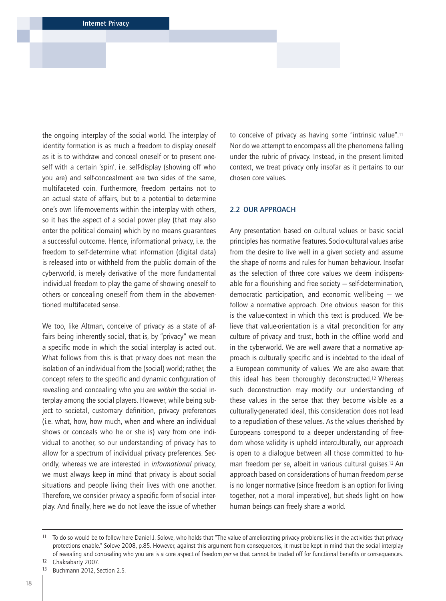the ongoing interplay of the social world. The interplay of identity formation is as much a freedom to display oneself as it is to withdraw and conceal oneself or to present oneself with a certain 'spin', i.e. self-display (showing off who you are) and self-concealment are two sides of the same, multifaceted coin. Furthermore, freedom pertains not to an actual state of affairs, but to a potential to determine one's own life-movements within the interplay with others, so it has the aspect of a social power play (that may also enter the political domain) which by no means guarantees a successful outcome. Hence, informational privacy, i.e. the freedom to self-determine what information (digital data) is released into or withheld from the public domain of the cyberworld, is merely derivative of the more fundamental individual freedom to play the game of showing oneself to others or concealing oneself from them in the abovementioned multifaceted sense.

We too, like Altman, conceive of privacy as a state of affairs being inherently social, that is, by "privacy" we mean a specific mode in which the social interplay is acted out. What follows from this is that privacy does not mean the isolation of an individual from the (social) world; rather, the concept refers to the specific and dynamic configuration of revealing and concealing who you are *within* the social interplay among the social players. However, while being subject to societal, customary definition, privacy preferences (i.e. what, how, how much, when and where an individual shows or conceals who he or she is) vary from one individual to another, so our understanding of privacy has to allow for a spectrum of individual privacy preferences. Secondly, whereas we are interested in *informational* privacy, we must always keep in mind that privacy is about social situations and people living their lives with one another. Therefore, we consider privacy a specific form of social interplay. And finally, here we do not leave the issue of whether

to conceive of privacy as having some "intrinsic value".11 Nor do we attempt to encompass all the phenomena falling under the rubric of privacy. Instead, in the present limited context, we treat privacy only insofar as it pertains to our chosen core values.

# 2.2 OUR APPROACH

Any presentation based on cultural values or basic social principles has normative features. Socio-cultural values arise from the desire to live well in a given society and assume the shape of norms and rules for human behaviour. Insofar as the selection of three core values we deem indispensable for a flourishing and free society — self-determination, democratic participation, and economic well-being — we follow a normative approach. One obvious reason for this is the value-context in which this text is produced. We believe that value-orientation is a vital precondition for any culture of privacy and trust, both in the offline world and in the cyberworld. We are well aware that a normative approach is culturally specific and is indebted to the ideal of a European community of values. We are also aware that this ideal has been thoroughly deconstructed.12 Whereas such deconstruction may modify our understanding of these values in the sense that they become visible as a culturally-generated ideal, this consideration does not lead to a repudiation of these values. As the values cherished by Europeans correspond to a deeper understanding of freedom whose validity is upheld interculturally, our approach is open to a dialogue between all those committed to human freedom per se, albeit in various cultural guises.13 An approach based on considerations of human freedom *per* se is no longer normative (since freedom is an option for living together, not a moral imperative), but sheds light on how human beings can freely share a world.

<sup>&</sup>lt;sup>11</sup> To do so would be to follow here Daniel J. Solove, who holds that "The value of ameliorating privacy problems lies in the activities that privacy protections enable." Solove 2008, p.85. However, against this argument from consequences, it must be kept in mind that the social interplay of revealing and concealing who you are is a core aspect of freedom *per* se that cannot be traded off for functional benefits or consequences. 12 Chakrabarty 2007.

<sup>13</sup> Buchmann 2012, Section 2.5.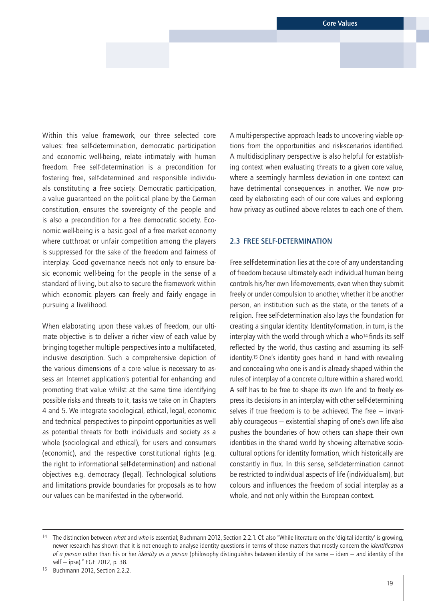Within this value framework, our three selected core values: free self-determination, democratic participation and economic well-being, relate intimately with human freedom. Free self-determination is a precondition for fostering free, self-determined and responsible individuals constituting a free society. Democratic participation, a value guaranteed on the political plane by the German constitution, ensures the sovereignty of the people and is also a precondition for a free democratic society. Economic well-being is a basic goal of a free market economy where cutthroat or unfair competition among the players is suppressed for the sake of the freedom and fairness of interplay. Good governance needs not only to ensure basic economic well-being for the people in the sense of a standard of living, but also to secure the framework within which economic players can freely and fairly engage in pursuing a livelihood.

When elaborating upon these values of freedom, our ultimate objective is to deliver a richer view of each value by bringing together multiple perspectives into a multifaceted, inclusive description. Such a comprehensive depiction of the various dimensions of a core value is necessary to assess an Internet application's potential for enhancing and promoting that value whilst at the same time identifying possible risks and threats to it, tasks we take on in Chapters 4 and 5. We integrate sociological, ethical, legal, economic and technical perspectives to pinpoint opportunities as well as potential threats for both individuals and society as a whole (sociological and ethical), for users and consumers (economic), and the respective constitutional rights (e.g. the right to informational self-determination) and national objectives e.g. democracy (legal). Technological solutions and limitations provide boundaries for proposals as to how our values can be manifested in the cyberworld.

A multi-perspective approach leads to uncovering viable options from the opportunities and risk-scenarios identified. A multidisciplinary perspective is also helpful for establishing context when evaluating threats to a given core value, where a seemingly harmless deviation in one context can have detrimental consequences in another. We now proceed by elaborating each of our core values and exploring how privacy as outlined above relates to each one of them.

# 2.3 FREE SELF-DETERMINATION

Free self-determination lies at the core of any understanding of freedom because ultimately each individual human being controls his/her own life-movements, even when they submit freely or under compulsion to another, whether it be another person, an institution such as the state, or the tenets of a religion. Free self-determination also lays the foundation for creating a singular identity. Identity-formation, in turn, is the interplay with the world through which a who14 finds its self reflected by the world, thus casting and assuming its selfidentity.15 One's identity goes hand in hand with revealing and concealing who one is and is already shaped within the rules of interplay of a concrete culture within a shared world. A self has to be free to shape its own life and to freely express its decisions in an interplay with other self-determining selves if true freedom is to be achieved. The free — invariably courageous — existential shaping of one's own life also pushes the boundaries of how others can shape their own identities in the shared world by showing alternative sociocultural options for identity formation, which historically are constantly in flux. In this sense, self-determination cannot be restricted to individual aspects of life (individualism), but colours and influences the freedom of social interplay as a whole, and not only within the European context.

<sup>14</sup> The distinction between *what* and *who* is essential; Buchmann 2012, Section 2.2.1. Cf. also "While literature on the 'digital identity' is growing, newer research has shown that it is not enough to analyse identity questions in terms of those matters that mostly concern the *identification of a person* rather than his or her *identity as a person* (philosophy distinguishes between identity of the same — idem — and identity of the self — ipse)." EGE 2012, p. 38.

<sup>15</sup> Buchmann 2012, Section 2.2.2.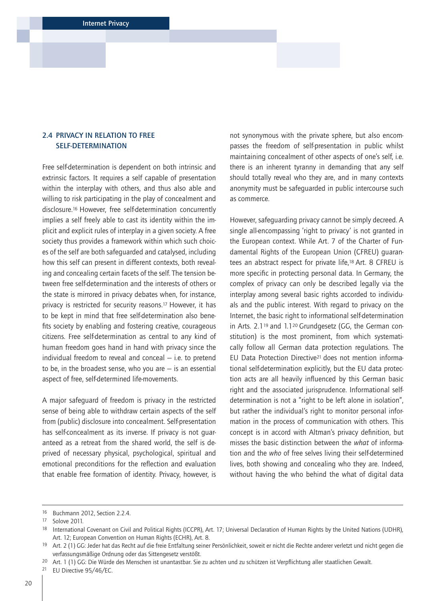# 2.4 PRIVACY IN RELATION TO FREE SELF-DETERMINATION

Free self-determination is dependent on both intrinsic and extrinsic factors. It requires a self capable of presentation within the interplay with others, and thus also able and willing to risk participating in the play of concealment and disclosure.16 However, free self-determination concurrently implies a self freely able to cast its identity within the implicit and explicit rules of interplay in a given society. A free society thus provides a framework within which such choices of the self are both safeguarded and catalysed, including how this self can present in different contexts, both revealing and concealing certain facets of the self. The tension between free self-determination and the interests of others or the state is mirrored in privacy debates when, for instance, privacy is restricted for security reasons.17 However, it has to be kept in mind that free self-determination also benefits society by enabling and fostering creative, courageous citizens. Free self-determination as central to any kind of human freedom goes hand in hand with privacy since the individual freedom to reveal and conceal — i.e. to pretend to be, in the broadest sense, who you are  $-$  is an essential aspect of free, self-determined life-movements.

A major safeguard of freedom is privacy in the restricted sense of being able to withdraw certain aspects of the self from (public) disclosure into concealment. Self-presentation has self-concealment as its inverse. If privacy is not guaranteed as a retreat from the shared world, the self is deprived of necessary physical, psychological, spiritual and emotional preconditions for the reflection and evaluation that enable free formation of identity. Privacy, however, is

not synonymous with the private sphere, but also encompasses the freedom of self-presentation in public whilst maintaining concealment of other aspects of one's self, i.e. there is an inherent tyranny in demanding that any self should totally reveal who they are, and in many contexts anonymity must be safeguarded in public intercourse such as commerce.

However, safeguarding privacy cannot be simply decreed. A single all-encompassing 'right to privacy' is not granted in the European context. While Art. 7 of the Charter of Fundamental Rights of the European Union (CFREU) guarantees an abstract respect for private life,18 Art. 8 CFREU is more specific in protecting personal data. In Germany, the complex of privacy can only be described legally via the interplay among several basic rights accorded to individuals and the public interest. With regard to privacy on the Internet, the basic right to informational self-determination in Arts. 2.119 and 1.120 Grundgesetz (GG, the German constitution) is the most prominent, from which systematically follow all German data protection regulations. The EU Data Protection Directive21 does not mention informational self-determination explicitly, but the EU data protection acts are all heavily influenced by this German basic right and the associated jurisprudence. Informational selfdetermination is not a "right to be left alone in isolation", but rather the individual's right to monitor personal information in the process of communication with others. This concept is in accord with Altman's privacy definition, but misses the basic distinction between the *what* of information and the *who* of free selves living their self-determined lives, both showing and concealing who they are. Indeed, without having the who behind the what of digital data

<sup>16</sup> Buchmann 2012, Section 2.2.4.

<sup>17</sup> Solove 2011.

<sup>&</sup>lt;sup>18</sup> International Covenant on Civil and Political Rights (ICCPR), Art. 17; Universal Declaration of Human Rights by the United Nations (UDHR), Art. 12; European Convention on Human Rights (ECHR), Art. 8.

<sup>19</sup> Art. 2 (1) GG: Jeder hat das Recht auf die freie Entfaltung seiner Persönlichkeit, soweit er nicht die Rechte anderer verletzt und nicht gegen die verfassungsmäßige Ordnung oder das Sittengesetz verstößt.

<sup>20</sup> Art. 1 (1) GG: Die Würde des Menschen ist unantastbar. Sie zu achten und zu schützen ist Verpflichtung aller staatlichen Gewalt.

<sup>21</sup> EU Directive 95/46/EC.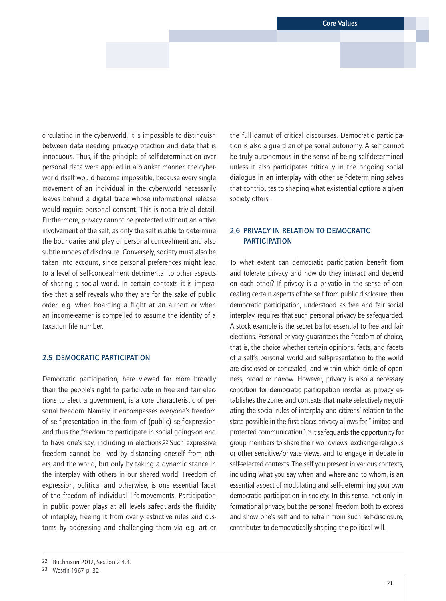circulating in the cyberworld, it is impossible to distinguish between data needing privacy-protection and data that is innocuous. Thus, if the principle of self-determination over personal data were applied in a blanket manner, the cyberworld itself would become impossible, because every single movement of an individual in the cyberworld necessarily leaves behind a digital trace whose informational release would require personal consent. This is not a trivial detail. Furthermore, privacy cannot be protected without an active involvement of the self, as only the self is able to determine the boundaries and play of personal concealment and also subtle modes of disclosure. Conversely, society must also be taken into account, since personal preferences might lead to a level of self-concealment detrimental to other aspects of sharing a social world. In certain contexts it is imperative that a self reveals who they are for the sake of public order, e.g. when boarding a flight at an airport or when an income-earner is compelled to assume the identity of a taxation file number.

# 2.5 DEMOCRATIC PARTICIPATION

Democratic participation, here viewed far more broadly than the people's right to participate in free and fair elections to elect a government, is a core characteristic of personal freedom. Namely, it encompasses everyone's freedom of self-presentation in the form of (public) self-expression and thus the freedom to participate in social goings-on and to have one's say, including in elections.22 Such expressive freedom cannot be lived by distancing oneself from others and the world, but only by taking a dynamic stance in the interplay with others in our shared world. Freedom of expression, political and otherwise, is one essential facet of the freedom of individual life-movements. Participation in public power plays at all levels safeguards the fluidity of interplay, freeing it from overly-restrictive rules and customs by addressing and challenging them via e.g. art or the full gamut of critical discourses. Democratic participation is also a guardian of personal autonomy. A self cannot be truly autonomous in the sense of being self-determined unless it also participates critically in the ongoing social dialogue in an interplay with other self-determining selves that contributes to shaping what existential options a given society offers.

# 2.6 PRIVACY IN RELATION TO DEMOCRATIC **PARTICIPATION**

To what extent can democratic participation benefit from and tolerate privacy and how do they interact and depend on each other? If privacy is a privatio in the sense of concealing certain aspects of the self from public disclosure, then democratic participation, understood as free and fair social interplay, requires that such personal privacy be safeguarded. A stock example is the secret ballot essential to free and fair elections. Personal privacy guarantees the freedom of choice, that is, the choice whether certain opinions, facts, and facets of a self's personal world and self-presentation to the world are disclosed or concealed, and within which circle of openness, broad or narrow. However, privacy is also a necessary condition for democratic participation insofar as privacy establishes the zones and contexts that make selectively negotiating the social rules of interplay and citizens' relation to the state possible in the first place: privacy allows for "limited and protected communication".23 It safeguards the opportunity for group members to share their worldviews, exchange religious or other sensitive/private views, and to engage in debate in self-selected contexts. The self you present in various contexts, including what you say when and where and to whom, is an essential aspect of modulating and self-determining your own democratic participation in society. In this sense, not only informational privacy, but the personal freedom both to express and show one's self and to refrain from such self-disclosure, contributes to democratically shaping the political will.

<sup>22</sup> Buchmann 2012, Section 2.4.4.

<sup>23</sup> Westin 1967, p. 32.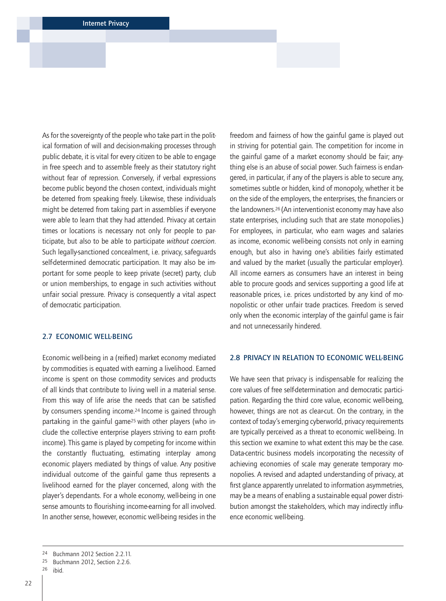As for the sovereignty of the people who take part in the political formation of will and decision-making processes through public debate, it is vital for every citizen to be able to engage in free speech and to assemble freely as their statutory right without fear of repression. Conversely, if verbal expressions become public beyond the chosen context, individuals might be deterred from speaking freely. Likewise, these individuals might be deterred from taking part in assemblies if everyone were able to learn that they had attended. Privacy at certain times or locations is necessary not only for people to participate, but also to be able to participate *without coercion*. Such legally-sanctioned concealment, i.e. privacy, safeguards self-determined democratic participation. It may also be important for some people to keep private (secret) party, club or union memberships, to engage in such activities without unfair social pressure. Privacy is consequently a vital aspect of democratic participation.

# 2.7 ECONOMIC WELL-BEING

Economic well-being in a (reified) market economy mediated by commodities is equated with earning a livelihood. Earned income is spent on those commodity services and products of all kinds that contribute to living well in a material sense. From this way of life arise the needs that can be satisfied by consumers spending income.24 Income is gained through partaking in the gainful game25 with other players (who include the collective enterprise players striving to earn profitincome). This game is played by competing for income within the constantly fluctuating, estimating interplay among economic players mediated by things of value. Any positive individual outcome of the gainful game thus represents a livelihood earned for the player concerned, along with the player's dependants. For a whole economy, well-being in one sense amounts to flourishing income-earning for all involved. In another sense, however, economic well-being resides in the

ibid.

freedom and fairness of how the gainful game is played out in striving for potential gain. The competition for income in the gainful game of a market economy should be fair; anything else is an abuse of social power. Such fairness is endangered, in particular, if any of the players is able to secure any, sometimes subtle or hidden, kind of monopoly, whether it be on the side of the employers, the enterprises, the financiers or the landowners.26 (An interventionist economy may have also state enterprises, including such that are state monopolies.) For employees, in particular, who earn wages and salaries as income, economic well-being consists not only in earning enough, but also in having one's abilities fairly estimated and valued by the market (usually the particular employer). All income earners as consumers have an interest in being able to procure goods and services supporting a good life at reasonable prices, i.e. prices undistorted by any kind of monopolistic or other unfair trade practices. Freedom is served only when the economic interplay of the gainful game is fair and not unnecessarily hindered.

# 2.8 PRIVACY IN RELATION TO ECONOMIC WELL-BEING

We have seen that privacy is indispensable for realizing the core values of free self-determination and democratic participation. Regarding the third core value, economic well-being, however, things are not as clear-cut. On the contrary, in the context of today's emerging cyberworld, privacy requirements are typically perceived as a threat to economic well-being. In this section we examine to what extent this may be the case. Data-centric business models incorporating the necessity of achieving economies of scale may generate temporary monopolies. A revised and adapted understanding of privacy, at first glance apparently unrelated to information asymmetries, may be a means of enabling a sustainable equal power distribution amongst the stakeholders, which may indirectly influence economic well-being.

<sup>24</sup> Buchmann 2012 Section 2.2.11.

<sup>&</sup>lt;sup>25</sup> Buchmann 2012, Section 2.2.6.<br><sup>26</sup> ibid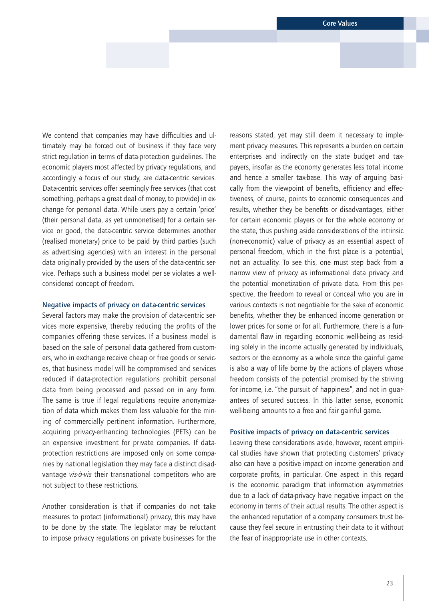We contend that companies may have difficulties and ultimately may be forced out of business if they face very strict regulation in terms of data-protection guidelines. The economic players most affected by privacy regulations, and accordingly a focus of our study, are data-centric services. Data-centric services offer seemingly free services (that cost something, perhaps a great deal of money, to provide) in exchange for personal data. While users pay a certain 'price' (their personal data, as yet unmonetised) for a certain service or good, the data-centric service determines another (realised monetary) price to be paid by third parties (such as advertising agencies) with an interest in the personal data originally provided by the users of the data-centric service. Perhaps such a business model per se violates a wellconsidered concept of freedom.

# Negative impacts of privacy on data-centric services

Several factors may make the provision of data-centric services more expensive, thereby reducing the profits of the companies offering these services. If a business model is based on the sale of personal data gathered from customers, who in exchange receive cheap or free goods or services, that business model will be compromised and services reduced if data-protection regulations prohibit personal data from being processed and passed on in any form. The same is true if legal regulations require anonymization of data which makes them less valuable for the mining of commercially pertinent information. Furthermore, acquiring privacy-enhancing technologies (PETs) can be an expensive investment for private companies. If dataprotection restrictions are imposed only on some companies by national legislation they may face a distinct disadvantage *vis-à-vis* their transnational competitors who are not subject to these restrictions.

Another consideration is that if companies do not take measures to protect (informational) privacy, this may have to be done by the state. The legislator may be reluctant to impose privacy regulations on private businesses for the reasons stated, yet may still deem it necessary to implement privacy measures. This represents a burden on certain enterprises and indirectly on the state budget and taxpayers, insofar as the economy generates less total income and hence a smaller tax-base. This way of arguing basically from the viewpoint of benefits, efficiency and effectiveness, of course, points to economic consequences and results, whether they be benefits or disadvantages, either for certain economic players or for the whole economy or the state, thus pushing aside considerations of the intrinsic (non-economic) value of privacy as an essential aspect of personal freedom, which in the first place is a potential, not an actuality. To see this, one must step back from a narrow view of privacy as informational data privacy and the potential monetization of private data. From this perspective, the freedom to reveal or conceal who you are in various contexts is not negotiable for the sake of economic benefits, whether they be enhanced income generation or lower prices for some or for all. Furthermore, there is a fundamental flaw in regarding economic well-being as residing solely in the income actually generated by individuals, sectors or the economy as a whole since the gainful game is also a way of life borne by the actions of players whose freedom consists of the potential promised by the striving for income, i.e. "the pursuit of happiness", and not in guarantees of secured success. In this latter sense, economic well-being amounts to a free and fair gainful game.

#### Positive impacts of privacy on data-centric services

Leaving these considerations aside, however, recent empirical studies have shown that protecting customers' privacy also can have a positive impact on income generation and corporate profits, in particular. One aspect in this regard is the economic paradigm that information asymmetries due to a lack of data-privacy have negative impact on the economy in terms of their actual results. The other aspect is the enhanced reputation of a company consumers trust because they feel secure in entrusting their data to it without the fear of inappropriate use in other contexts.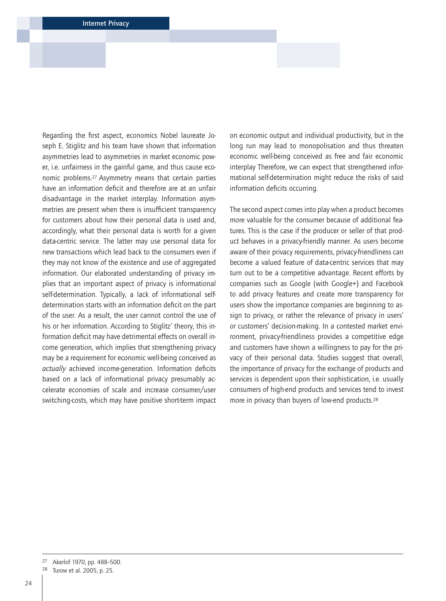Regarding the first aspect, economics Nobel laureate Joseph E. Stiglitz and his team have shown that information asymmetries lead to asymmetries in market economic power, i.e. unfairness in the gainful game, and thus cause economic problems.27 Asymmetry means that certain parties have an information deficit and therefore are at an unfair disadvantage in the market interplay. Information asymmetries are present when there is insufficient transparency for customers about how their personal data is used and, accordingly, what their personal data is worth for a given data-centric service. The latter may use personal data for new transactions which lead back to the consumers even if they may not know of the existence and use of aggregated information. Our elaborated understanding of privacy implies that an important aspect of privacy is informational self-determination. Typically, a lack of informational selfdetermination starts with an information deficit on the part of the user. As a result, the user cannot control the use of his or her information. According to Stiglitz' theory, this information deficit may have detrimental effects on overall income generation, which implies that strengthening privacy may be a requirement for economic well-being conceived as *actually* achieved income-generation. Information deficits based on a lack of informational privacy presumably accelerate economies of scale and increase consumer/user switching-costs, which may have positive short-term impact

on economic output and individual productivity, but in the long run may lead to monopolisation and thus threaten economic well-being conceived as free and fair economic interplay Therefore, we can expect that strengthened informational self-determination might reduce the risks of said information deficits occurring.

The second aspect comes into play when a product becomes more valuable for the consumer because of additional features. This is the case if the producer or seller of that product behaves in a privacy-friendly manner. As users become aware of their privacy requirements, privacy-friendliness can become a valued feature of data-centric services that may turn out to be a competitive advantage. Recent efforts by companies such as Google (with Google+) and Facebook to add privacy features and create more transparency for users show the importance companies are beginning to assign to privacy, or rather the relevance of privacy in users' or customers' decision-making. In a contested market environment, privacy-friendliness provides a competitive edge and customers have shown a willingness to pay for the privacy of their personal data. Studies suggest that overall, the importance of privacy for the exchange of products and services is dependent upon their sophistication, i.e. usually consumers of high-end products and services tend to invest more in privacy than buyers of low-end products.28

<sup>27</sup> Akerlof 1970, pp. 488–500.<br>28 Turow et al. 2005, p. 25.

Turow et al. 2005, p. 25.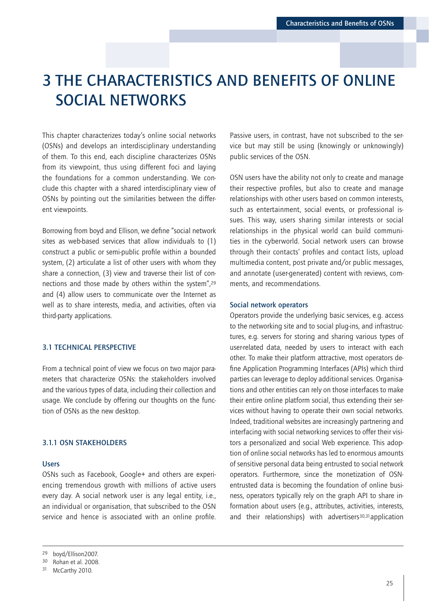# 3 The Characteristics and Benefits of Online Social Networks

This chapter characterizes today's online social networks (OSNs) and develops an interdisciplinary understanding of them. To this end, each discipline characterizes OSNs from its viewpoint, thus using different foci and laying the foundations for a common understanding. We conclude this chapter with a shared interdisciplinary view of OSNs by pointing out the similarities between the different viewpoints.

Borrowing from boyd and Ellison, we define "social network sites as web-based services that allow individuals to (1) construct a public or semi-public profile within a bounded system, (2) articulate a list of other users with whom they share a connection, (3) view and traverse their list of connections and those made by others within the system",29 and (4) allow users to communicate over the Internet as well as to share interests, media, and activities, often via third-party applications.

# 3.1 Technical perspective

From a technical point of view we focus on two major parameters that characterize OSNs: the stakeholders involved and the various types of data, including their collection and usage. We conclude by offering our thoughts on the function of OSNs as the new desktop.

# 3.1.1 OSN Stakeholders

# Users

OSNs such as Facebook, Google+ and others are experiencing tremendous growth with millions of active users every day. A social network user is any legal entity, i.e., an individual or organisation, that subscribed to the OSN service and hence is associated with an online profile. Passive users, in contrast, have not subscribed to the service but may still be using (knowingly or unknowingly) public services of the OSN.

OSN users have the ability not only to create and manage their respective profiles, but also to create and manage relationships with other users based on common interests, such as entertainment, social events, or professional issues. This way, users sharing similar interests or social relationships in the physical world can build communities in the cyberworld. Social network users can browse through their contacts' profiles and contact lists, upload multimedia content, post private and/or public messages, and annotate (user-generated) content with reviews, comments, and recommendations.

#### Social network operators

Operators provide the underlying basic services, e.g. access to the networking site and to social plug-ins, and infrastructures, e.g. servers for storing and sharing various types of user-related data, needed by users to interact with each other. To make their platform attractive, most operators define Application Programming Interfaces (APIs) which third parties can leverage to deploy additional services. Organisations and other entities can rely on those interfaces to make their entire online platform social, thus extending their services without having to operate their own social networks. Indeed, traditional websites are increasingly partnering and interfacing with social networking services to offer their visitors a personalized and social Web experience. This adoption of online social networks has led to enormous amounts of sensitive personal data being entrusted to social network operators. Furthermore, since the monetization of OSNentrusted data is becoming the foundation of online business, operators typically rely on the graph API to share information about users (e.g., attributes, activities, interests, and their relationships) with advertisers<sup>30,31</sup>application

<sup>29</sup> boyd/Ellison2007.

<sup>30</sup> Rohan et al. 2008.

<sup>31</sup> McCarthy 2010.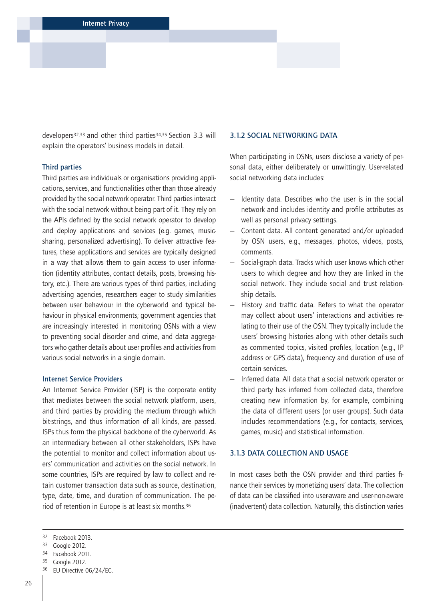developers32,33 and other third parties34,35 Section 3.3 will explain the operators' business models in detail.

# Third parties

Third parties are individuals or organisations providing applications, services, and functionalities other than those already provided by the social network operator. Third parties interact with the social network without being part of it. They rely on the APIs defined by the social network operator to develop and deploy applications and services (e.g. games, musicsharing, personalized advertising). To deliver attractive features, these applications and services are typically designed in a way that allows them to gain access to user information (identity attributes, contact details, posts, browsing history, etc.). There are various types of third parties, including advertising agencies, researchers eager to study similarities between user behaviour in the cyberworld and typical behaviour in physical environments; government agencies that are increasingly interested in monitoring OSNs with a view to preventing social disorder and crime, and data aggregators who gather details about user profiles and activities from various social networks in a single domain.

# Internet Service Providers

An Internet Service Provider (ISP) is the corporate entity that mediates between the social network platform, users, and third parties by providing the medium through which bit-strings, and thus information of all kinds, are passed. ISPs thus form the physical backbone of the cyberworld. As an intermediary between all other stakeholders, ISPs have the potential to monitor and collect information about users' communication and activities on the social network. In some countries, ISPs are required by law to collect and retain customer transaction data such as source, destination, type, date, time, and duration of communication. The period of retention in Europe is at least six months.36

When participating in OSNs, users disclose a variety of personal data, either deliberately or unwittingly. User-related social networking data includes:

- Identity data. Describes who the user is in the social network and includes identity and profile attributes as well as personal privacy settings.
- Content data. All content generated and/or uploaded by OSN users, e.g., messages, photos, videos, posts, comments.
- Social-graph data. Tracks which user knows which other users to which degree and how they are linked in the social network. They include social and trust relationship details.
- History and traffic data. Refers to what the operator may collect about users' interactions and activities relating to their use of the OSN. They typically include the users' browsing histories along with other details such as commented topics, visited profiles, location (e.g., IP address or GPS data), frequency and duration of use of certain services.
- Inferred data. All data that a social network operator or third party has inferred from collected data, therefore creating new information by, for example, combining the data of different users (or user groups). Such data includes recommendations (e.g., for contacts, services, games, music) and statistical information.

# 3.1.3 DATA COLLECTION AND USAGE

In most cases both the OSN provider and third parties finance their services by monetizing users' data. The collection of data can be classified into user-aware and user-non-aware (inadvertent) data collection. Naturally, this distinction varies

<sup>3.1.2</sup> Social Networking Data

<sup>32</sup> Facebook 2013.

<sup>33</sup> Google 2012.

<sup>34</sup> Facebook 2011.

<sup>35</sup> Google 2012.

<sup>36</sup> EU Directive 06/24/EC.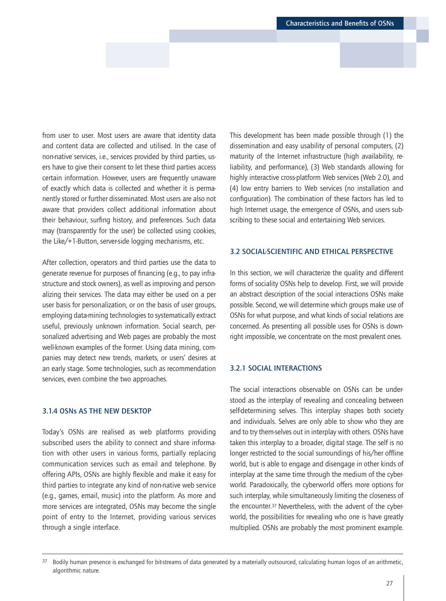from user to user. Most users are aware that identity data and content data are collected and utilised. In the case of non-native services, i.e., services provided by third parties, users have to give their consent to let these third parties access certain information. However, users are frequently unaware of exactly which data is collected and whether it is permanently stored or further disseminated. Most users are also not aware that providers collect additional information about their behaviour, surfing history, and preferences. Such data may (transparently for the user) be collected using cookies, the Like/+1-Button, server-side logging mechanisms, etc.

After collection, operators and third parties use the data to generate revenue for purposes of financing (e.g., to pay infrastructure and stock owners), as well as improving and personalizing their services. The data may either be used on a per user basis for personalization, or on the basis of user groups, employing data-mining technologies to systematically extract useful, previously unknown information. Social search, personalized advertising and Web pages are probably the most well-known examples of the former. Using data mining, companies may detect new trends, markets, or users' desires at an early stage. Some technologies, such as recommendation services, even combine the two approaches.

## 3.1.4 OSNs as the new desktop

Today's OSNs are realised as web platforms providing subscribed users the ability to connect and share information with other users in various forms, partially replacing communication services such as email and telephone. By offering APIs, OSNs are highly flexible and make it easy for third parties to integrate any kind of non-native web service (e.g., games, email, music) into the platform. As more and more services are integrated, OSNs may become the single point of entry to the Internet, providing various services through a single interface.

This development has been made possible through (1) the dissemination and easy usability of personal computers, (2) maturity of the Internet infrastructure (high availability, reliability, and performance), (3) Web standards allowing for highly interactive cross-platform Web services (Web 2.0), and (4) low entry barriers to Web services (no installation and configuration). The combination of these factors has led to high Internet usage, the emergence of OSNs, and users subscribing to these social and entertaining Web services.

# 3.2 Social-scientific and ethical perspective

In this section, we will characterize the quality and different forms of sociality OSNs help to develop. First, we will provide an abstract description of the social interactions OSNs make possible. Second, we will determine which groups make use of OSNs for what purpose, and what kinds of social relations are concerned. As presenting all possible uses for OSNs is downright impossible, we concentrate on the most prevalent ones.

# 3.2.1 Social interactions

The social interactions observable on OSNs can be understood as the interplay of revealing and concealing between self-determining selves. This interplay shapes both society and individuals. Selves are only able to show who they are and to try them-selves out in interplay with others. OSNs have taken this interplay to a broader, digital stage. The self is no longer restricted to the social surroundings of his/her offline world, but is able to engage and disengage in other kinds of interplay at the same time through the medium of the cyberworld. Paradoxically, the cyberworld offers more options for such interplay, while simultaneously limiting the closeness of the encounter.37 Nevertheless, with the advent of the cyberworld, the possibilities for revealing who one is have greatly multiplied. OSNs are probably the most prominent example.

<sup>&</sup>lt;sup>37</sup> Bodily human presence is exchanged for bit-streams of data generated by a materially outsourced, calculating human logos of an arithmetic, algorithmic nature.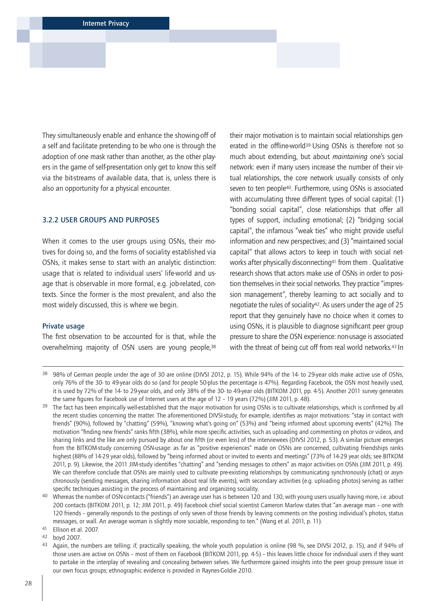They simultaneously enable and enhance the showing-off of a self and facilitate pretending to be who one is through the adoption of one mask rather than another, as the other players in the game of self-presentation only get to know this self via the bit-streams of available data, that is, unless there is also an opportunity for a physical encounter.

## 3.2.2 User groups and purposes

When it comes to the user groups using OSNs, their motives for doing so, and the forms of sociality established via OSNs, it makes sense to start with an analytic distinction: usage that is related to individual users' life-world and usage that is observable in more formal, e.g. job-related, contexts. Since the former is the most prevalent, and also the most widely discussed, this is where we begin.

#### Private usage

The first observation to be accounted for is that, while the overwhelming majority of OSN users are young people,38

their major motivation is to maintain social relationships generated in the offline-world<sup>39</sup> Using OSNs is therefore not so much about extending, but about *maintaining* one's social network: even if many users increase the number of their virtual relationships, the core network usually consists of only seven to ten people<sup>40</sup>. Furthermore, using OSNs is associated with accumulating three different types of social capital: (1) "bonding social capital", close relationships that offer all types of support, including emotional; (2) "bridging social capital", the infamous "weak ties" who might provide useful information and new perspectives; and (3) "maintained social capital" that allows actors to keep in touch with social networks after physically disconnecting<sup>41</sup> from them . Qualitative research shows that actors make use of OSNs in order to position themselves in their social networks. They practice "impression management", thereby learning to act socially and to negotiate the rules of sociality42. As users under the age of 25 report that they genuinely have no choice when it comes to using OSNs, it is plausible to diagnose significant peer group pressure to share the OSN experience: non-usage is associated with the threat of being cut off from real world networks.43 In

38 98% of German people under the age of 30 are online (DIVSI 2012, p. 15). While 94% of the 14- to 29-year olds make active use of OSNs, only 76% of the 30- to 49-year olds do so (and for people 50-plus the percentage is 47%). Regarding Facebook, the OSN most heavily used, it is used by 72% of the 14- to 29-year olds, and only 38% of the 30- to 49-year olds (BITKOM 2011, pp. 4-5). Another 2011 survey generates the same figures for Facebook use of Internet users at the age of 12 – 19 years (72%) (JIM 2011, p. 48).

<sup>&</sup>lt;sup>39</sup> The fact has been empirically well-established that the major motivation for using OSNs is to cultivate relationships, which is confirmed by all the recent studies concerning the matter. The aforementioned DIVSI-study, for example, identifies as major motivations: "stay in contact with friends" (90%), followed by "chatting" (59%), "knowing what's going on" (53%) and "being informed about upcoming events" (42%). The motivation "finding new friends" ranks fifth (38%), while more specific activities, such as uploading and commenting on photos or videos, and sharing links and the like are only pursued by about one fifth (or even less) of the interviewees (DIVSI 2012, p. 53). A similar picture emerges from the BITKOM-study concerning OSN-usage: as far as "positive experiences" made on OSNs are concerned, cultivating friendships ranks highest (88% of 14-29 year olds), followed by "being informed about or invited to events and meetings" (73% of 14-29 year olds; see BITKOM 2011, p. 9). Likewise, the 2011 JIM-study identifies "chatting" and "sending messages to others" as major activities on OSNs (JIM 2011, p. 49). We can therefore conclude that OSNs are mainly used to cultivate pre-existing relationships by communicating synchronously (chat) or asynchronously (sending messages, sharing information about real life events), with secondary activities (e.g. uploading photos) serving as rather specific techniques assisting in the process of maintaining and organizing sociality.

<sup>40</sup> Whereas the number of OSN-contacts ("friends") an average user has is between 120 and 130, with young users usually having more, i.e. about 200 contacts (BITKOM 2011, p. 12; JIM 2011, p. 49) Facebook chief social scientist Cameron Marlow states that "an average man – one with 120 friends – generally responds to the postings of only seven of those friends by leaving comments on the posting individual's photos, status messages, or wall. An average woman is slightly more sociable, responding to ten." (Wang et al. 2011, p. 11).

<sup>41</sup> Ellison et al. 2007.

<sup>42</sup> boyd 2007.

<sup>43</sup> Again, the numbers are telling: if, practically speaking, the whole youth population is online (98 %, see DIVSI 2012, p. 15), and if 94% of those users are active on OSNs – most of them on Facebook (BITKOM 2011, pp. 4-5) – this leaves little choice for individual users if they want to partake in the interplay of revealing and concealing between selves. We furthermore gained insights into the peer group pressure issue in our own focus groups; ethnographic evidence is provided in Raynes-Goldie 2010.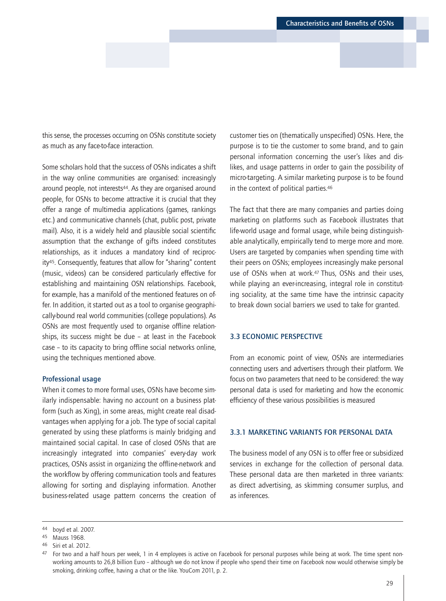this sense, the processes occurring on OSNs constitute society as much as any face-to-face interaction.

Some scholars hold that the success of OSNs indicates a shift in the way online communities are organised: increasingly around people, not interests<sup>44</sup>. As they are organised around people, for OSNs to become attractive it is crucial that they offer a range of multimedia applications (games, rankings etc.) and communicative channels (chat, public post, private mail). Also, it is a widely held and plausible social scientific assumption that the exchange of gifts indeed constitutes relationships, as it induces a mandatory kind of reciprocity45. Consequently, features that allow for "sharing" content (music, videos) can be considered particularly effective for establishing and maintaining OSN relationships. Facebook, for example, has a manifold of the mentioned features on offer. In addition, it started out as a tool to organise geographically-bound real world communities (college populations). As OSNs are most frequently used to organise offline relationships, its success might be due – at least in the Facebook case – to its capacity to bring offline social networks online, using the techniques mentioned above.

# Professional usage

When it comes to more formal uses, OSNs have become similarly indispensable: having no account on a business platform (such as Xing), in some areas, might create real disadvantages when applying for a job. The type of social capital generated by using these platforms is mainly bridging and maintained social capital. In case of closed OSNs that are increasingly integrated into companies' every-day work practices, OSNs assist in organizing the offline-network and the workflow by offering communication tools and features allowing for sorting and displaying information. Another business-related usage pattern concerns the creation of

customer ties on (thematically unspecified) OSNs. Here, the purpose is to tie the customer to some brand, and to gain personal information concerning the user's likes and dislikes, and usage patterns in order to gain the possibility of micro-targeting. A similar marketing purpose is to be found in the context of political parties.46

The fact that there are many companies and parties doing marketing on platforms such as Facebook illustrates that life-world usage and formal usage, while being distinguishable analytically, empirically tend to merge more and more. Users are targeted by companies when spending time with their peers on OSNs; employees increasingly make personal use of OSNs when at work.47 Thus, OSNs and their uses, while playing an ever-increasing, integral role in constituting sociality, at the same time have the intrinsic capacity to break down social barriers we used to take for granted.

## 3.3 Economic perspective

From an economic point of view, OSNs are intermediaries connecting users and advertisers through their platform. We focus on two parameters that need to be considered: the way personal data is used for marketing and how the economic efficiency of these various possibilities is measured

## 3.3.1 Marketing variants for personal data

The business model of any OSN is to offer free or subsidized services in exchange for the collection of personal data. These personal data are then marketed in three variants: as direct advertising, as skimming consumer surplus, and as inferences.

<sup>44</sup> boyd et al. 2007.

<sup>45</sup> Mauss 1968.

<sup>46</sup> Siri et al. 2012.

For two and a half hours per week, 1 in 4 employees is active on Facebook for personal purposes while being at work. The time spent nonworking amounts to 26,8 billion Euro – although we do not know if people who spend their time on Facebook now would otherwise simply be smoking, drinking coffee, having a chat or the like. YouCom 2011, p. 2.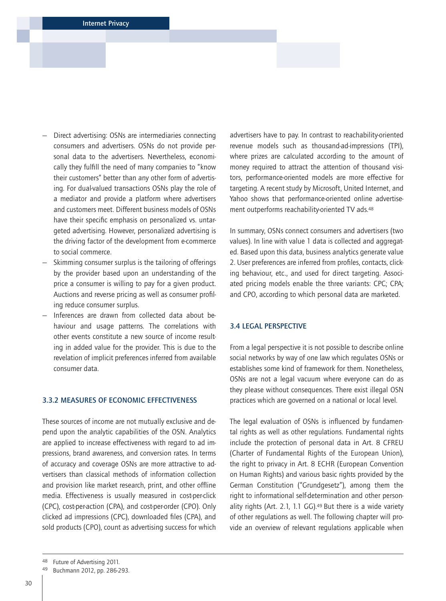- Direct advertising: OSNs are intermediaries connecting consumers and advertisers. OSNs do not provide personal data to the advertisers. Nevertheless, economically they fulfill the need of many companies to "know their customers" better than any other form of advertising. For dual-valued transactions OSNs play the role of a mediator and provide a platform where advertisers and customers meet. Different business models of OSNs have their specific emphasis on personalized vs. untargeted advertising. However, personalized advertising is the driving factor of the development from e-commerce to social commerce.
- Skimming consumer surplus is the tailoring of offerings by the provider based upon an understanding of the price a consumer is willing to pay for a given product. Auctions and reverse pricing as well as consumer profiling reduce consumer surplus.
- Inferences are drawn from collected data about behaviour and usage patterns. The correlations with other events constitute a new source of income resulting in added value for the provider. This is due to the revelation of implicit preferences inferred from available consumer data.

# 3.3.2 Measures of economic effectiveness

These sources of income are not mutually exclusive and depend upon the analytic capabilities of the OSN. Analytics are applied to increase effectiveness with regard to ad impressions, brand awareness, and conversion rates. In terms of accuracy and coverage OSNs are more attractive to advertisers than classical methods of information collection and provision like market research, print, and other offline media. Effectiveness is usually measured in cost-per-click (CPC), cost-per-action (CPA), and cost-per-order (CPO). Only clicked ad impressions (CPC), downloaded files (CPA), and sold products (CPO), count as advertising success for which

advertisers have to pay. In contrast to reachability-oriented revenue models such as thousand-ad-impressions (TPI), where prizes are calculated according to the amount of money required to attract the attention of thousand visitors, performance-oriented models are more effective for targeting. A recent study by Microsoft, United Internet, and Yahoo shows that performance-oriented online advertisement outperforms reachability-oriented TV ads.48

In summary, OSNs connect consumers and advertisers (two values). In line with value 1 data is collected and aggregated. Based upon this data, business analytics generate value 2. User preferences are inferred from profiles, contacts, clicking behaviour, etc., and used for direct targeting. Associated pricing models enable the three variants: CPC; CPA; and CPO, according to which personal data are marketed.

#### 3.4 Legal perspective

From a legal perspective it is not possible to describe online social networks by way of one law which regulates OSNs or establishes some kind of framework for them. Nonetheless, OSNs are not a legal vacuum where everyone can do as they please without consequences. There exist illegal OSN practices which are governed on a national or local level.

The legal evaluation of OSNs is influenced by fundamental rights as well as other regulations. Fundamental rights include the protection of personal data in Art. 8 CFREU (Charter of Fundamental Rights of the European Union), the right to privacy in Art. 8 ECHR (European Convention on Human Rights) and various basic rights provided by the German Constitution ("Grundgesetz"), among them the right to informational self-determination and other personality rights (Art. 2.1, 1.1 GG).49 But there is a wide variety of other regulations as well. The following chapter will provide an overview of relevant regulations applicable when

<sup>48</sup> Future of Advertising 2011.

<sup>49</sup> Buchmann 2012, pp. 286-293.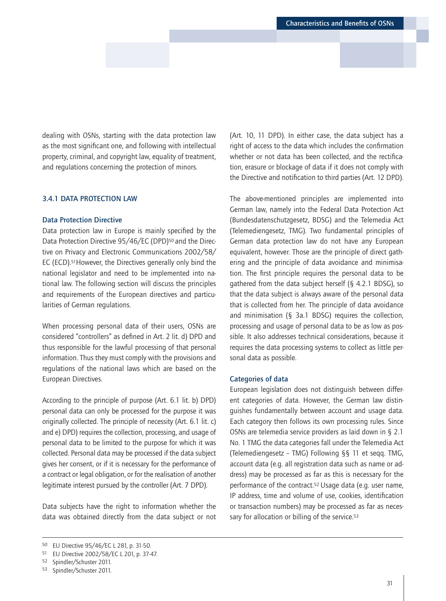dealing with OSNs, starting with the data protection law as the most significant one, and following with intellectual property, criminal, and copyright law, equality of treatment, and regulations concerning the protection of minors.

## 3.4.1 DATA PROTECTION LAW

#### Data Protection Directive

Data protection law in Europe is mainly specified by the Data Protection Directive 95/46/EC (DPD)<sup>50</sup> and the Directive on Privacy and Electronic Communications 2002/58/ EC (ECD).51However, the Directives generally only bind the national legislator and need to be implemented into national law. The following section will discuss the principles and requirements of the European directives and particularities of German regulations.

When processing personal data of their users, OSNs are considered "controllers" as defined in Art. 2 lit. d) DPD and thus responsible for the lawful processing of that personal information. Thus they must comply with the provisions and regulations of the national laws which are based on the European Directives.

According to the principle of purpose (Art. 6.1 lit. b) DPD) personal data can only be processed for the purpose it was originally collected. The principle of necessity (Art. 6.1 lit. c) and e) DPD) requires the collection, processing, and usage of personal data to be limited to the purpose for which it was collected. Personal data may be processed if the data subject gives her consent, or if it is necessary for the performance of a contract or legal obligation, or for the realisation of another legitimate interest pursued by the controller (Art. 7 DPD).

Data subjects have the right to information whether the data was obtained directly from the data subject or not (Art. 10, 11 DPD). In either case, the data subject has a right of access to the data which includes the confirmation whether or not data has been collected, and the rectification, erasure or blockage of data if it does not comply with the Directive and notification to third parties (Art. 12 DPD).

The above-mentioned principles are implemented into German law, namely into the Federal Data Protection Act (Bundesdatenschutzgesetz, BDSG) and the Telemedia Act (Telemediengesetz, TMG). Two fundamental principles of German data protection law do not have any European equivalent, however. Those are the principle of direct gathering and the principle of data avoidance and minimisation. The first principle requires the personal data to be gathered from the data subject herself (§ 4.2.1 BDSG), so that the data subject is always aware of the personal data that is collected from her. The principle of data avoidance and minimisation (§ 3a.1 BDSG) requires the collection, processing and usage of personal data to be as low as possible. It also addresses technical considerations, because it requires the data processing systems to collect as little personal data as possible.

# Categories of data

European legislation does not distinguish between different categories of data. However, the German law distinguishes fundamentally between account and usage data. Each category then follows its own processing rules. Since OSNs are telemedia service providers as laid down in § 2.1 No. 1 TMG the data categories fall under the Telemedia Act (Telemediengesetz – TMG) Following §§ 11 et seqq. TMG, account data (e.g. all registration data such as name or address) may be processed as far as this is necessary for the performance of the contract.52 Usage data (e.g. user name, IP address, time and volume of use, cookies, identification or transaction numbers) may be processed as far as necessary for allocation or billing of the service.<sup>53</sup>

<sup>50</sup> EU Directive 95/46/EC L 281, p. 31-50.

<sup>51</sup> EU Directive 2002/58/EC L 201, p. 37-47.

<sup>52</sup> Spindler/Schuster 2011.

<sup>53</sup> Spindler/Schuster 2011.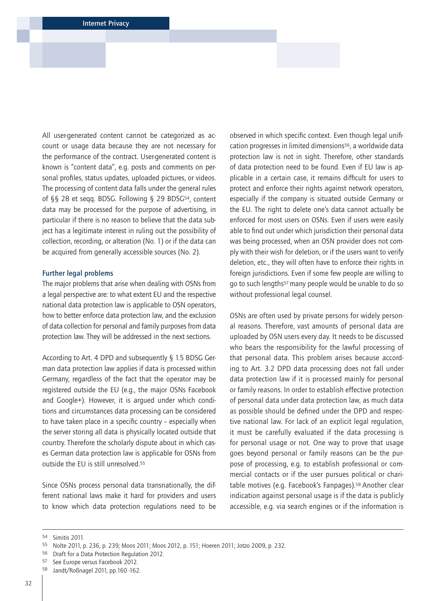All user-generated content cannot be categorized as account or usage data because they are not necessary for the performance of the contract. User-generated content is known is "content data", e.g. posts and comments on personal profiles, status updates, uploaded pictures, or videos. The processing of content data falls under the general rules of §§ 28 et seqq. BDSG. Following § 29 BDSG54, content data may be processed for the purpose of advertising, in particular if there is no reason to believe that the data subject has a legitimate interest in ruling out the possibility of collection, recording, or alteration (No. 1) or if the data can be acquired from generally accessible sources (No. 2).

# Further legal problems

The major problems that arise when dealing with OSNs from a legal perspective are: to what extent EU and the respective national data protection law is applicable to OSN operators, how to better enforce data protection law, and the exclusion of data collection for personal and family purposes from data protection law. They will be addressed in the next sections.

According to Art. 4 DPD and subsequently § 1.5 BDSG German data protection law applies if data is processed within Germany, regardless of the fact that the operator may be registered outside the EU (e.g., the major OSNs Facebook and Google+). However, it is argued under which conditions and circumstances data processing can be considered to have taken place in a specific country – especially when the server storing all data is physically located outside that country. Therefore the scholarly dispute about in which cases German data protection law is applicable for OSNs from outside the EU is still unresolved.55

Since OSNs process personal data transnationally, the different national laws make it hard for providers and users to know which data protection regulations need to be observed in which specific context. Even though legal unification progresses in limited dimensions56, a worldwide data protection law is not in sight. Therefore, other standards of data protection need to be found. Even if EU law is applicable in a certain case, it remains difficult for users to protect and enforce their rights against network operators, especially if the company is situated outside Germany or the EU. The right to delete one's data cannot actually be enforced for most users on OSNs. Even if users were easily able to find out under which jurisdiction their personal data was being processed, when an OSN provider does not comply with their wish for deletion, or if the users want to verify deletion, etc., they will often have to enforce their rights in foreign jurisdictions. Even if some few people are willing to go to such lengths<sup>57</sup> many people would be unable to do so without professional legal counsel.

OSNs are often used by private persons for widely personal reasons. Therefore, vast amounts of personal data are uploaded by OSN users every day. It needs to be discussed who bears the responsibility for the lawful processing of that personal data. This problem arises because according to Art. 3.2 DPD data processing does not fall under data protection law if it is processed mainly for personal or family reasons. In order to establish effective protection of personal data under data protection law, as much data as possible should be defined under the DPD and respective national law. For lack of an explicit legal regulation, it must be carefully evaluated if the data processing is for personal usage or not. One way to prove that usage goes beyond personal or family reasons can be the purpose of processing, e.g. to establish professional or commercial contacts or if the user pursues political or charitable motives (e.g. Facebook's Fanpages).58 Another clear indication against personal usage is if the data is publicly accessible, e.g. via search engines or if the information is

<sup>54</sup> Simitis 2011.

<sup>55</sup> Nolte 2011, p. 236, p. 239; Moos 2011; Moos 2012, p. 151; Hoeren 2011; Jotzo 2009, p. 232.

<sup>56</sup> Draft for a Data Protection Regulation 2012.

<sup>57</sup> See Europe versus Facebook 2012.

<sup>58</sup> Jandt/Roßnagel 2011, pp.160 -162.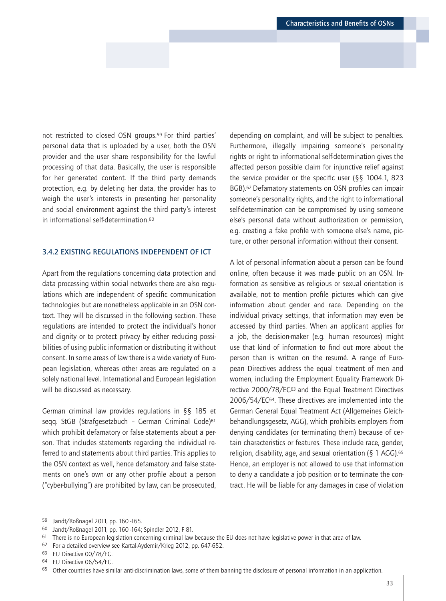not restricted to closed OSN groups.59 For third parties' personal data that is uploaded by a user, both the OSN provider and the user share responsibility for the lawful processing of that data. Basically, the user is responsible for her generated content. If the third party demands protection, e.g. by deleting her data, the provider has to weigh the user's interests in presenting her personality and social environment against the third party's interest in informational self-determination.60

# 3.4.2 Existing regulations independent of ICT

Apart from the regulations concerning data protection and data processing within social networks there are also regulations which are independent of specific communication technologies but are nonetheless applicable in an OSN context. They will be discussed in the following section. These regulations are intended to protect the individual's honor and dignity or to protect privacy by either reducing possibilities of using public information or distributing it without consent. In some areas of law there is a wide variety of European legislation, whereas other areas are regulated on a solely national level. International and European legislation will be discussed as necessary.

German criminal law provides regulations in §§ 185 et seqq. StGB (Strafgesetzbuch – German Criminal Code)61 which prohibit defamatory or false statements about a person. That includes statements regarding the individual referred to and statements about third parties. This applies to the OSN context as well, hence defamatory and false statements on one's own or any other profile about a person ("cyber-bullying") are prohibited by law, can be prosecuted, depending on complaint, and will be subject to penalties. Furthermore, illegally impairing someone's personality rights or right to informational self-determination gives the affected person possible claim for injunctive relief against the service provider or the specific user (§§ 1004.1, 823 BGB).62 Defamatory statements on OSN profiles can impair someone's personality rights, and the right to informational self-determination can be compromised by using someone else's personal data without authorization or permission, e.g. creating a fake profile with someone else's name, picture, or other personal information without their consent.

A lot of personal information about a person can be found online, often because it was made public on an OSN. Information as sensitive as religious or sexual orientation is available, not to mention profile pictures which can give information about gender and race. Depending on the individual privacy settings, that information may even be accessed by third parties. When an applicant applies for a job, the decision-maker (e.g. human resources) might use that kind of information to find out more about the person than is written on the resumé. A range of European Directives address the equal treatment of men and women, including the Employment Equality Framework Directive 2000/78/EC63 and the Equal Treatment Directives 2006/54/EC64. These directives are implemented into the German General Equal Treatment Act (Allgemeines Gleichbehandlungsgesetz, AGG), which prohibits employers from denying candidates (or terminating them) because of certain characteristics or features. These include race, gender, religion, disability, age, and sexual orientation ( $\S$  1 AGG).<sup>65</sup> Hence, an employer is not allowed to use that information to deny a candidate a job position or to terminate the contract. He will be liable for any damages in case of violation

<sup>59</sup> Jandt/Roßnagel 2011, pp. 160 -165.

<sup>60</sup> Jandt/Roßnagel 2011, pp. 160 -164; Spindler 2012, F 81.

<sup>61</sup> There is no European legislation concerning criminal law because the EU does not have legislative power in that area of law.

<sup>62</sup> For a detailed overview see Kartal-Aydemir/Krieg 2012, pp. 647-652.

<sup>63</sup> EU Directive 00/78/EC.

<sup>64</sup> EU Directive 06/54/EC.

<sup>&</sup>lt;sup>65</sup> Other countries have similar anti-discrimination laws, some of them banning the disclosure of personal information in an application.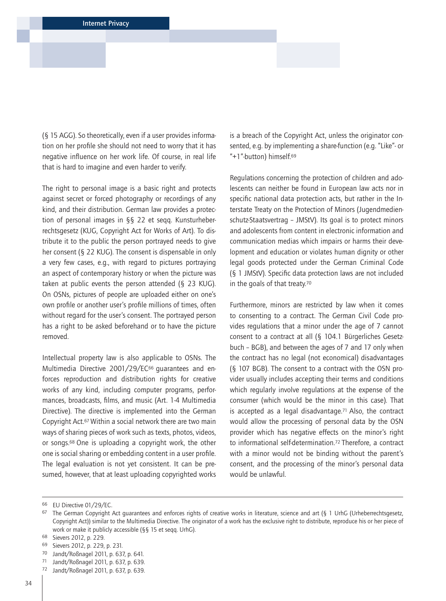(§ 15 AGG). So theoretically, even if a user provides information on her profile she should not need to worry that it has negative influence on her work life. Of course, in real life that is hard to imagine and even harder to verify.

The right to personal image is a basic right and protects against secret or forced photography or recordings of any kind, and their distribution. German law provides a protection of personal images in §§ 22 et seqq. Kunsturheberrechtsgesetz (KUG, Copyright Act for Works of Art). To distribute it to the public the person portrayed needs to give her consent (§ 22 KUG). The consent is dispensable in only a very few cases, e.g., with regard to pictures portraying an aspect of contemporary history or when the picture was taken at public events the person attended (§ 23 KUG). On OSNs, pictures of people are uploaded either on one's own profile or another user's profile millions of times, often without regard for the user's consent. The portrayed person has a right to be asked beforehand or to have the picture removed.

Intellectual property law is also applicable to OSNs. The Multimedia Directive 2001/29/EC66 guarantees and enforces reproduction and distribution rights for creative works of any kind, including computer programs, performances, broadcasts, films, and music (Art. 1-4 Multimedia Directive). The directive is implemented into the German Copyright Act.67 Within a social network there are two main ways of sharing pieces of work such as texts, photos, videos, or songs.68 One is uploading a copyright work, the other one is social sharing or embedding content in a user profile. The legal evaluation is not yet consistent. It can be presumed, however, that at least uploading copyrighted works

is a breach of the Copyright Act, unless the originator consented, e.g. by implementing a share-function (e.g. "Like"- or "+1"-button) himself.<sup>69</sup>

Regulations concerning the protection of children and adolescents can neither be found in European law acts nor in specific national data protection acts, but rather in the Interstate Treaty on the Protection of Minors (Jugendmedienschutz-Staatsvertrag – JMStV). Its goal is to protect minors and adolescents from content in electronic information and communication medias which impairs or harms their development and education or violates human dignity or other legal goods protected under the German Criminal Code (§ 1 JMStV). Specific data protection laws are not included in the goals of that treaty.70

Furthermore, minors are restricted by law when it comes to consenting to a contract. The German Civil Code provides regulations that a minor under the age of 7 cannot consent to a contract at all (§ 104.1 Bürgerliches Gesetzbuch – BGB), and between the ages of 7 and 17 only when the contract has no legal (not economical) disadvantages (§ 107 BGB). The consent to a contract with the OSN provider usually includes accepting their terms and conditions which regularly involve regulations at the expense of the consumer (which would be the minor in this case). That is accepted as a legal disadvantage.71 Also, the contract would allow the processing of personal data by the OSN provider which has negative effects on the minor's right to informational self-determination.72 Therefore, a contract with a minor would not be binding without the parent's consent, and the processing of the minor's personal data would be unlawful.

<sup>66</sup> EU Directive 01/29/EC.

<sup>67</sup> The German Copyright Act guarantees and enforces rights of creative works in literature, science and art (§ 1 UrhG (Urheberrechtsgesetz, Copyright Act)) similar to the Multimedia Directive. The originator of a work has the exclusive right to distribute, reproduce his or her piece of work or make it publicly accessible (§§ 15 et seqq. UrhG).

<sup>68</sup> Sievers 2012, p. 229.

<sup>69</sup> Sievers 2012, p. 229, p. 231.

<sup>70</sup> Jandt/Roßnagel 2011, p. 637, p. 641.

<sup>71</sup> Jandt/Roßnagel 2011, p. 637, p. 639.

<sup>72</sup> Jandt/Roßnagel 2011, p. 637, p. 639.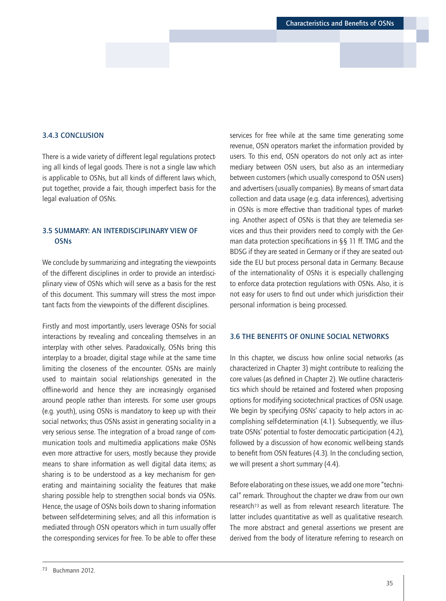# 3.4.3 Conclusion

There is a wide variety of different legal regulations protecting all kinds of legal goods. There is not a single law which is applicable to OSNs, but all kinds of different laws which, put together, provide a fair, though imperfect basis for the legal evaluation of OSNs.

# 3.5 Summary: An Interdisciplinary view of **OSNs**

We conclude by summarizing and integrating the viewpoints of the different disciplines in order to provide an interdisciplinary view of OSNs which will serve as a basis for the rest of this document. This summary will stress the most important facts from the viewpoints of the different disciplines.

Firstly and most importantly, users leverage OSNs for social interactions by revealing and concealing themselves in an interplay with other selves. Paradoxically, OSNs bring this interplay to a broader, digital stage while at the same time limiting the closeness of the encounter. OSNs are mainly used to maintain social relationships generated in the offline-world and hence they are increasingly organised around people rather than interests. For some user groups (e.g. youth), using OSNs is mandatory to keep up with their social networks; thus OSNs assist in generating sociality in a very serious sense. The integration of a broad range of communication tools and multimedia applications make OSNs even more attractive for users, mostly because they provide means to share information as well digital data items; as sharing is to be understood as a key mechanism for generating and maintaining sociality the features that make sharing possible help to strengthen social bonds via OSNs. Hence, the usage of OSNs boils down to sharing information between self-determining selves; and all this information is mediated through OSN operators which in turn usually offer the corresponding services for free. To be able to offer these services for free while at the same time generating some revenue, OSN operators market the information provided by users. To this end, OSN operators do not only act as intermediary between OSN users, but also as an intermediary between customers (which usually correspond to OSN users) and advertisers (usually companies). By means of smart data collection and data usage (e.g. data inferences), advertising in OSNs is more effective than traditional types of marketing. Another aspect of OSNs is that they are telemedia services and thus their providers need to comply with the German data protection specifications in §§ 11 ff. TMG and the BDSG if they are seated in Germany or if they are seated outside the EU but process personal data in Germany. Because of the internationality of OSNs it is especially challenging to enforce data protection regulations with OSNs. Also, it is not easy for users to find out under which jurisdiction their personal information is being processed.

# 3.6 The Benefits of Online Social Networks

In this chapter, we discuss how online social networks (as characterized in Chapter 3) might contribute to realizing the core values (as defined in Chapter 2). We outline characteristics which should be retained and fostered when proposing options for modifying sociotechnical practices of OSN usage. We begin by specifying OSNs' capacity to help actors in accomplishing self-determination (4.1). Subsequently, we illustrate OSNs' potential to foster democratic participation (4.2), followed by a discussion of how economic well-being stands to benefit from OSN features (4.3). In the concluding section, we will present a short summary (4.4).

Before elaborating on these issues, we add one more "technical" remark. Throughout the chapter we draw from our own research73 as well as from relevant research literature. The latter includes quantitative as well as qualitative research. The more abstract and general assertions we present are derived from the body of literature referring to research on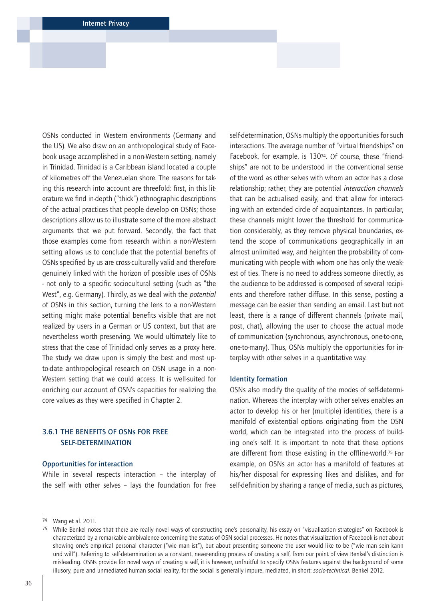OSNs conducted in Western environments (Germany and the US). We also draw on an anthropological study of Facebook usage accomplished in a non-Western setting, namely in Trinidad. Trinidad is a Caribbean island located a couple of kilometres off the Venezuelan shore. The reasons for taking this research into account are threefold: first, in this literature we find in-depth ("thick") ethnographic descriptions of the actual practices that people develop on OSNs; those descriptions allow us to illustrate some of the more abstract arguments that we put forward. Secondly, the fact that those examples come from research within a non-Western setting allows us to conclude that the potential benefits of OSNs specified by us are cross-culturally valid and therefore genuinely linked with the horizon of possible uses of OSNs - not only to a specific sociocultural setting (such as "the West", e.g. Germany). Thirdly, as we deal with the *potential* of OSNs in this section, turning the lens to a non-Western setting might make potential benefits visible that are not realized by users in a German or US context, but that are nevertheless worth preserving. We would ultimately like to stress that the case of Trinidad only serves as a proxy here. The study we draw upon is simply the best and most upto-date anthropological research on OSN usage in a non-Western setting that we could access. It is well-suited for enriching our account of OSN's capacities for realizing the core values as they were specified in Chapter 2.

# 3.6.1 The Benefits of OSNs for Free SELF-DETERMINATION

# Opportunities for interaction

While in several respects interaction – the interplay of the self with other selves – lays the foundation for free self-determination, OSNs multiply the opportunities for such interactions. The average number of "virtual friendships" on Facebook, for example, is 13074. Of course, these "friendships" are not to be understood in the conventional sense of the word as other selves with whom an actor has a close relationship; rather, they are potential *interaction channels*  that can be actualised easily, and that allow for interacting with an extended circle of acquaintances. In particular, these channels might lower the threshold for communication considerably, as they remove physical boundaries, extend the scope of communications geographically in an almost unlimited way, and heighten the probability of communicating with people with whom one has only the weakest of ties. There is no need to address someone directly, as the audience to be addressed is composed of several recipients and therefore rather diffuse. In this sense, posting a message can be easier than sending an email. Last but not least, there is a range of different channels (private mail, post, chat), allowing the user to choose the actual mode of communication (synchronous, asynchronous, one-to-one, one-to-many). Thus, OSNs multiply the opportunities for interplay with other selves in a quantitative way.

#### Identity formation

OSNs also modify the quality of the modes of self-determination. Whereas the interplay with other selves enables an actor to develop his or her (multiple) identities, there is a manifold of existential options originating from the OSN world, which can be integrated into the process of building one's self. It is important to note that these options are different from those existing in the offline-world.75 For example, on OSNs an actor has a manifold of features at his/her disposal for expressing likes and dislikes, and for self-definition by sharing a range of media, such as pictures,

<sup>74</sup> Wang et al. 2011.

While Benkel notes that there are really novel ways of constructing one's personality, his essay on "visualization strategies" on Facebook is characterized by a remarkable ambivalence concerning the status of OSN social processes. He notes that visualization of Facebook is not about showing one's empirical personal character ("wie man ist"), but about presenting someone the user would like to be ("wie man sein kann und will"). Referring to self-determination as a constant, never-ending process of creating a self, from our point of view Benkel's distinction is misleading. OSNs provide for novel ways of creating a self, it is however, unfruitful to specify OSNs features against the background of some illusory, pure and unmediated human social reality, for the social is generally impure, mediated, in short: *socio-technical*. Benkel 2012.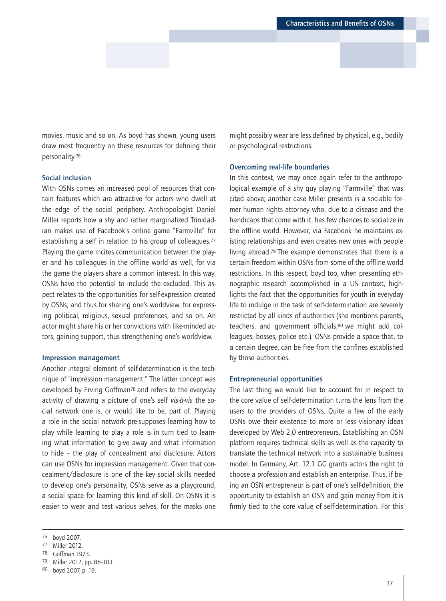movies, music and so on. As boyd has shown, young users draw most frequently on these resources for defining their personality.76

## Social inclusion

With OSNs comes an increased pool of resources that contain features which are attractive for actors who dwell at the edge of the social periphery. Anthropologist Daniel Miller reports how a shy and rather marginalized Trinidadian makes use of Facebook's online game "Farmville" for establishing a self in relation to his group of colleagues.77 Playing the game incites communication between the player and his colleagues in the offline world as well, for via the game the players share a common interest. In this way, OSNs have the potential to include the excluded. This aspect relates to the opportunities for self-expression created by OSNs, and thus for sharing one's worldview, for expressing political, religious, sexual preferences, and so on. An actor might share his or her convictions with like-minded actors, gaining support, thus strengthening one's worldview.

## Impression management

Another integral element of self-determination is the technique of "impression management." The latter concept was developed by Erving Goffman78 and refers to the everyday activity of drawing a picture of one's self *vis-à-vis* the social network one is, or would like to be, part of. Playing a role in the social network pre-supposes learning how to play while learning to play a role is in turn tied to learning what information to give away and what information to hide – the play of concealment and disclosure. Actors can use OSNs for impression management. Given that concealment/disclosure is one of the key social skills needed to develop one's personality, OSNs serve as a playground, a social space for learning this kind of skill. On OSNs it is easier to wear and test various selves, for the masks one

might possibly wear are less defined by physical, e.g., bodily or psychological restrictions.

#### Overcoming real-life boundaries

In this context, we may once again refer to the anthropological example of a shy guy playing "Farmville" that was cited above; another case Miller presents is a sociable former human rights attorney who, due to a disease and the handicaps that come with it, has few chances to socialize in the offline world. However, via Facebook he maintains existing relationships and even creates new ones with people living abroad.79 The example demonstrates that there is a certain freedom within OSNs from some of the offline world restrictions. In this respect, boyd too, when presenting ethnographic research accomplished in a US context, highlights the fact that the opportunities for youth in everyday life to indulge in the task of self-determination are severely restricted by all kinds of authorities (she mentions parents, teachers, and government officials;80 we might add colleagues, bosses, police etc.). OSNs provide a space that, to a certain degree, can be free from the confines established by those authorities.

#### Entrepreneurial opportunities

The last thing we would like to account for in respect to the core value of self-determination turns the lens from the users to the providers of OSNs. Quite a few of the early OSNs owe their existence to more or less visionary ideas developed by Web 2.0 entrepreneurs. Establishing an OSN platform requires technical skills as well as the capacity to translate the technical network into a sustainable business model. In Germany, Art. 12.1 GG grants actors the right to choose a profession and establish an enterprise. Thus, if being an OSN entrepreneur is part of one's self-definition, the opportunity to establish an OSN and gain money from it is firmly tied to the core value of self-determination. For this

<sup>76</sup> boyd 2007.

<sup>77</sup> Miller 2012.

<sup>78</sup> Goffman 1973.

<sup>79</sup> Miller 2012, pp. 88–103.

<sup>80</sup> boyd 2007, p. 19.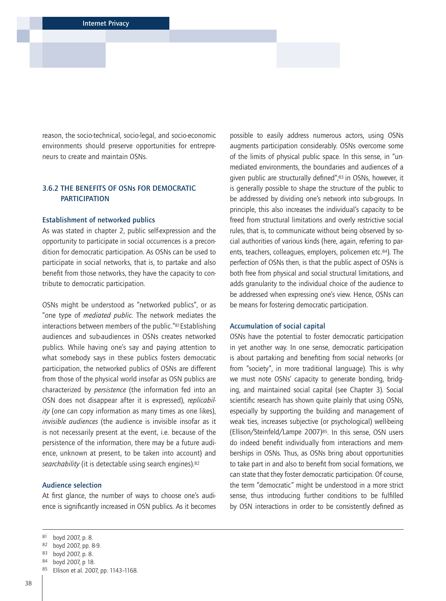reason, the socio-technical, socio-legal, and socio-economic environments should preserve opportunities for entrepreneurs to create and maintain OSNs.

# 3.6.2 The Benefits of OSNs for Democratic **PARTICIPATION**

## Establishment of networked publics

As was stated in chapter 2, public self-expression and the opportunity to participate in social occurrences is a precondition for democratic participation. As OSNs can be used to participate in social networks, that is, to partake and also benefit from those networks, they have the capacity to contribute to democratic participation.

OSNs might be understood as "networked publics", or as "one type of *mediated public*. The network mediates the interactions between members of the public."81Establishing audiences and sub-audiences in OSNs creates networked publics. While having one's say and paying attention to what somebody says in these publics fosters democratic participation, the networked publics of OSNs are different from those of the physical world insofar as OSN publics are characterized by *persistence* (the information fed into an OSN does not disappear after it is expressed), *replicability* (one can copy information as many times as one likes), *invisible audiences* (the audience is invisible insofar as it is not necessarily present at the event, i.e. because of the persistence of the information, there may be a future audience, unknown at present, to be taken into account) and *searchability* (it is detectable using search engines).82

## Audience selection

At first glance, the number of ways to choose one's audience is significantly increased in OSN publics. As it becomes

#### Accumulation of social capital

OSNs have the potential to foster democratic participation in yet another way. In one sense, democratic participation is about partaking and benefiting from social networks (or from "society", in more traditional language). This is why we must note OSNs' capacity to generate bonding, bridging, and maintained social capital (see Chapter 3). Social scientific research has shown quite plainly that using OSNs, especially by supporting the building and management of weak ties, increases subjective (or psychological) well-being (Ellison/Steinfeld/Lampe 2007)85. In this sense, OSN users do indeed benefit individually from interactions and memberships in OSNs. Thus, as OSNs bring about opportunities to take part in and also to benefit from social formations, we can state that they foster democratic participation. Of course, the term "democratic" might be understood in a more strict sense, thus introducing further conditions to be fulfilled by OSN interactions in order to be consistently defined as

possible to easily address numerous actors, using OSNs augments participation considerably. OSNs overcome some of the limits of physical public space. In this sense, in "unmediated environments, the boundaries and audiences of a given public are structurally defined";83 in OSNs, however, it is generally possible to shape the structure of the public to be addressed by dividing one's network into sub-groups. In principle, this also increases the individual's capacity to be freed from structural limitations and overly restrictive social rules, that is, to communicate without being observed by social authorities of various kinds (here, again, referring to parents, teachers, colleagues, employers, policemen etc.84). The perfection of OSNs then, is that the public aspect of OSNs is both free from physical and social structural limitations, and adds granularity to the individual choice of the audience to be addressed when expressing one's view. Hence, OSNs can be means for fostering democratic participation.

<sup>81</sup> boyd 2007, p. 8.

<sup>82</sup> boyd 2007, pp. 8-9.

<sup>83</sup> boyd 2007, p. 8.

 $\frac{84}{85}$  boyd 2007, p 18.

<sup>85</sup> Ellison et al. 2007, pp. 1143–1168.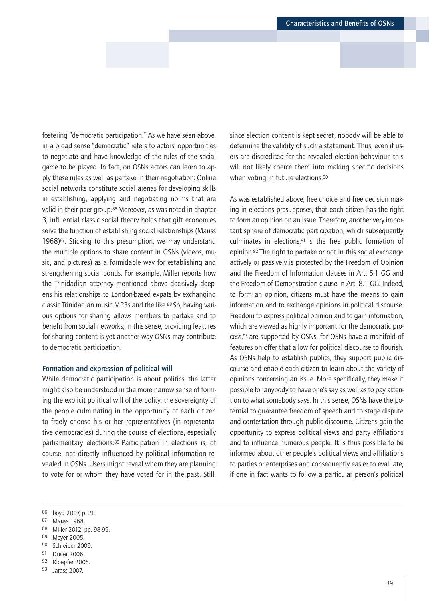fostering "democratic participation." As we have seen above, in a broad sense "democratic" refers to actors' opportunities to negotiate and have knowledge of the rules of the social game to be played. In fact, on OSNs actors can learn to apply these rules as well as partake in their negotiation: Online social networks constitute social arenas for developing skills in establishing, applying and negotiating norms that are valid in their peer group.86 Moreover, as was noted in chapter 3, influential classic social theory holds that gift economies serve the function of establishing social relationships (Mauss 1968)87. Sticking to this presumption, we may understand the multiple options to share content in OSNs (videos, music, and pictures) as a formidable way for establishing and strengthening social bonds. For example, Miller reports how the Trinidadian attorney mentioned above decisively deepens his relationships to London-based expats by exchanging classic Trinidadian music MP3s and the like.88 So, having various options for sharing allows members to partake and to benefit from social networks; in this sense, providing features for sharing content is yet another way OSNs may contribute to democratic participation.

## Formation and expression of political will

While democratic participation is about politics, the latter might also be understood in the more narrow sense of forming the explicit political will of the polity: the sovereignty of the people culminating in the opportunity of each citizen to freely choose his or her representatives (in representative democracies) during the course of elections, especially parliamentary elections.89 Participation in elections is, of course, not directly influenced by political information revealed in OSNs. Users might reveal whom they are planning to vote for or whom they have voted for in the past. Still, since election content is kept secret, nobody will be able to determine the validity of such a statement. Thus, even if users are discredited for the revealed election behaviour, this will not likely coerce them into making specific decisions when voting in future elections.90

As was established above, free choice and free decision making in elections presupposes, that each citizen has the right to form an opinion on an issue. Therefore, another very important sphere of democratic participation, which subsequently culminates in elections,91 is the free public formation of opinion.92 The right to partake or not in this social exchange actively or passively is protected by the Freedom of Opinion and the Freedom of Information clauses in Art. 5.1 GG and the Freedom of Demonstration clause in Art. 8.1 GG. Indeed, to form an opinion, citizens must have the means to gain information and to exchange opinions in political discourse. Freedom to express political opinion and to gain information, which are viewed as highly important for the democratic process,93 are supported by OSNs, for OSNs have a manifold of features on offer that allow for political discourse to flourish. As OSNs help to establish publics, they support public discourse and enable each citizen to learn about the variety of opinions concerning an issue. More specifically, they make it possible for anybody to have one's say as well as to pay attention to what somebody says. In this sense, OSNs have the potential to guarantee freedom of speech and to stage dispute and contestation through public discourse. Citizens gain the opportunity to express political views and party affiliations and to influence numerous people. It is thus possible to be informed about other people's political views and affiliations to parties or enterprises and consequently easier to evaluate, if one in fact wants to follow a particular person's political

<sup>86</sup> boyd 2007, p. 21.

<sup>87</sup> Mauss 1968.

<sup>88</sup> Miller 2012, pp. 98-99.

<sup>89</sup> Meyer 2005.

<sup>90</sup> Schreiber 2009.

<sup>91</sup> Dreier 2006.

<sup>92</sup> Kloepfer 2005.

<sup>93</sup> Jarass 2007.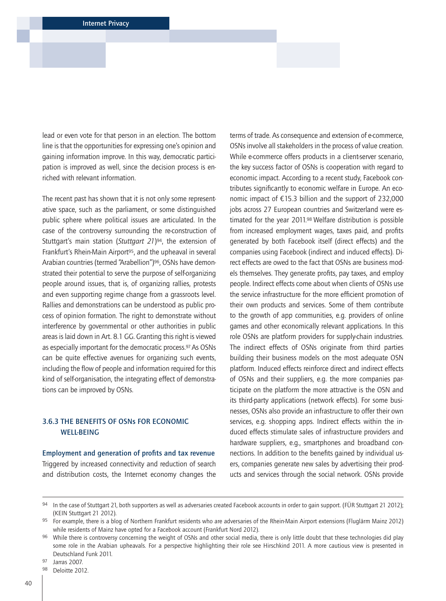lead or even vote for that person in an election. The bottom line is that the opportunities for expressing one's opinion and gaining information improve. In this way, democratic participation is improved as well, since the decision process is enriched with relevant information.

The recent past has shown that it is not only some representative space, such as the parliament, or some distinguished public sphere where political issues are articulated. In the case of the controversy surrounding the re-construction of Stuttgart's main station (*Stuttgart 21*)94, the extension of Frankfurt's Rhein-Main Airport<sup>95</sup>, and the upheaval in several Arabian countries (termed "Arabellion")<sup>96</sup>, OSNs have demonstrated their potential to serve the purpose of self-organizing people around issues, that is, of organizing rallies, protests and even supporting regime change from a grassroots level. Rallies and demonstrations can be understood as public process of opinion formation. The right to demonstrate without interference by governmental or other authorities in public areas is laid down in Art. 8.1 GG. Granting this right is viewed as especially important for the democratic process.97 As OSNs can be quite effective avenues for organizing such events, including the flow of people and information required for this kind of self-organisation, the integrating effect of demonstrations can be improved by OSNs.

# 3.6.3 The Benefits of OSNs for Economic Well-Being

Employment and generation of profits and tax revenue Triggered by increased connectivity and reduction of search and distribution costs, the Internet economy changes the terms of trade. As consequence and extension of e-commerce, OSNs involve all stakeholders in the process of value creation. While e-commerce offers products in a client-server scenario, the key success factor of OSNs is cooperation with regard to economic impact. According to a recent study, Facebook contributes significantly to economic welfare in Europe. An economic impact of €15.3 billion and the support of 232,000 jobs across 27 European countries and Switzerland were estimated for the year 2011.98 Welfare distribution is possible from increased employment wages, taxes paid, and profits generated by both Facebook itself (direct effects) and the companies using Facebook (indirect and induced effects). Direct effects are owed to the fact that OSNs are business models themselves. They generate profits, pay taxes, and employ people. Indirect effects come about when clients of OSNs use the service infrastructure for the more efficient promotion of their own products and services. Some of them contribute to the growth of app communities, e.g. providers of online games and other economically relevant applications. In this role OSNs are platform providers for supply-chain industries. The indirect effects of OSNs originate from third parties building their business models on the most adequate OSN platform. Induced effects reinforce direct and indirect effects of OSNs and their suppliers, e.g. the more companies participate on the platform the more attractive is the OSN and its third-party applications (network effects). For some businesses, OSNs also provide an infrastructure to offer their own services, e.g. shopping apps. Indirect effects within the induced effects stimulate sales of infrastructure providers and hardware suppliers, e.g., smartphones and broadband connections. In addition to the benefits gained by individual users, companies generate new sales by advertising their products and services through the social network. OSNs provide

<sup>94</sup> In the case of Stuttgart 21, both supporters as well as adversaries created Facebook accounts in order to gain support. (FÜR Stuttgart 21 2012); (KEIN Stuttgart 21 2012).

<sup>95</sup> For example, there is a blog of Northern Frankfurt residents who are adversaries of the Rhein-Main Airport extensions (Fluglärm Mainz 2012) while residents of Mainz have opted for a Facebook account (Frankfurt Nord 2012).

<sup>96</sup> While there is controversy concerning the weight of OSNs and other social media, there is only little doubt that these technologies did play some role in the Arabian upheavals. For a perspective highlighting their role see Hirschkind 2011. A more cautious view is presented in Deutschland Funk 2011.

<sup>97</sup> Jarras 2007.

<sup>98</sup> Deloitte 2012.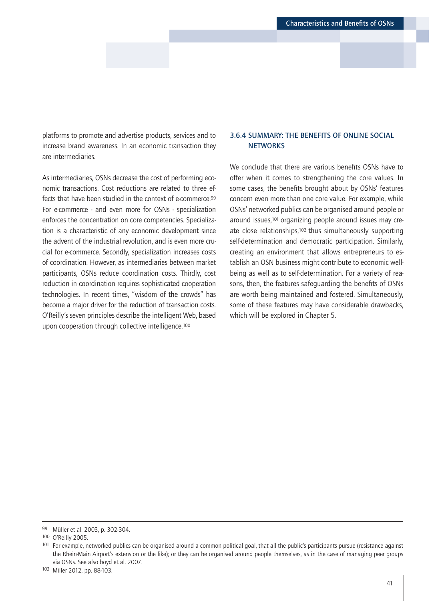platforms to promote and advertise products, services and to increase brand awareness. In an economic transaction they are intermediaries.

As intermediaries, OSNs decrease the cost of performing economic transactions. Cost reductions are related to three effects that have been studied in the context of e-commerce.99 For e-commerce - and even more for OSNs - specialization enforces the concentration on core competencies. Specialization is a characteristic of any economic development since the advent of the industrial revolution, and is even more crucial for e-commerce. Secondly, specialization increases costs of coordination. However, as intermediaries between market participants, OSNs reduce coordination costs. Thirdly, cost reduction in coordination requires sophisticated cooperation technologies. In recent times, "wisdom of the crowds" has become a major driver for the reduction of transaction costs. O'Reilly's seven principles describe the intelligent Web, based upon cooperation through collective intelligence.<sup>100</sup>

# 3.6.4 Summary: The Benefits of Online Social **NETWORKS**

We conclude that there are various benefits OSNs have to offer when it comes to strengthening the core values. In some cases, the benefits brought about by OSNs' features concern even more than one core value. For example, while OSNs' networked publics can be organised around people or around issues,101 organizing people around issues may create close relationships,<sup>102</sup> thus simultaneously supporting self-determination and democratic participation. Similarly, creating an environment that allows entrepreneurs to establish an OSN business might contribute to economic wellbeing as well as to self-determination. For a variety of reasons, then, the features safeguarding the benefits of OSNs are worth being maintained and fostered. Simultaneously, some of these features may have considerable drawbacks, which will be explored in Chapter 5.

<sup>99</sup> Müller et al. 2003, p. 302-304.

<sup>100</sup> O'Reilly 2005.

<sup>&</sup>lt;sup>101</sup> For example, networked publics can be organised around a common political goal, that all the public's participants pursue (resistance against the Rhein-Main Airport's extension or the like); or they can be organised around people themselves, as in the case of managing peer groups via OSNs. See also boyd et al. 2007.

<sup>102</sup> Miller 2012, pp. 88-103.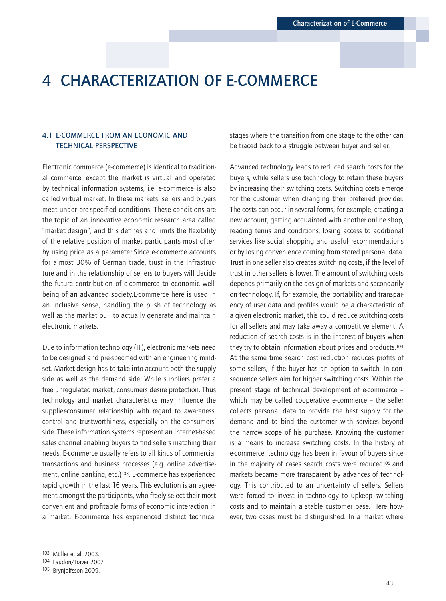# 4 Characterization of E-Commerce

# 4.1 E-Commerce from an Economic and Technical Perspective

Electronic commerce (e-commerce) is identical to traditional commerce, except the market is virtual and operated by technical information systems, i.e. e-commerce is also called virtual market. In these markets, sellers and buyers meet under pre-specified conditions. These conditions are the topic of an innovative economic research area called "market design", and this defines and limits the flexibility of the relative position of market participants most often by using price as a parameter.Since e-commerce accounts for almost 30% of German trade, trust in the infrastructure and in the relationship of sellers to buyers will decide the future contribution of e-commerce to economic wellbeing of an advanced society.E-commerce here is used in an inclusive sense, handling the push of technology as well as the market pull to actually generate and maintain electronic markets.

Due to information technology (IT), electronic markets need to be designed and pre-specified with an engineering mindset. Market design has to take into account both the supply side as well as the demand side. While suppliers prefer a free unregulated market, consumers desire protection. Thus technology and market characteristics may influence the supplier-consumer relationship with regard to awareness, control and trustworthiness, especially on the consumers' side. These information systems represent an Internet-based sales channel enabling buyers to find sellers matching their needs. E-commerce usually refers to all kinds of commercial transactions and business processes (e.g. online advertisement, online banking, etc.)<sup>103</sup>. E-commerce has experienced rapid growth in the last 16 years. This evolution is an agreement amongst the participants, who freely select their most convenient and profitable forms of economic interaction in a market. E-commerce has experienced distinct technical

stages where the transition from one stage to the other can be traced back to a struggle between buyer and seller.

Advanced technology leads to reduced search costs for the buyers, while sellers use technology to retain these buyers by increasing their switching costs. Switching costs emerge for the customer when changing their preferred provider. The costs can occur in several forms, for example, creating a new account, getting acquainted with another online shop, reading terms and conditions, losing access to additional services like social shopping and useful recommendations or by losing convenience coming from stored personal data. Trust in one seller also creates switching costs, if the level of trust in other sellers is lower. The amount of switching costs depends primarily on the design of markets and secondarily on technology. If, for example, the portability and transparency of user data and profiles would be a characteristic of a given electronic market, this could reduce switching costs for all sellers and may take away a competitive element. A reduction of search costs is in the interest of buyers when they try to obtain information about prices and products.<sup>104</sup> At the same time search cost reduction reduces profits of some sellers, if the buyer has an option to switch. In consequence sellers aim for higher switching costs. Within the present stage of technical development of e-commerce – which may be called cooperative e-commerce – the seller collects personal data to provide the best supply for the demand and to bind the customer with services beyond the narrow scope of his purchase. Knowing the customer is a means to increase switching costs. In the history of e-commerce, technology has been in favour of buyers since in the majority of cases search costs were reduced105 and markets became more transparent by advances of technology. This contributed to an uncertainty of sellers. Sellers were forced to invest in technology to upkeep switching costs and to maintain a stable customer base. Here however, two cases must be distinguished. In a market where

<sup>103</sup> Müller et al. 2003.

<sup>104</sup> Laudon/Traver 2007.

<sup>105</sup> Brynjolfsson 2009.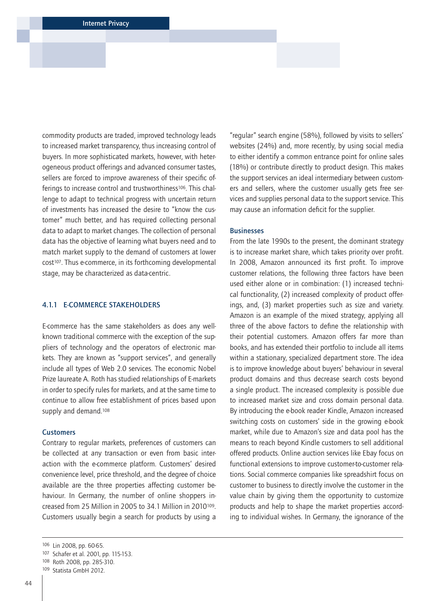commodity products are traded, improved technology leads to increased market transparency, thus increasing control of buyers. In more sophisticated markets, however, with heterogeneous product offerings and advanced consumer tastes, sellers are forced to improve awareness of their specific offerings to increase control and trustworthiness<sup>106</sup>. This challenge to adapt to technical progress with uncertain return of investments has increased the desire to "know the customer" much better, and has required collecting personal data to adapt to market changes. The collection of personal data has the objective of learning what buyers need and to match market supply to the demand of customers at lower cost<sup>107</sup>. Thus e-commerce, in its forthcoming developmental stage, may be characterized as data-centric.

## 4.1.1 **F-COMMERCE STAKEHOLDERS**

E-commerce has the same stakeholders as does any wellknown traditional commerce with the exception of the suppliers of technology and the operators of electronic markets. They are known as "support services", and generally include all types of Web 2.0 services. The economic Nobel Prize laureate A. Roth has studied relationships of E-markets in order to specify rules for markets, and at the same time to continue to allow free establishment of prices based upon supply and demand.<sup>108</sup>

#### **Customers**

Contrary to regular markets, preferences of customers can be collected at any transaction or even from basic interaction with the e-commerce platform. Customers' desired convenience level, price threshold, and the degree of choice available are the three properties affecting customer behaviour. In Germany, the number of online shoppers increased from 25 Million in 2005 to 34.1 Million in 2010109. Customers usually begin a search for products by using a

"regular" search engine (58%), followed by visits to sellers' websites (24%) and, more recently, by using social media to either identify a common entrance point for online sales (18%) or contribute directly to product design. This makes the support services an ideal intermediary between customers and sellers, where the customer usually gets free services and supplies personal data to the support service. This may cause an information deficit for the supplier.

# **Businesses**

From the late 1990s to the present, the dominant strategy is to increase market share, which takes priority over profit. In 2008, Amazon announced its first profit. To improve customer relations, the following three factors have been used either alone or in combination: (1) increased technical functionality, (2) increased complexity of product offerings, and, (3) market properties such as size and variety. Amazon is an example of the mixed strategy, applying all three of the above factors to define the relationship with their potential customers. Amazon offers far more than books, and has extended their portfolio to include all items within a stationary, specialized department store. The idea is to improve knowledge about buyers' behaviour in several product domains and thus decrease search costs beyond a single product. The increased complexity is possible due to increased market size and cross domain personal data. By introducing the e-book reader Kindle, Amazon increased switching costs on customers' side in the growing e-book market, while due to Amazon's size and data pool has the means to reach beyond Kindle customers to sell additional offered products. Online auction services like Ebay focus on functional extensions to improve customer-to-customer relations. Social commerce companies like spreadshirt focus on customer to business to directly involve the customer in the value chain by giving them the opportunity to customize products and help to shape the market properties according to individual wishes. In Germany, the ignorance of the

<sup>106</sup> Lin 2008, pp. 60-65.

<sup>107</sup> Schafer et al. 2001, pp. 115-153.

<sup>108</sup> Roth 2008, pp. 285-310.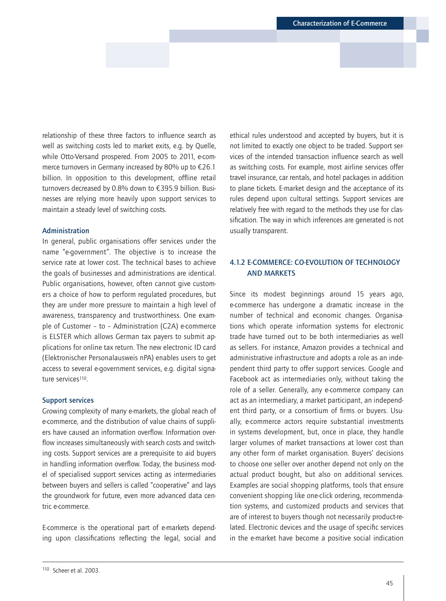relationship of these three factors to influence search as well as switching costs led to market exits, e.g. by Quelle, while Otto-Versand prospered. From 2005 to 2011, e-commerce turnovers in Germany increased by 80% up to €26.1 billion. In opposition to this development, offline retail turnovers decreased by 0.8% down to €395.9 billion. Businesses are relying more heavily upon support services to maintain a steady level of switching costs.

# Administration

In general, public organisations offer services under the name "e-government". The objective is to increase the service rate at lower cost. The technical bases to achieve the goals of businesses and administrations are identical. Public organisations, however, often cannot give customers a choice of how to perform regulated procedures, but they are under more pressure to maintain a high level of awareness, transparency and trustworthiness. One example of Customer – to – Administration (C2A) e-commerce is ELSTER which allows German tax payers to submit applications for online tax return. The new electronic ID card (Elektronischer Personalausweis nPA) enables users to get access to several e-government services, e.g. digital signature services<sup>110</sup>.

#### Support services

Growing complexity of many e-markets, the global reach of e-commerce, and the distribution of value chains of suppliers have caused an information overflow. Information overflow increases simultaneously with search costs and switching costs. Support services are a prerequisite to aid buyers in handling information overflow. Today, the business model of specialised support services acting as intermediaries between buyers and sellers is called "cooperative" and lays the groundwork for future, even more advanced data centric e-commerce.

E-commerce is the operational part of e-markets depending upon classifications reflecting the legal, social and

ethical rules understood and accepted by buyers, but it is not limited to exactly one object to be traded. Support services of the intended transaction influence search as well as switching costs. For example, most airline services offer travel insurance, car rentals, and hotel packages in addition to plane tickets. E-market design and the acceptance of its rules depend upon cultural settings. Support services are relatively free with regard to the methods they use for classification. The way in which inferences are generated is not usually transparent.

# 4.1.2 E-Commerce: Co-Evolution of Technology and Markets

Since its modest beginnings around 15 years ago, e-commerce has undergone a dramatic increase in the number of technical and economic changes. Organisations which operate information systems for electronic trade have turned out to be both intermediaries as well as sellers. For instance, Amazon provides a technical and administrative infrastructure and adopts a role as an independent third party to offer support services. Google and Facebook act as intermediaries only, without taking the role of a seller. Generally, any e-commerce company can act as an intermediary, a market participant, an independent third party, or a consortium of firms or buyers. Usually, e-commerce actors require substantial investments in systems development, but, once in place, they handle larger volumes of market transactions at lower cost than any other form of market organisation. Buyers' decisions to choose one seller over another depend not only on the actual product bought, but also on additional services. Examples are social shopping platforms, tools that ensure convenient shopping like one-click ordering, recommendation systems, and customized products and services that are of interest to buyers though not necessarily product-related. Electronic devices and the usage of specific services in the e-market have become a positive social indication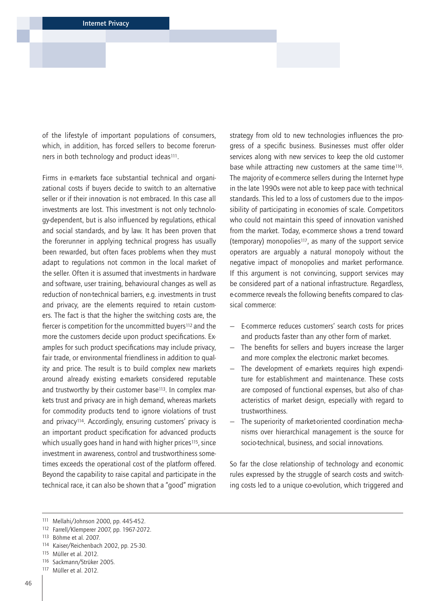of the lifestyle of important populations of consumers, which, in addition, has forced sellers to become forerunners in both technology and product ideas<sup>111</sup>.

Firms in e-markets face substantial technical and organizational costs if buyers decide to switch to an alternative seller or if their innovation is not embraced. In this case all investments are lost. This investment is not only technology-dependent, but is also influenced by regulations, ethical and social standards, and by law. It has been proven that the forerunner in applying technical progress has usually been rewarded, but often faces problems when they must adapt to regulations not common in the local market of the seller. Often it is assumed that investments in hardware and software, user training, behavioural changes as well as reduction of non-technical barriers, e.g. investments in trust and privacy, are the elements required to retain customers. The fact is that the higher the switching costs are, the fiercer is competition for the uncommitted buyers<sup>112</sup> and the more the customers decide upon product specifications. Examples for such product specifications may include privacy, fair trade, or environmental friendliness in addition to quality and price. The result is to build complex new markets around already existing e-markets considered reputable and trustworthy by their customer base<sup>113</sup>. In complex markets trust and privacy are in high demand, whereas markets for commodity products tend to ignore violations of trust and privacy114. Accordingly, ensuring customers' privacy is an important product specification for advanced products which usually goes hand in hand with higher prices<sup>115</sup>, since investment in awareness, control and trustworthiness sometimes exceeds the operational cost of the platform offered. Beyond the capability to raise capital and participate in the technical race, it can also be shown that a "good" migration

strategy from old to new technologies influences the progress of a specific business. Businesses must offer older services along with new services to keep the old customer base while attracting new customers at the same time116. The majority of e-commerce sellers during the Internet hype in the late 1990s were not able to keep pace with technical standards. This led to a loss of customers due to the impossibility of participating in economies of scale. Competitors who could not maintain this speed of innovation vanished from the market. Today, e-commerce shows a trend toward (temporary) monopolies117, as many of the support service operators are arguably a natural monopoly without the negative impact of monopolies and market performance. If this argument is not convincing, support services may be considered part of a national infrastructure. Regardless, e-commerce reveals the following benefits compared to classical commerce:

- E-commerce reduces customers' search costs for prices and products faster than any other form of market.
- The benefits for sellers and buyers increase the larger and more complex the electronic market becomes.
- The development of e-markets requires high expenditure for establishment and maintenance. These costs are composed of functional expenses, but also of characteristics of market design, especially with regard to trustworthiness.
- The superiority of market-oriented coordination mechanisms over hierarchical management is the source for socio-technical, business, and social innovations.

So far the close relationship of technology and economic rules expressed by the struggle of search costs and switching costs led to a unique co-evolution, which triggered and

<sup>111</sup> Mellahi/Johnson 2000, pp. 445-452.

<sup>112</sup> Farrell/Klemperer 2007, pp. 1967-2072.

<sup>113</sup> Böhme et al. 2007.

<sup>114</sup> Kaiser/Reichenbach 2002, pp. 25-30.

<sup>115</sup> Müller et al. 2012.

<sup>116</sup> Sackmann/Strüker 2005.

<sup>117</sup> Müller et al. 2012.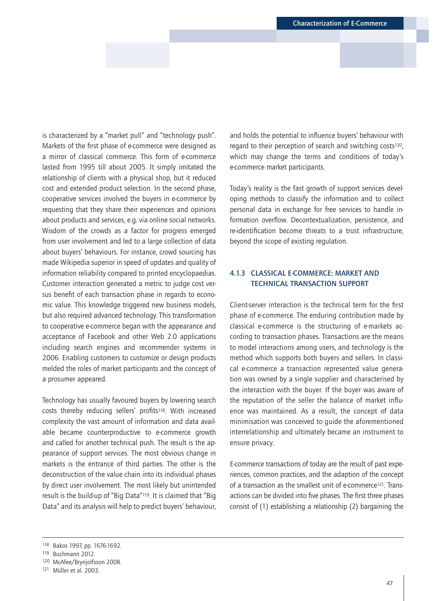is characterized by a "market pull" and "technology push". Markets of the first phase of e-commerce were designed as a mirror of classical commerce. This form of e-commerce lasted from 1995 till about 2005. It simply imitated the relationship of clients with a physical shop, but it reduced cost and extended product selection. In the second phase, cooperative services involved the buyers in e-commerce by requesting that they share their experiences and opinions about products and services, e.g. via online social networks. Wisdom of the crowds as a factor for progress emerged from user involvement and led to a large collection of data about buyers' behaviours. For instance, crowd sourcing has made Wikipedia superior in speed of updates and quality of information reliability compared to printed encyclopaedias. Customer interaction generated a metric to judge cost versus benefit of each transaction phase in regards to economic value. This knowledge triggered new business models, but also required advanced technology. This transformation to cooperative e-commerce began with the appearance and acceptance of Facebook and other Web 2.0 applications including search engines and recommender systems in 2006. Enabling customers to customize or design products melded the roles of market participants and the concept of a prosumer appeared.

Technology has usually favoured buyers by lowering search costs thereby reducing sellers' profits118. With increased complexity the vast amount of information and data available became counterproductive to e-commerce growth and called for another technical push. The result is the appearance of support services. The most obvious change in markets is the entrance of third parties. The other is the deconstruction of the value chain into its individual phases by direct user involvement. The most likely but unintended result is the build-up of "Big Data"119. It is claimed that "Big Data" and its analysis will help to predict buyers' behaviour,

and holds the potential to influence buyers' behaviour with regard to their perception of search and switching costs120, which may change the terms and conditions of today's e-commerce market participants.

Today's reality is the fast growth of support services developing methods to classify the information and to collect personal data in exchange for free services to handle information overflow. Decontextualization, persistence, and re-identification become threats to a trust infrastructure, beyond the scope of existing regulation.

# 4.1.3 Classical E-Commerce: Market and Technical Transaction Support

Client-server interaction is the technical term for the first phase of e-commerce. The enduring contribution made by classical e-commerce is the structuring of e-markets according to transaction phases. Transactions are the means to model interactions among users, and technology is the method which supports both buyers and sellers. In classical e-commerce a transaction represented value generation was owned by a single supplier and characterised by the interaction with the buyer. If the buyer was aware of the reputation of the seller the balance of market influence was maintained. As a result, the concept of data minimisation was conceived to guide the aforementioned interrelationship and ultimately became an instrument to ensure privacy.

E-commerce transactions of today are the result of past experiences, common practices, and the adaption of the concept of a transaction as the smallest unit of e-commerce121. Transactions can be divided into five phases. The first three phases consist of (1) establishing a relationship (2) bargaining the

<sup>118</sup> Bakos 1997, pp. 1676-1692.

<sup>119</sup> Buchmann 2012.

<sup>120</sup> McAfee/Brynjolfsson 2008.

<sup>121</sup> Müller et al. 2003.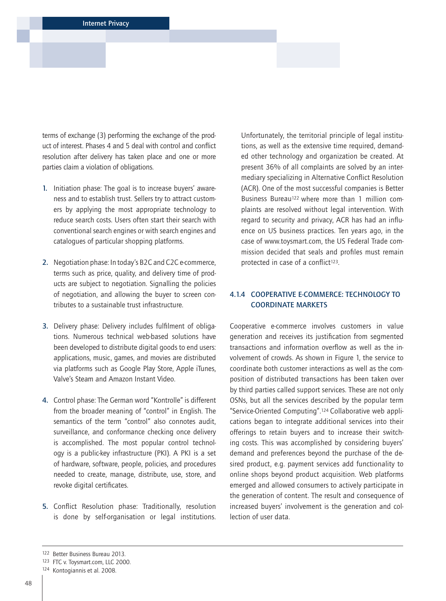terms of exchange (3) performing the exchange of the product of interest. Phases 4 and 5 deal with control and conflict resolution after delivery has taken place and one or more parties claim a violation of obligations.

- 1. Initiation phase: The goal is to increase buyers' awareness and to establish trust. Sellers try to attract customers by applying the most appropriate technology to reduce search costs. Users often start their search with conventional search engines or with search engines and catalogues of particular shopping platforms.
- 2. Negotiation phase: In today's B2C and C2C e-commerce, terms such as price, quality, and delivery time of products are subject to negotiation. Signalling the policies of negotiation, and allowing the buyer to screen contributes to a sustainable trust infrastructure.
- 3. Delivery phase: Delivery includes fulfilment of obligations. Numerous technical web-based solutions have been developed to distribute digital goods to end users: applications, music, games, and movies are distributed via platforms such as Google Play Store, Apple iTunes, Valve's Steam and Amazon Instant Video.
- 4. Control phase: The German word "Kontrolle" is different from the broader meaning of "control" in English. The semantics of the term "control" also connotes audit, surveillance, and conformance checking once delivery is accomplished. The most popular control technology is a public-key infrastructure (PKI). A PKI is a set of hardware, software, people, policies, and procedures needed to create, manage, distribute, use, store, and revoke digital certificates.
- 5. Conflict Resolution phase: Traditionally, resolution is done by self-organisation or legal institutions.

Unfortunately, the territorial principle of legal institutions, as well as the extensive time required, demanded other technology and organization be created. At present 36% of all complaints are solved by an intermediary specializing in Alternative Conflict Resolution (ACR). One of the most successful companies is Better Business Bureau<sup>122</sup> where more than 1 million complaints are resolved without legal intervention. With regard to security and privacy, ACR has had an influence on US business practices. Ten years ago, in the case of www.toysmart.com, the US Federal Trade commission decided that seals and profiles must remain protected in case of a conflict<sup>123</sup>.

# 4.1.4 Cooperative E-Commerce: Technology to Coordinate Markets

Cooperative e-commerce involves customers in value generation and receives its justification from segmented transactions and information overflow as well as the involvement of crowds. As shown in Figure 1, the service to coordinate both customer interactions as well as the composition of distributed transactions has been taken over by third parties called support services. These are not only OSNs, but all the services described by the popular term "Service-Oriented Computing".124 Collaborative web applications began to integrate additional services into their offerings to retain buyers and to increase their switching costs. This was accomplished by considering buyers' demand and preferences beyond the purchase of the desired product, e.g. payment services add functionality to online shops beyond product acquisition. Web platforms emerged and allowed consumers to actively participate in the generation of content. The result and consequence of increased buyers' involvement is the generation and collection of user data.

<sup>122</sup> Better Business Bureau 2013.

<sup>123</sup> FTC v. Toysmart.com, LLC 2000.

<sup>124</sup> Kontogiannis et al. 2008.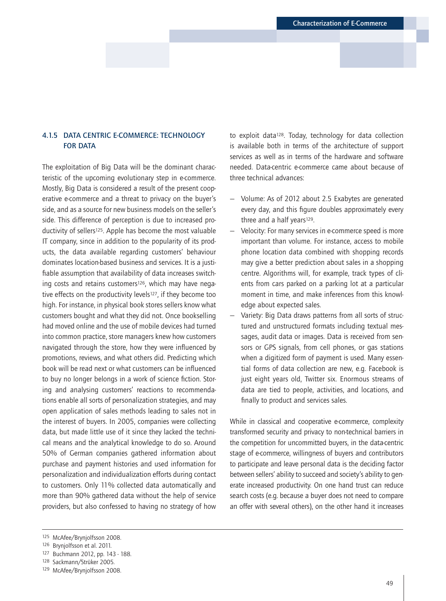# 4.1.5 Data Centric E-Commerce: Technology **FOR DATA**

The exploitation of Big Data will be the dominant characteristic of the upcoming evolutionary step in e-commerce. Mostly, Big Data is considered a result of the present cooperative e-commerce and a threat to privacy on the buyer's side, and as a source for new business models on the seller's side. This difference of perception is due to increased productivity of sellers125. Apple has become the most valuable IT company, since in addition to the popularity of its products, the data available regarding customers' behaviour dominates location-based business and services. It is a justifiable assumption that availability of data increases switching costs and retains customers<sup>126</sup>, which may have negative effects on the productivity levels127, if they become too high. For instance, in physical book stores sellers know what customers bought and what they did not. Once bookselling had moved online and the use of mobile devices had turned into common practice, store managers knew how customers navigated through the store, how they were influenced by promotions, reviews, and what others did. Predicting which book will be read next or what customers can be influenced to buy no longer belongs in a work of science fiction. Storing and analysing customers' reactions to recommendations enable all sorts of personalization strategies, and may open application of sales methods leading to sales not in the interest of buyers. In 2005, companies were collecting data, but made little use of it since they lacked the technical means and the analytical knowledge to do so. Around 50% of German companies gathered information about purchase and payment histories and used information for personalization and individualization efforts during contact to customers. Only 11% collected data automatically and more than 90% gathered data without the help of service providers, but also confessed to having no strategy of how

to exploit data128. Today, technology for data collection is available both in terms of the architecture of support services as well as in terms of the hardware and software needed. Data-centric e-commerce came about because of three technical advances:

- Volume: As of 2012 about 2.5 Exabytes are generated every day, and this figure doubles approximately every three and a half years<sup>129</sup>.
- Velocity: For many services in e-commerce speed is more important than volume. For instance, access to mobile phone location data combined with shopping records may give a better prediction about sales in a shopping centre. Algorithms will, for example, track types of clients from cars parked on a parking lot at a particular moment in time, and make inferences from this knowledge about expected sales.
- Variety: Big Data draws patterns from all sorts of structured and unstructured formats including textual messages, audit data or images. Data is received from sensors or GPS signals, from cell phones, or gas stations when a digitized form of payment is used. Many essential forms of data collection are new, e.g. Facebook is just eight years old, Twitter six. Enormous streams of data are tied to people, activities, and locations, and finally to product and services sales.

While in classical and cooperative e-commerce, complexity transformed security and privacy to non-technical barriers in the competition for uncommitted buyers, in the data-centric stage of e-commerce, willingness of buyers and contributors to participate and leave personal data is the deciding factor between sellers' ability to succeed and society's ability to generate increased productivity. On one hand trust can reduce search costs (e.g. because a buyer does not need to compare an offer with several others), on the other hand it increases

<sup>125</sup> McAfee/Brynjolfsson 2008.

<sup>126</sup> Brynjolfsson et al. 2011.

<sup>127</sup> Buchmann 2012, pp. 143 - 188.

<sup>128</sup> Sackmann/Strüker 2005.

<sup>129</sup> McAfee/Brynjolfsson 2008.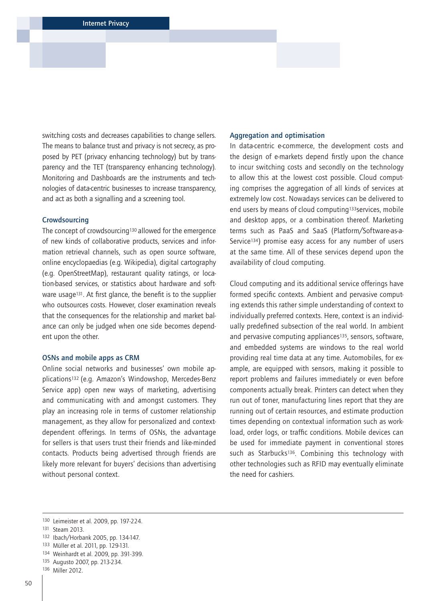switching costs and decreases capabilities to change sellers. The means to balance trust and privacy is not secrecy, as proposed by PET (privacy enhancing technology) but by transparency and the TET (transparency enhancing technology). Monitoring and Dashboards are the instruments and technologies of data-centric businesses to increase transparency, and act as both a signalling and a screening tool.

#### Crowdsourcing

The concept of crowdsourcing<sup>130</sup> allowed for the emergence of new kinds of collaborative products, services and information retrieval channels, such as open source software, online encyclopaedias (e.g. Wikipedia), digital cartography (e.g. OpenStreetMap), restaurant quality ratings, or location-based services, or statistics about hardware and software usage<sup>131</sup>. At first glance, the benefit is to the supplier who outsources costs. However, closer examination reveals that the consequences for the relationship and market balance can only be judged when one side becomes dependent upon the other.

## OSNs and mobile apps as CRM

Online social networks and businesses' own mobile applications132 (e.g. Amazon's Windowshop, Mercedes-Benz Service app) open new ways of marketing, advertising and communicating with and amongst customers. They play an increasing role in terms of customer relationship management, as they allow for personalized and contextdependent offerings. In terms of OSNs, the advantage for sellers is that users trust their friends and like-minded contacts. Products being advertised through friends are likely more relevant for buyers' decisions than advertising without personal context.

#### Aggregation and optimisation

In data-centric e-commerce, the development costs and the design of e-markets depend firstly upon the chance to incur switching costs and secondly on the technology to allow this at the lowest cost possible. Cloud computing comprises the aggregation of all kinds of services at extremely low cost. Nowadays services can be delivered to end users by means of cloud computing133services, mobile and desktop apps, or a combination thereof. Marketing terms such as PaaS and SaaS (Platform/Software-as-a-Service<sup>134</sup>) promise easy access for any number of users at the same time. All of these services depend upon the availability of cloud computing.

Cloud computing and its additional service offerings have formed specific contexts. Ambient and pervasive computing extends this rather simple understanding of context to individually preferred contexts. Here, context is an individually predefined subsection of the real world. In ambient and pervasive computing appliances<sup>135</sup>, sensors, software, and embedded systems are windows to the real world providing real time data at any time. Automobiles, for example, are equipped with sensors, making it possible to report problems and failures immediately or even before components actually break. Printers can detect when they run out of toner, manufacturing lines report that they are running out of certain resources, and estimate production times depending on contextual information such as workload, order logs, or traffic conditions. Mobile devices can be used for immediate payment in conventional stores such as Starbucks<sup>136</sup>. Combining this technology with other technologies such as RFID may eventually eliminate the need for cashiers.

135 Augusto 2007, pp. 213-234.

<sup>130</sup> Leimeister et al. 2009, pp. 197-224.

<sup>131</sup> Steam 2013.

<sup>132</sup> Ibach/Horbank 2005, pp. 134-147.

<sup>133</sup> Müller et al. 2011, pp. 129-131.

<sup>134</sup> Weinhardt et al. 2009, pp. 391-399.

<sup>136</sup> Miller 2012.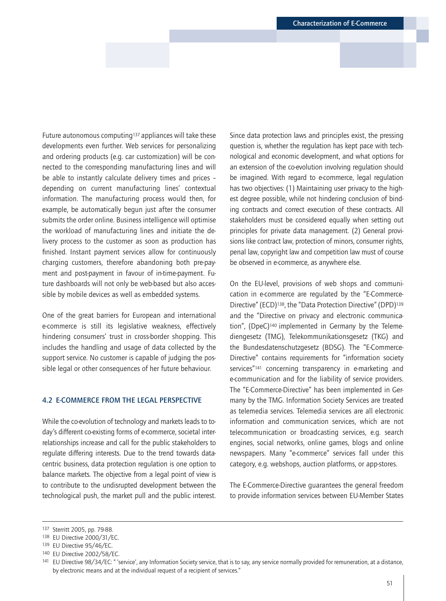Future autonomous computing137 appliances will take these developments even further. Web services for personalizing and ordering products (e.g. car customization) will be connected to the corresponding manufacturing lines and will be able to instantly calculate delivery times and prices – depending on current manufacturing lines' contextual information. The manufacturing process would then, for example, be automatically begun just after the consumer submits the order online. Business intelligence will optimise the workload of manufacturing lines and initiate the delivery process to the customer as soon as production has finished. Instant payment services allow for continuously charging customers, therefore abandoning both pre-payment and post-payment in favour of in-time-payment. Future dashboards will not only be web-based but also accessible by mobile devices as well as embedded systems.

One of the great barriers for European and international e-commerce is still its legislative weakness, effectively hindering consumers' trust in cross-border shopping. This includes the handling and usage of data collected by the support service. No customer is capable of judging the possible legal or other consequences of her future behaviour.

## 4.2 E-Commerce from the Legal Perspective

While the co-evolution of technology and markets leads to today's different co-existing forms of e-commerce, societal interrelationships increase and call for the public stakeholders to regulate differing interests. Due to the trend towards datacentric business, data protection regulation is one option to balance markets. The objective from a legal point of view is to contribute to the undisrupted development between the technological push, the market pull and the public interest.

Since data protection laws and principles exist, the pressing question is, whether the regulation has kept pace with technological and economic development, and what options for an extension of the co-evolution involving regulation should be imagined. With regard to e-commerce, legal regulation has two objectives: (1) Maintaining user privacy to the highest degree possible, while not hindering conclusion of binding contracts and correct execution of these contracts. All stakeholders must be considered equally when setting out principles for private data management. (2) General provisions like contract law, protection of minors, consumer rights, penal law, copyright law and competition law must of course be observed in e-commerce, as anywhere else.

On the EU-level, provisions of web shops and communication in e-commerce are regulated by the "E-Commerce-Directive" (ECD)138, the "Data Protection Directive" (DPD)139 and the "Directive on privacy and electronic communication", (DpeC)140 implemented in Germany by the Telemediengesetz (TMG), Telekommunikationsgesetz (TKG) and the Bundesdatenschutzgesetz (BDSG). The "E-Commerce-Directive" contains requirements for "information society services"141 concerning transparency in e-marketing and e-communication and for the liability of service providers. The "E-Commerce-Directive" has been implemented in Germany by the TMG. Information Society Services are treated as telemedia services. Telemedia services are all electronic information and communication services, which are not telecommunication or broadcasting services, e.g. search engines, social networks, online games, blogs and online newspapers. Many "e-commerce" services fall under this category, e.g. webshops, auction platforms, or app-stores.

The E-Commerce-Directive guarantees the general freedom to provide information services between EU-Member States

<sup>137</sup> Sterritt 2005, pp. 79-88.

<sup>138</sup> EU Directive 2000/31/EC.

<sup>139</sup> EU Directive 95/46/EC.

<sup>140</sup> EU Directive 2002/58/EC.

<sup>141</sup> EU Directive 98/34/EC: " 'service', any Information Society service, that is to say, any service normally provided for remuneration, at a distance, by electronic means and at the individual request of a recipient of services."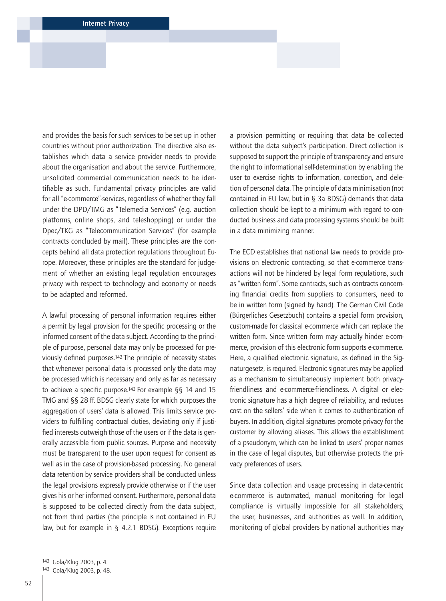and provides the basis for such services to be set up in other countries without prior authorization. The directive also establishes which data a service provider needs to provide about the organisation and about the service. Furthermore, unsolicited commercial communication needs to be identifiable as such. Fundamental privacy principles are valid for all "e-commerce"-services, regardless of whether they fall under the DPD/TMG as "Telemedia Services" (e.g. auction platforms, online shops, and teleshopping) or under the Dpec/TKG as "Telecommunication Services" (for example contracts concluded by mail). These principles are the concepts behind all data protection regulations throughout Europe. Moreover, these principles are the standard for judgement of whether an existing legal regulation encourages privacy with respect to technology and economy or needs to be adapted and reformed.

A lawful processing of personal information requires either a permit by legal provision for the specific processing or the informed consent of the data subject. According to the principle of purpose, personal data may only be processed for previously defined purposes.142 The principle of necessity states that whenever personal data is processed only the data may be processed which is necessary and only as far as necessary to achieve a specific purpose.143 For example §§ 14 and 15 TMG and §§ 28 ff. BDSG clearly state for which purposes the aggregation of users' data is allowed. This limits service providers to fulfilling contractual duties, deviating only if justified interests outweigh those of the users or if the data is generally accessible from public sources. Purpose and necessity must be transparent to the user upon request for consent as well as in the case of provision-based processing. No general data retention by service providers shall be conducted unless the legal provisions expressly provide otherwise or if the user gives his or her informed consent. Furthermore, personal data is supposed to be collected directly from the data subject, not from third parties (the principle is not contained in EU law, but for example in § 4.2.1 BDSG). Exceptions require a provision permitting or requiring that data be collected without the data subject's participation. Direct collection is supposed to support the principle of transparency and ensure the right to informational self-determination by enabling the user to exercise rights to information, correction, and deletion of personal data. The principle of data minimisation (not contained in EU law, but in § 3a BDSG) demands that data collection should be kept to a minimum with regard to conducted business and data processing systems should be built in a data minimizing manner.

The ECD establishes that national law needs to provide provisions on electronic contracting, so that e-commerce transactions will not be hindered by legal form regulations, such as "written form". Some contracts, such as contracts concerning financial credits from suppliers to consumers, need to be in written form (signed by hand). The German Civil Code (Bürgerliches Gesetzbuch) contains a special form provision, custom-made for classical e-commerce which can replace the written form. Since written form may actually hinder e-commerce, provision of this electronic form supports e-commerce. Here, a qualified electronic signature, as defined in the Signaturgesetz, is required. Electronic signatures may be applied as a mechanism to simultaneously implement both privacyfriendliness and e-commerce-friendliness. A digital or electronic signature has a high degree of reliability, and reduces cost on the sellers' side when it comes to authentication of buyers. In addition, digital signatures promote privacy for the customer by allowing aliases. This allows the establishment of a pseudonym, which can be linked to users' proper names in the case of legal disputes, but otherwise protects the privacy preferences of users.

Since data collection and usage processing in data-centric e-commerce is automated, manual monitoring for legal compliance is virtually impossible for all stakeholders; the user, businesses, and authorities as well. In addition, monitoring of global providers by national authorities may

<sup>142</sup> Gola/Klug 2003, p. 4.

<sup>143</sup> Gola/Klug 2003, p. 48.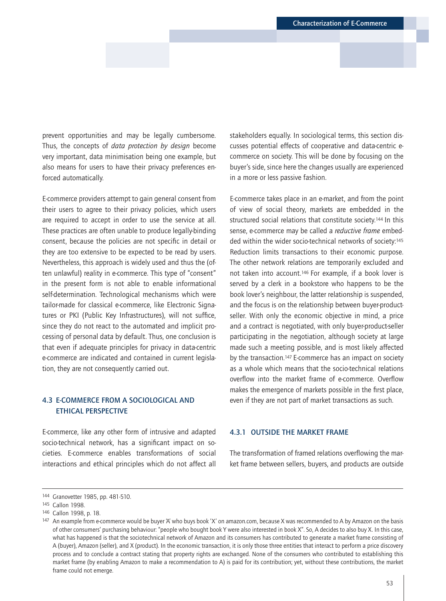prevent opportunities and may be legally cumbersome. Thus, the concepts of *data protection by design* become very important, data minimisation being one example, but also means for users to have their privacy preferences enforced automatically.

E-commerce providers attempt to gain general consent from their users to agree to their privacy policies, which users are required to accept in order to use the service at all. These practices are often unable to produce legally-binding consent, because the policies are not specific in detail or they are too extensive to be expected to be read by users. Nevertheless, this approach is widely used and thus the (often unlawful) reality in e-commerce. This type of "consent" in the present form is not able to enable informational self-determination. Technological mechanisms which were tailor-made for classical e-commerce, like Electronic Signatures or PKI (Public Key Infrastructures), will not suffice, since they do not react to the automated and implicit processing of personal data by default. Thus, one conclusion is that even if adequate principles for privacy in data-centric e-commerce are indicated and contained in current legislation, they are not consequently carried out.

# 4.3 E-Commerce from a Sociological and Ethical Perspective

E-commerce, like any other form of intrusive and adapted socio-technical network, has a significant impact on societies. E-commerce enables transformations of social interactions and ethical principles which do not affect all

stakeholders equally. In sociological terms, this section discusses potential effects of cooperative and data-centric ecommerce on society. This will be done by focusing on the buyer's side, since here the changes usually are experienced in a more or less passive fashion.

E-commerce takes place in an e-market, and from the point of view of social theory, markets are embedded in the structured social relations that constitute society.144 In this sense, e-commerce may be called a *reductive frame* embedded within the wider socio-technical networks of society:145 Reduction limits transactions to their economic purpose. The other network relations are temporarily excluded and not taken into account.146 For example, if a book lover is served by a clerk in a bookstore who happens to be the book lover's neighbour, the latter relationship is suspended, and the focus is on the relationship between buyer-productseller. With only the economic objective in mind, a price and a contract is negotiated, with only buyer-product-seller participating in the negotiation, although society at large made such a meeting possible, and is most likely affected by the transaction.<sup>147</sup> E-commerce has an impact on society as a whole which means that the socio-technical relations overflow into the market frame of e-commerce. Overflow makes the emergence of markets possible in the first place, even if they are not part of market transactions as such.

## 4.3.1 Outside the Market Frame

The transformation of framed relations overflowing the market frame between sellers, buyers, and products are outside

<sup>144</sup> Granovetter 1985, pp. 481-510.

<sup>145</sup> Callon 1998.

<sup>146</sup> Callon 1998, p. 18.

<sup>&</sup>lt;sup>147</sup> An example from e-commerce would be buyer 'A' who buys book 'X' on amazon.com, because X was recommended to A by Amazon on the basis of other consumers' purchasing behaviour: "people who bought book Y were also interested in book X". So, A decides to also buy X. In this case, what has happened is that the sociotechnical network of Amazon and its consumers has contributed to generate a market frame consisting of A (buyer), Amazon (seller), and X (product). In the economic transaction, it is only those three entities that interact to perform a price discovery process and to conclude a contract stating that property rights are exchanged. None of the consumers who contributed to establishing this market frame (by enabling Amazon to make a recommendation to A) is paid for its contribution; yet, without these contributions, the market frame could not emerge.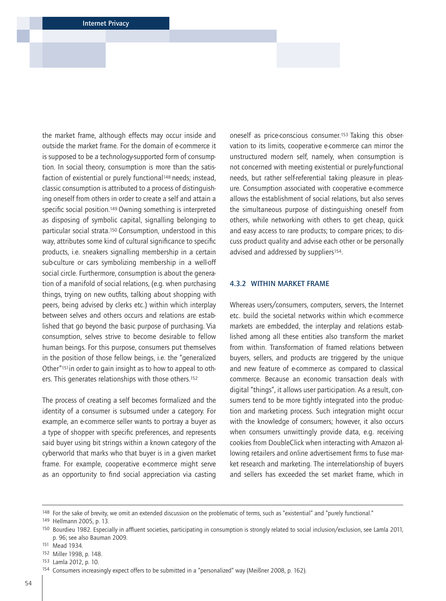the market frame, although effects may occur inside and outside the market frame. For the domain of e-commerce it is supposed to be a technology-supported form of consumption. In social theory, consumption is more than the satisfaction of existential or purely functional<sup>148</sup> needs; instead, classic consumption is attributed to a process of distinguishing oneself from others in order to create a self and attain a specific social position.149 Owning something is interpreted as disposing of symbolic capital, signalling belonging to particular social strata.150 Consumption, understood in this way, attributes some kind of cultural significance to specific products, i.e. sneakers signalling membership in a certain sub-culture or cars symbolizing membership in a well-off social circle. Furthermore, consumption is about the generation of a manifold of social relations, (e.g. when purchasing things, trying on new outfits, talking about shopping with peers, being advised by clerks etc.) within which interplay between selves and others occurs and relations are established that go beyond the basic purpose of purchasing. Via consumption, selves strive to become desirable to fellow human beings. For this purpose, consumers put themselves in the position of those fellow beings, i.e. the "generalized Other"151in order to gain insight as to how to appeal to others. This generates relationships with those others.152

The process of creating a self becomes formalized and the identity of a consumer is subsumed under a category. For example, an e-commerce seller wants to portray a buyer as a type of shopper with specific preferences, and represents said buyer using bit strings within a known category of the cyberworld that marks who that buyer is in a given market frame. For example, cooperative e-commerce might serve as an opportunity to find social appreciation via casting

oneself as price-conscious consumer. 153 Taking this observation to its limits, cooperative e-commerce can mirror the unstructured modern self, namely, when consumption is not concerned with meeting existential or purely-functional needs, but rather self-referential taking pleasure in pleasure. Consumption associated with cooperative e-commerce allows the establishment of social relations, but also serves the simultaneous purpose of distinguishing oneself from others, while networking with others to get cheap, quick and easy access to rare products; to compare prices; to discuss product quality and advise each other or be personally advised and addressed by suppliers<sup>154</sup>.

# 4.3.2 Within Market Frame

Whereas users/consumers, computers, servers, the Internet etc. build the societal networks within which e-commerce markets are embedded, the interplay and relations established among all these entities also transform the market from within. Transformation of framed relations between buyers, sellers, and products are triggered by the unique and new feature of e-commerce as compared to classical commerce. Because an economic transaction deals with digital "things", it allows user participation. As a result, consumers tend to be more tightly integrated into the production and marketing process. Such integration might occur with the knowledge of consumers; however, it also occurs when consumers unwittingly provide data, e.g. receiving cookies from DoubleClick when interacting with Amazon allowing retailers and online advertisement firms to fuse market research and marketing. The interrelationship of buyers and sellers has exceeded the set market frame, which in

<sup>148</sup> For the sake of brevity, we omit an extended discussion on the problematic of terms, such as "existential" and "purely functional."

<sup>149</sup> Hellmann 2005, p. 13.

<sup>&</sup>lt;sup>150</sup> Bourdieu 1982. Especially in affluent societies, participating in consumption is strongly related to social inclusion/exclusion, see Lamla 2011, p. 96; see also Bauman 2009.

<sup>151</sup> Mead 1934.

<sup>152</sup> Miller 1998, p. 148.

<sup>153</sup> Lamla 2012, p. 10.

<sup>154</sup> Consumers increasingly expect offers to be submitted in a "personalized" way (Meißner 2008, p. 162).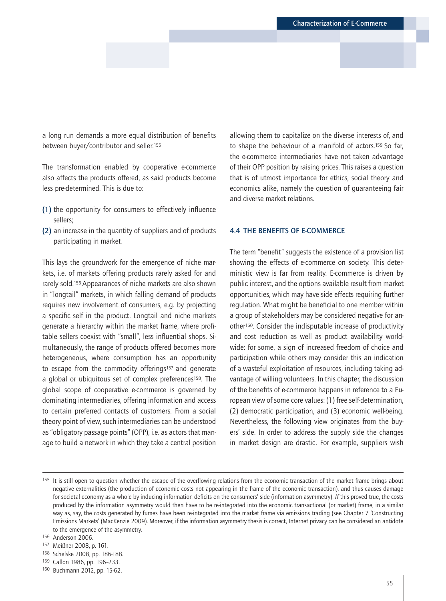a long run demands a more equal distribution of benefits between buyer/contributor and seller.155

The transformation enabled by cooperative e-commerce also affects the products offered, as said products become less pre-determined. This is due to:

- (1) the opportunity for consumers to effectively influence sellers;
- (2) an increase in the quantity of suppliers and of products participating in market.

This lays the groundwork for the emergence of niche markets, i.e. of markets offering products rarely asked for and rarely sold.156 Appearances of niche markets are also shown in "longtail" markets, in which falling demand of products requires new involvement of consumers, e.g. by projecting a specific self in the product. Longtail and niche markets generate a hierarchy within the market frame, where profitable sellers coexist with "small", less influential shops. Simultaneously, the range of products offered becomes more heterogeneous, where consumption has an opportunity to escape from the commodity offerings<sup>157</sup> and generate a global or ubiquitous set of complex preferences<sup>158</sup>. The global scope of cooperative e-commerce is governed by dominating intermediaries, offering information and access to certain preferred contacts of customers. From a social theory point of view, such intermediaries can be understood as "obligatory passage points" (OPP), i.e. as actors that manage to build a network in which they take a central position allowing them to capitalize on the diverse interests of, and to shape the behaviour of a manifold of actors.159 So far, the e-commerce intermediaries have not taken advantage of their OPP position by raising prices. This raises a question that is of utmost importance for ethics, social theory and economics alike, namely the question of guaranteeing fair and diverse market relations.

## 4.4 The Benefits of E-Commerce

The term "benefit" suggests the existence of a provision list showing the effects of e-commerce on society. This deterministic view is far from reality. E-commerce is driven by public interest, and the options available result from market opportunities, which may have side effects requiring further regulation. What might be beneficial to one member within a group of stakeholders may be considered negative for another160. Consider the indisputable increase of productivity and cost reduction as well as product availability worldwide: for some, a sign of increased freedom of choice and participation while others may consider this an indication of a wasteful exploitation of resources, including taking advantage of willing volunteers. In this chapter, the discussion of the benefits of e-commerce happens in reference to a European view of some core values: (1) free self-determination, (2) democratic participation, and (3) economic well-being. Nevertheless, the following view originates from the buyers' side. In order to address the supply side the changes in market design are drastic. For example, suppliers wish

<sup>&</sup>lt;sup>155</sup> It is still open to question whether the escape of the overflowing relations from the economic transaction of the market frame brings about negative externalities (the production of economic costs not appearing in the frame of the economic transaction), and thus causes damage for societal economy as a whole by inducing information deficits on the consumers' side (information asymmetry). *If* this proved true, the costs produced by the information asymmetry would then have to be re-integrated into the economic transactional (or market) frame, in a similar way as, say, the costs generated by fumes have been re-integrated into the market frame via emissions trading (see Chapter 7 'Constructing Emissions Markets' (MacKenzie 2009). Moreover, if the information asymmetry thesis is correct, Internet privacy can be considered an antidote to the emergence of the asymmetry.

<sup>156</sup> Anderson 2006.

<sup>157</sup> Meißner 2008, p. 161.

<sup>158</sup> Schelske 2008, pp. 186-188.

<sup>159</sup> Callon 1986, pp. 196–233.

<sup>160</sup> Buchmann 2012, pp. 15-62.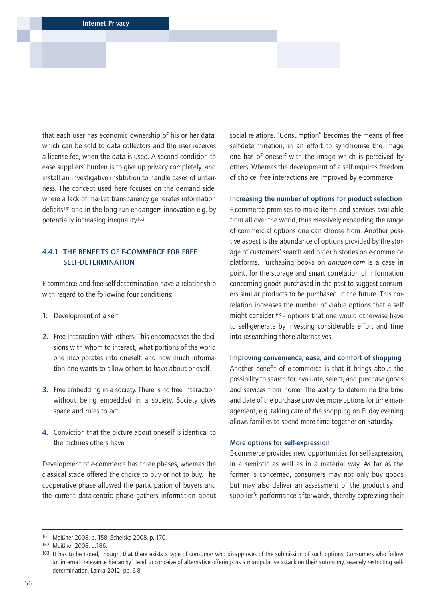that each user has economic ownership of his or her data, which can be sold to data collectors and the user receives a license fee, when the data is used. A second condition to ease suppliers' burden is to give up privacy completely, and install an investigative institution to handle cases of unfairness. The concept used here focuses on the demand side, where a lack of market transparency generates information deficits161 and in the long run endangers innovation e.g. by potentially increasing inequality<sup>162</sup>.

# 4.4.1 The Benefits of E-Commerce for Free SELF-DETERMINATION

E-commerce and free self-determination have a relationship with regard to the following four conditions:

- 1. Development of a self.
- 2. Free interaction with others. This encompasses the decisions with whom to interact, what portions of the world one incorporates into oneself, and how much information one wants to allow others to have about oneself.
- 3. Free embedding in a society. There is no free interaction without being embedded in a society. Society gives space and rules to act.
- 4. Conviction that the picture about oneself is identical to the pictures others have.

Development of e-commerce has three phases, whereas the classical stage offered the choice to buy or not to buy. The cooperative phase allowed the participation of buyers and the current data-centric phase gathers information about social relations. "Consumption" becomes the means of free self-determination, in an effort to synchronise the image one has of oneself with the image which is perceived by others. Whereas the development of a self requires freedom of choice, free interactions are improved by e-commerce.

## Increasing the number of options for product selection

E-commerce promises to make items and services available from all over the world, thus massively expanding the range of commercial options one can choose from. Another positive aspect is the abundance of options provided by the storage of customers' search and order histories on e-commerce platforms. Purchasing books on *amazon.com* is a case in point, for the storage and smart correlation of information concerning goods purchased in the past to suggest consumers similar products to be purchased in the future. This correlation increases the number of viable options that a self might consider163 – options that one would otherwise have to self-generate by investing considerable effort and time into researching those alternatives.

# Improving convenience, ease, and comfort of shopping

Another benefit of e-commerce is that it brings about the possibility to search for, evaluate, select, and purchase goods and services from home. The ability to determine the time and date of the purchase provides more options for time management, e.g. taking care of the shopping on Friday evening allows families to spend more time together on Saturday.

#### More options for self-expression

E-commerce provides new opportunities for self-expression, in a semiotic as well as in a material way. As far as the former is concerned, consumers may not only buy goods but may also deliver an assessment of the product's and supplier's performance afterwards, thereby expressing their

<sup>161</sup> Meißner 2008, p. 158; Schelske 2008, p. 170.

<sup>162</sup> Meißner 2008, p.186.

<sup>&</sup>lt;sup>163</sup> It has to be noted, though, that there exists a type of consumer who disapproves of the submission of such options. Consumers who follow an internal "relevance hierarchy" tend to conceive of alternative offerings as a manipulative attack on their autonomy, severely restricting selfdetermination. Lamla 2012, pp. 6-8.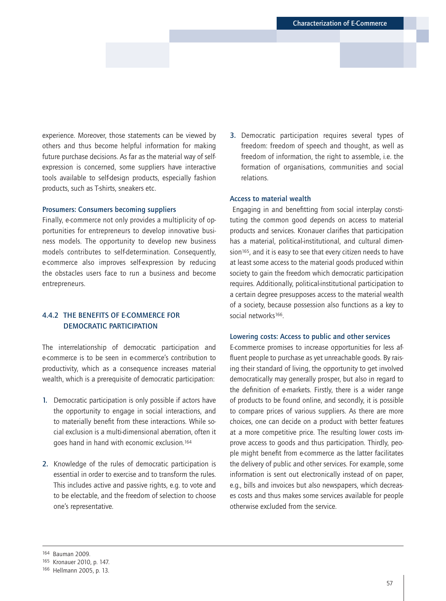experience. Moreover, those statements can be viewed by others and thus become helpful information for making future purchase decisions. As far as the material way of selfexpression is concerned, some suppliers have interactive tools available to self-design products, especially fashion products, such as T-shirts, sneakers etc.

## Prosumers: Consumers becoming suppliers

Finally, e-commerce not only provides a multiplicity of opportunities for entrepreneurs to develop innovative business models. The opportunity to develop new business models contributes to self-determination. Consequently, e-commerce also improves self-expression by reducing the obstacles users face to run a business and become entrepreneurs.

# 4.4.2 The Benefits of E-Commerce for DEMOCRATIC PARTICIPATION

The interrelationship of democratic participation and e-commerce is to be seen in e-commerce's contribution to productivity, which as a consequence increases material wealth, which is a prerequisite of democratic participation:

- 1. Democratic participation is only possible if actors have the opportunity to engage in social interactions, and to materially benefit from these interactions. While social exclusion is a multi-dimensional aberration, often it goes hand in hand with economic exclusion.164
- 2. Knowledge of the rules of democratic participation is essential in order to exercise and to transform the rules. This includes active and passive rights, e.g. to vote and to be electable, and the freedom of selection to choose one's representative.

3. Democratic participation requires several types of freedom: freedom of speech and thought, as well as freedom of information, the right to assemble, i.e. the formation of organisations, communities and social relations.

## Access to material wealth

 Engaging in and benefitting from social interplay constituting the common good depends on access to material products and services. Kronauer clarifies that participation has a material, political-institutional, and cultural dimension<sup>165</sup>, and it is easy to see that every citizen needs to have at least some access to the material goods produced within society to gain the freedom which democratic participation requires. Additionally, political-institutional participation to a certain degree presupposes access to the material wealth of a society, because possession also functions as a key to social networks<sup>166</sup>

### Lowering costs: Access to public and other services

E-commerce promises to increase opportunities for less affluent people to purchase as yet unreachable goods. By raising their standard of living, the opportunity to get involved democratically may generally prosper, but also in regard to the definition of e-markets. Firstly, there is a wider range of products to be found online, and secondly, it is possible to compare prices of various suppliers. As there are more choices, one can decide on a product with better features at a more competitive price. The resulting lower costs improve access to goods and thus participation. Thirdly, people might benefit from e-commerce as the latter facilitates the delivery of public and other services. For example, some information is sent out electronically instead of on paper, e.g., bills and invoices but also newspapers, which decreases costs and thus makes some services available for people otherwise excluded from the service.

<sup>164</sup> Bauman 2009.

<sup>165</sup> Kronauer 2010, p. 147.

<sup>166</sup> Hellmann 2005, p. 13.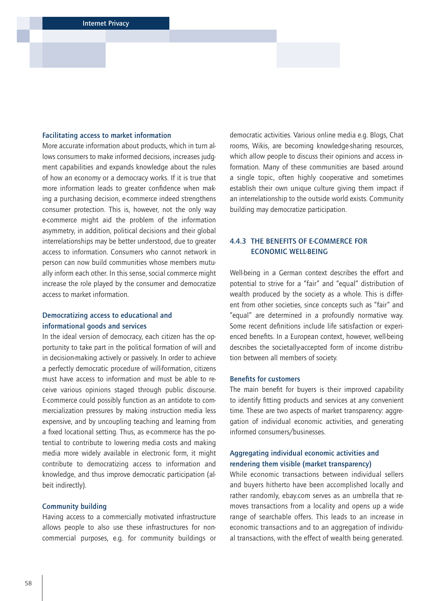## Facilitating access to market information

More accurate information about products, which in turn allows consumers to make informed decisions, increases judgment capabilities and expands knowledge about the rules of how an economy or a democracy works. If it is true that more information leads to greater confidence when making a purchasing decision, e-commerce indeed strengthens consumer protection. This is, however, not the only way e-commerce might aid the problem of the information asymmetry, in addition, political decisions and their global interrelationships may be better understood, due to greater access to information. Consumers who cannot network in person can now build communities whose members mutually inform each other. In this sense, social commerce might increase the role played by the consumer and democratize access to market information.

# Democratizing access to educational and informational goods and services

In the ideal version of democracy, each citizen has the opportunity to take part in the political formation of will and in decision-making actively or passively. In order to achieve a perfectly democratic procedure of will-formation, citizens must have access to information and must be able to receive various opinions staged through public discourse. E-commerce could possibly function as an antidote to commercialization pressures by making instruction media less expensive, and by uncoupling teaching and learning from a fixed locational setting. Thus, as e-commerce has the potential to contribute to lowering media costs and making media more widely available in electronic form, it might contribute to democratizing access to information and knowledge, and thus improve democratic participation (albeit indirectly).

## Community building

Having access to a commercially motivated infrastructure allows people to also use these infrastructures for noncommercial purposes, e.g. for community buildings or democratic activities. Various online media e.g. Blogs, Chat rooms, Wikis, are becoming knowledge-sharing resources, which allow people to discuss their opinions and access information. Many of these communities are based around a single topic, often highly cooperative and sometimes establish their own unique culture giving them impact if an interrelationship to the outside world exists. Community building may democratize participation.

# 4.4.3 The Benefits of E-Commerce for Economic Well-Being

Well-being in a German context describes the effort and potential to strive for a "fair" and "equal" distribution of wealth produced by the society as a whole. This is different from other societies, since concepts such as "fair" and "equal" are determined in a profoundly normative way. Some recent definitions include life satisfaction or experienced benefits. In a European context, however, well-being describes the societally-accepted form of income distribution between all members of society.

# Benefits for customers

The main benefit for buyers is their improved capability to identify fitting products and services at any convenient time. These are two aspects of market transparency: aggregation of individual economic activities, and generating informed consumers/businesses.

# Aggregating individual economic activities and rendering them visible (market transparency)

While economic transactions between individual sellers and buyers hitherto have been accomplished locally and rather randomly, ebay.com serves as an umbrella that removes transactions from a locality and opens up a wide range of searchable offers. This leads to an increase in economic transactions and to an aggregation of individual transactions, with the effect of wealth being generated.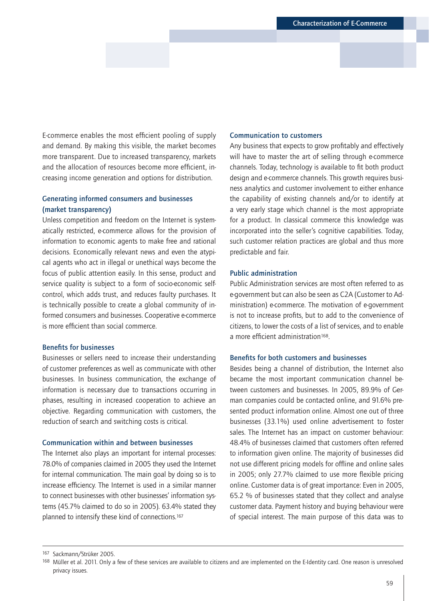E-commerce enables the most efficient pooling of supply and demand. By making this visible, the market becomes more transparent. Due to increased transparency, markets and the allocation of resources become more efficient, increasing income generation and options for distribution.

# Generating informed consumers and businesses (market transparency)

Unless competition and freedom on the Internet is systematically restricted, e-commerce allows for the provision of information to economic agents to make free and rational decisions. Economically relevant news and even the atypical agents who act in illegal or unethical ways become the focus of public attention easily. In this sense, product and service quality is subject to a form of socio-economic selfcontrol, which adds trust, and reduces faulty purchases. It is technically possible to create a global community of informed consumers and businesses. Cooperative e-commerce is more efficient than social commerce.

# Benefits for businesses

Businesses or sellers need to increase their understanding of customer preferences as well as communicate with other businesses. In business communication, the exchange of information is necessary due to transactions occurring in phases, resulting in increased cooperation to achieve an objective. Regarding communication with customers, the reduction of search and switching costs is critical.

## Communication within and between businesses

The Internet also plays an important for internal processes: 78.0% of companies claimed in 2005 they used the Internet for internal communication. The main goal by doing so is to increase efficiency. The Internet is used in a similar manner to connect businesses with other businesses' information systems (45.7% claimed to do so in 2005). 63.4% stated they planned to intensify these kind of connections.167

## Communication to customers

Any business that expects to grow profitably and effectively will have to master the art of selling through e-commerce channels. Today, technology is available to fit both product design and e-commerce channels. This growth requires business analytics and customer involvement to either enhance the capability of existing channels and/or to identify at a very early stage which channel is the most appropriate for a product. In classical commerce this knowledge was incorporated into the seller's cognitive capabilities. Today, such customer relation practices are global and thus more predictable and fair.

## Public administration

Public Administration services are most often referred to as e-government but can also be seen as C2A (Customer to Administration) e-commerce. The motivation of e-government is not to increase profits, but to add to the convenience of citizens, to lower the costs of a list of services, and to enable a more efficient administration<sup>168</sup>.

# Benefits for both customers and businesses

Besides being a channel of distribution, the Internet also became the most important communication channel between customers and businesses. In 2005, 89.9% of German companies could be contacted online, and 91.6% presented product information online. Almost one out of three businesses (33.1%) used online advertisement to foster sales. The Internet has an impact on customer behaviour: 48.4% of businesses claimed that customers often referred to information given online. The majority of businesses did not use different pricing models for offline and online sales in 2005; only 27.7% claimed to use more flexible pricing online. Customer data is of great importance: Even in 2005, 65.2 % of businesses stated that they collect and analyse customer data. Payment history and buying behaviour were of special interest. The main purpose of this data was to

<sup>167</sup> Sackmann/Strüker 2005.

<sup>168</sup> Müller et al. 2011. Only a few of these services are available to citizens and are implemented on the E-Identity card. One reason is unresolved privacy issues.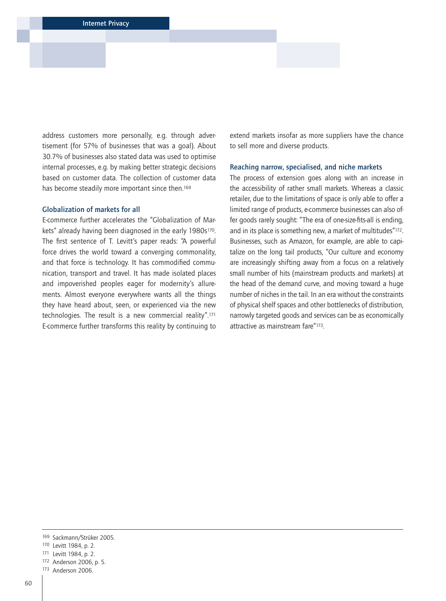address customers more personally, e.g. through advertisement (for 57% of businesses that was a goal). About 30.7% of businesses also stated data was used to optimise internal processes, e.g. by making better strategic decisions based on customer data. The collection of customer data has become steadily more important since then.<sup>169</sup>

## Globalization of markets for all

E-commerce further accelerates the "Globalization of Markets" already having been diagnosed in the early 1980s<sup>170</sup>. The first sentence of T. Levitt's paper reads: "A powerful force drives the world toward a converging commonality, and that force is technology. It has commodified communication, transport and travel. It has made isolated places and impoverished peoples eager for modernity's allurements. Almost everyone everywhere wants all the things they have heard about, seen, or experienced via the new technologies. The result is a new commercial reality".171 E-commerce further transforms this reality by continuing to

extend markets insofar as more suppliers have the chance to sell more and diverse products.

#### Reaching narrow, specialised, and niche markets

The process of extension goes along with an increase in the accessibility of rather small markets. Whereas a classic retailer, due to the limitations of space is only able to offer a limited range of products, e-commerce businesses can also offer goods rarely sought: "The era of one-size-fits-all is ending, and in its place is something new, a market of multitudes"172. Businesses, such as Amazon, for example, are able to capitalize on the long tail products, "Our culture and economy are increasingly shifting away from a focus on a relatively small number of hits (mainstream products and markets) at the head of the demand curve, and moving toward a huge number of niches in the tail. In an era without the constraints of physical shelf spaces and other bottlenecks of distribution, narrowly targeted goods and services can be as economically attractive as mainstream fare"173.

<sup>169</sup> Sackmann/Strüker 2005.

<sup>170</sup> Levitt 1984, p. 2.

<sup>171</sup> Levitt 1984, p. 2.

<sup>172</sup> Anderson 2006, p. 5.

<sup>173</sup> Anderson 2006.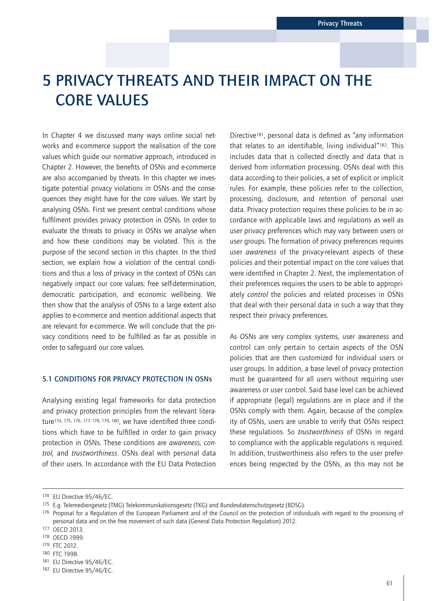# 5 Privacy Threats and their Impact on the Core Values

In Chapter 4 we discussed many ways online social networks and e-commerce support the realisation of the core values which guide our normative approach, introduced in Chapter 2. However, the benefits of OSNs and e-commerce are also accompanied by threats. In this chapter we investigate potential privacy violations in OSNs and the consequences they might have for the core values. We start by analysing OSNs. First we present central conditions whose fulfilment provides privacy protection in OSNs. In order to evaluate the threats to privacy in OSNs we analyse when and how these conditions may be violated. This is the purpose of the second section in this chapter. In the third section, we explain how a violation of the central conditions and thus a loss of privacy in the context of OSNs can negatively impact our core values: free self-determination, democratic participation, and economic well-being. We then show that the analysis of OSNs to a large extent also applies to e-commerce and mention additional aspects that are relevant for e-commerce. We will conclude that the privacy conditions need to be fulfilled as far as possible in order to safeguard our core values.

## 5.1 Conditions for Privacy Protection in OSNs

Analysing existing legal frameworks for data protection and privacy protection principles from the relevant literature174, 175, 176, 177, 178, 179, 180, we have identified three conditions which have to be fulfilled in order to gain privacy protection in OSNs. These conditions are *awareness, control,* and *trustworthiness*. OSNs deal with personal data of their users. In accordance with the EU Data Protection

Directive181, personal data is defined as "any information that relates to an identifiable, living individual"182. This includes data that is collected directly and data that is derived from information processing. OSNs deal with this data according to their policies, a set of explicit or implicit rules. For example, these policies refer to the collection, processing, disclosure, and retention of personal user data. Privacy protection requires these policies to be in accordance with applicable laws and regulations as well as user privacy preferences which may vary between users or user groups. The formation of privacy preferences requires user *awareness* of the privacy-relevant aspects of these policies and their potential impact on the core values that were identified in Chapter 2. Next, the implementation of their preferences requires the users to be able to appropriately *control* the policies and related processes in OSNs that deal with their personal data in such a way that they respect their privacy preferences.

As OSNs are very complex systems, user awareness and control can only pertain to certain aspects of the OSN policies that are then customized for individual users or user groups. In addition, a base level of privacy protection must be guaranteed for all users without requiring user awareness or user control. Said base level can be achieved if appropriate (legal) regulations are in place and if the OSNs comply with them. Again, because of the complexity of OSNs, users are unable to verify that OSNs respect these regulations. So *trustworthiness* of OSNs in regard to compliance with the applicable regulations is required. In addition, trustworthiness also refers to the user preferences being respected by the OSNs, as this may not be

<sup>174</sup> EU Directive 95/46/EC.

<sup>175</sup> E.g. Telemediengesetz (TMG) Telekommunikationsgesetz (TKG) and Bundesdatenschutzgesetz (BDSG).

<sup>176</sup> Proposal for a Regulation of the European Parliament and of the Council on the protection of individuals with regard to the processing of personal data and on the free movement of such data (General Data Protection Regulation) 2012.

<sup>177</sup> OECD 2013.

<sup>178</sup> OECD 1999.

<sup>179</sup> FTC 2012.

<sup>180</sup> FTC 1998.

<sup>181</sup> EU Directive 95/46/EC.

<sup>182</sup> EU Directive 95/46/EC.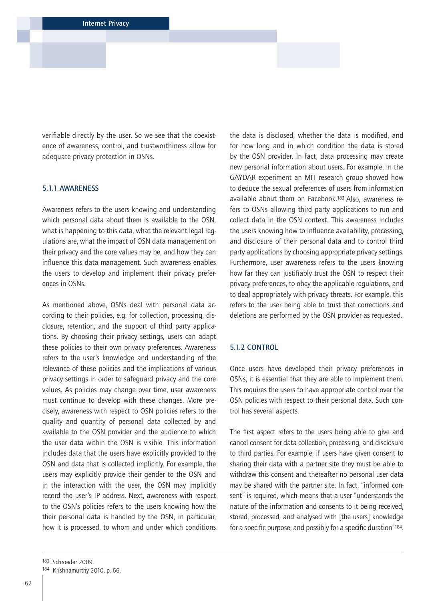verifiable directly by the user. So we see that the coexistence of awareness, control, and trustworthiness allow for adequate privacy protection in OSNs.

# 5.1.1 AWARENESS

Awareness refers to the users knowing and understanding which personal data about them is available to the OSN, what is happening to this data, what the relevant legal regulations are, what the impact of OSN data management on their privacy and the core values may be, and how they can influence this data management. Such awareness enables the users to develop and implement their privacy preferences in OSNs.

As mentioned above, OSNs deal with personal data according to their policies, e.g. for collection, processing, disclosure, retention, and the support of third party applications. By choosing their privacy settings, users can adapt these policies to their own privacy preferences. Awareness refers to the user's knowledge and understanding of the relevance of these policies and the implications of various privacy settings in order to safeguard privacy and the core values. As policies may change over time, user awareness must continue to develop with these changes. More precisely, awareness with respect to OSN policies refers to the quality and quantity of personal data collected by and available to the OSN provider and the audience to which the user data within the OSN is visible. This information includes data that the users have explicitly provided to the OSN and data that is collected implicitly. For example, the users may explicitly provide their gender to the OSN and in the interaction with the user, the OSN may implicitly record the user's IP address. Next, awareness with respect to the OSN's policies refers to the users knowing how the their personal data is handled by the OSN, in particular, how it is processed, to whom and under which conditions the data is disclosed, whether the data is modified, and for how long and in which condition the data is stored by the OSN provider. In fact, data processing may create new personal information about users. For example, in the GAYDAR experiment an MIT research group showed how to deduce the sexual preferences of users from information available about them on Facebook. 183 Also, awareness refers to OSNs allowing third party applications to run and collect data in the OSN context. This awareness includes the users knowing how to influence availability, processing, and disclosure of their personal data and to control third party applications by choosing appropriate privacy settings. Furthermore, user awareness refers to the users knowing how far they can justifiably trust the OSN to respect their privacy preferences, to obey the applicable regulations, and to deal appropriately with privacy threats. For example, this refers to the user being able to trust that corrections and deletions are performed by the OSN provider as requested.

# 5.1.2 Control

Once users have developed their privacy preferences in OSNs, it is essential that they are able to implement them. This requires the users to have appropriate control over the OSN policies with respect to their personal data. Such control has several aspects.

The first aspect refers to the users being able to give and cancel consent for data collection, processing, and disclosure to third parties. For example, if users have given consent to sharing their data with a partner site they must be able to withdraw this consent and thereafter no personal user data may be shared with the partner site. In fact, "informed consent" is required, which means that a user "understands the nature of the information and consents to it being received, stored, processed, and analysed with [the users] knowledge for a specific purpose, and possibly for a specific duration"184.

<sup>183</sup> Schroeder 2009.

<sup>184</sup> Krishnamurthy 2010, p. 66.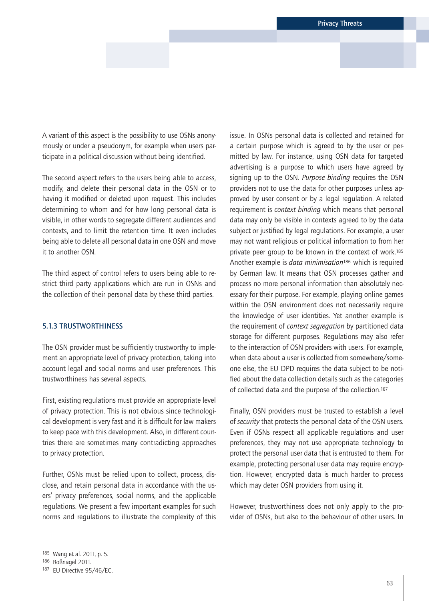A variant of this aspect is the possibility to use OSNs anonymously or under a pseudonym, for example when users participate in a political discussion without being identified.

The second aspect refers to the users being able to access, modify, and delete their personal data in the OSN or to having it modified or deleted upon request. This includes determining to whom and for how long personal data is visible, in other words to segregate different audiences and contexts, and to limit the retention time. It even includes being able to delete all personal data in one OSN and move it to another OSN.

The third aspect of control refers to users being able to restrict third party applications which are run in OSNs and the collection of their personal data by these third parties.

## 5.1.3 Trustworthiness

The OSN provider must be sufficiently trustworthy to implement an appropriate level of privacy protection, taking into account legal and social norms and user preferences. This trustworthiness has several aspects.

First, existing regulations must provide an appropriate level of privacy protection. This is not obvious since technological development is very fast and it is difficult for law makers to keep pace with this development. Also, in different countries there are sometimes many contradicting approaches to privacy protection.

Further, OSNs must be relied upon to collect, process, disclose, and retain personal data in accordance with the users' privacy preferences, social norms, and the applicable regulations. We present a few important examples for such norms and regulations to illustrate the complexity of this

issue. In OSNs personal data is collected and retained for a certain purpose which is agreed to by the user or permitted by law. For instance, using OSN data for targeted advertising is a purpose to which users have agreed by signing up to the OSN. *Purpose binding* requires the OSN providers not to use the data for other purposes unless approved by user consent or by a legal regulation. A related requirement is *context binding* which means that personal data may only be visible in contexts agreed to by the data subject or justified by legal regulations. For example, a user may not want religious or political information to from her private peer group to be known in the context of work.185 Another example is *data minimisation*186 which is required by German law. It means that OSN processes gather and process no more personal information than absolutely necessary for their purpose. For example, playing online games within the OSN environment does not necessarily require the knowledge of user identities. Yet another example is the requirement of *context segregation* by partitioned data storage for different purposes. Regulations may also refer to the interaction of OSN providers with users. For example, when data about a user is collected from somewhere/someone else, the EU DPD requires the data subject to be notified about the data collection details such as the categories of collected data and the purpose of the collection.187

Finally, OSN providers must be trusted to establish a level of *security* that protects the personal data of the OSN users. Even if OSNs respect all applicable regulations and user preferences, they may not use appropriate technology to protect the personal user data that is entrusted to them. For example, protecting personal user data may require encryption. However, encrypted data is much harder to process which may deter OSN providers from using it.

However, trustworthiness does not only apply to the provider of OSNs, but also to the behaviour of other users. In

<sup>185</sup> Wang et al. 2011, p. 5.

<sup>186</sup> Roßnagel 2011.

<sup>187</sup> EU Directive 95/46/EC.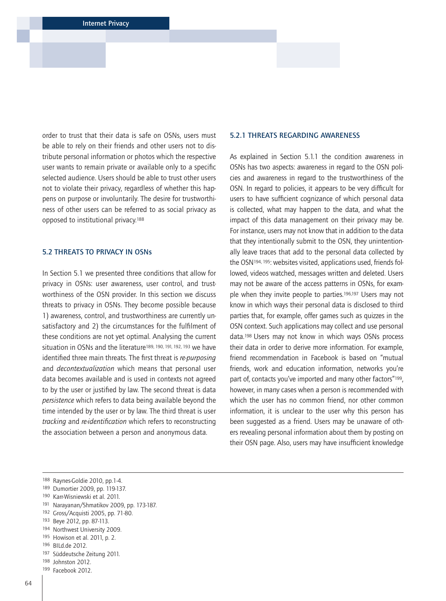order to trust that their data is safe on OSNs, users must be able to rely on their friends and other users not to distribute personal information or photos which the respective user wants to remain private or available only to a specific selected audience. Users should be able to trust other users not to violate their privacy, regardless of whether this happens on purpose or involuntarily. The desire for trustworthiness of other users can be referred to as social privacy as opposed to institutional privacy.188

# 5.2 Threats to Privacy in OSNs

In Section 5.1 we presented three conditions that allow for privacy in OSNs: user awareness, user control, and trustworthiness of the OSN provider. In this section we discuss threats to privacy in OSNs. They become possible because 1) awareness, control, and trustworthiness are currently unsatisfactory and 2) the circumstances for the fulfilment of these conditions are not yet optimal. Analysing the current situation in OSNs and the literature189, 190, 191, 192, 193 we have identified three main threats. The first threat is *re-purposing* and *decontextualization* which means that personal user data becomes available and is used in contexts not agreed to by the user or justified by law. The second threat is data *persistence* which refers to data being available beyond the time intended by the user or by law. The third threat is user *tracking* and *re-identification* which refers to reconstructing the association between a person and anonymous data.

#### 5.2.1 THREATS REGARDING AWARENESS

As explained in Section 5.1.1 the condition awareness in OSNs has two aspects: awareness in regard to the OSN policies and awareness in regard to the trustworthiness of the OSN. In regard to policies, it appears to be very difficult for users to have sufficient cognizance of which personal data is collected, what may happen to the data, and what the impact of this data management on their privacy may be. For instance, users may not know that in addition to the data that they intentionally submit to the OSN, they unintentionally leave traces that add to the personal data collected by the OSN194, 195: websites visited, applications used, friends followed, videos watched, messages written and deleted. Users may not be aware of the access patterns in OSNs, for example when they invite people to parties.<sup>196,197</sup> Users may not know in which ways their personal data is disclosed to third parties that, for example, offer games such as quizzes in the OSN context. Such applications may collect and use personal data.198 Users may not know in which ways OSNs process their data in order to derive more information. For example, friend recommendation in Facebook is based on "mutual friends, work and education information, networks you're part of, contacts you've imported and many other factors"199, however, in many cases when a person is recommended with which the user has no common friend, nor other common information, it is unclear to the user why this person has been suggested as a friend. Users may be unaware of others revealing personal information about them by posting on their OSN page. Also, users may have insufficient knowledge

192 Gross/Acquisti 2005, pp. 71-80.

- 194 Northwest University 2009.
- 195 Howison et al. 2011, p. 2.

197 Süddeutsche Zeitung 2011.

199 Facebook 2012.

<sup>188</sup> Raynes-Goldie 2010, pp.1-4.

<sup>189</sup> Dumortier 2009, pp. 119-137.

<sup>190</sup> Karr-Wisniewski et al. 2011.

<sup>191</sup> Narayanan/Shmatikov 2009, pp. 173-187.

<sup>193</sup> Beye 2012, pp. 87-113.

<sup>196</sup> BILd.de 2012.

<sup>198</sup> Johnston 2012.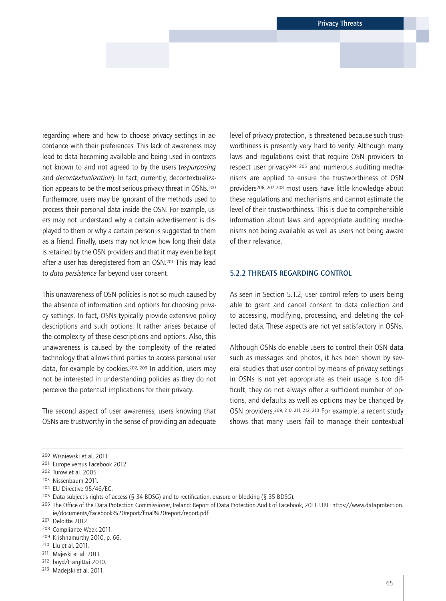regarding where and how to choose privacy settings in accordance with their preferences. This lack of awareness may lead to data becoming available and being used in contexts not known to and not agreed to by the users (*re-purposing* and *decontextualization*). In fact, currently, decontextualization appears to be the most serious privacy threat in OSNs.200 Furthermore, users may be ignorant of the methods used to process their personal data inside the OSN. For example, users may not understand why a certain advertisement is displayed to them or why a certain person is suggested to them as a friend. Finally, users may not know how long their data is retained by the OSN providers and that it may even be kept after a user has deregistered from an OSN.201 This may lead to *data persistence* far beyond user consent.

This unawareness of OSN policies is not so much caused by the absence of information and options for choosing privacy settings. In fact, OSNs typically provide extensive policy descriptions and such options. It rather arises because of the complexity of these descriptions and options. Also, this unawareness is caused by the complexity of the related technology that allows third parties to access personal user data, for example by cookies.202, 203 In addition, users may not be interested in understanding policies as they do not perceive the potential implications for their privacy.

The second aspect of user awareness, users knowing that OSNs are trustworthy in the sense of providing an adequate

# 5.2.2 Threats Regarding Control

As seen in Section 5.1.2, user control refers to users being able to grant and cancel consent to data collection and to accessing, modifying, processing, and deleting the collected data. These aspects are not yet satisfactory in OSNs.

Although OSNs do enable users to control their OSN data such as messages and photos, it has been shown by several studies that user control by means of privacy settings in OSNs is not yet appropriate as their usage is too difficult, they do not always offer a sufficient number of options, and defaults as well as options may be changed by OSN providers.209, 210, 211, 212, 213 For example, a recent study shows that many users fail to manage their contextual

- 209 Krishnamurthy 2010, p. 66.
- 210 Liu et al. 2011.

212 boyd/Hargittai 2010.

level of privacy protection, is threatened because such trustworthiness is presently very hard to verify. Although many laws and regulations exist that require OSN providers to respect user privacy204, 205 and numerous auditing mechanisms are applied to ensure the trustworthiness of OSN providers206, 207, 208 most users have little knowledge about these regulations and mechanisms and cannot estimate the level of their trustworthiness. This is due to comprehensible information about laws and appropriate auditing mechanisms not being available as well as users not being aware of their relevance.

<sup>200</sup> Wisniewski et al. 2011.

<sup>201</sup> Europe versus Facebook 2012.

<sup>202</sup> Turow et al. 2005.

<sup>203</sup> Nissenbaum 2011.

<sup>204</sup> EU Directive 95/46/EC.

<sup>205</sup> Data subject's rights of access (§ 34 BDSG) and to rectification, erasure or blocking (§ 35 BDSG).

<sup>206</sup> The Office of the Data Protection Commissioner, Ireland: Report of Data Protection Audit of Facebook, 2011. URL: https://[www.dataprotection.](https://www.dataprotection.ie/documents/facebook%20report/final%20report/report.pdf) ie/documents/[facebook%20report](https://www.dataprotection.ie/documents/facebook%20report/final%20report/report.pdf)/final%20report/report.pdf

<sup>207</sup> Deloitte 2012.

<sup>208</sup> Compliance Week 2011.

<sup>211</sup> Majeski et al. 2011.

<sup>213</sup> Madejski et al. 2011.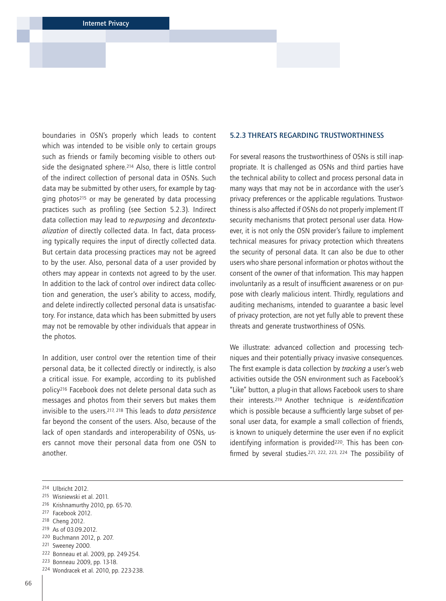boundaries in OSN's properly which leads to content which was intended to be visible only to certain groups such as friends or family becoming visible to others outside the designated sphere.214 Also, there is little control of the indirect collection of personal data in OSNs. Such data may be submitted by other users, for example by tagging photos215 or may be generated by data processing practices such as profiling (see Section 5.2.3). Indirect data collection may lead to *re-purposing* and *decontextualization* of directly collected data. In fact, data processing typically requires the input of directly collected data. But certain data processing practices may not be agreed to by the user. Also, personal data of a user provided by others may appear in contexts not agreed to by the user. In addition to the lack of control over indirect data collection and generation, the user's ability to access, modify, and delete indirectly collected personal data is unsatisfactory. For instance, data which has been submitted by users may not be removable by other individuals that appear in the photos.

In addition, user control over the retention time of their personal data, be it collected directly or indirectly, is also a critical issue. For example, according to its published policy216 Facebook does not delete personal data such as messages and photos from their servers but makes them invisible to the users.217, 218 This leads to *data persistence* far beyond the consent of the users. Also, because of the lack of open standards and interoperability of OSNs, users cannot move their personal data from one OSN to another.

#### 214 Ulbricht 2012.

- 216 Krishnamurthy 2010, pp. 65-70.
- 217 Facebook 2012.
- 218 Cheng 2012.
- 219 As of 03.09.2012.

222 Bonneau et al. 2009, pp. 249-254.

#### 5.2.3 Threats Regarding Trustworthiness

For several reasons the trustworthiness of OSNs is still inappropriate. It is challenged as OSNs and third parties have the technical ability to collect and process personal data in many ways that may not be in accordance with the user's privacy preferences or the applicable regulations. Trustworthiness is also affected if OSNs do not properly implement IT security mechanisms that protect personal user data. However, it is not only the OSN provider's failure to implement technical measures for privacy protection which threatens the security of personal data. It can also be due to other users who share personal information or photos without the consent of the owner of that information. This may happen involuntarily as a result of insufficient awareness or on purpose with clearly malicious intent. Thirdly, regulations and auditing mechanisms, intended to guarantee a basic level of privacy protection, are not yet fully able to prevent these threats and generate trustworthiness of OSNs.

We illustrate: advanced collection and processing techniques and their potentially privacy invasive consequences. The first example is data collection by *tracking* a user's web activities outside the OSN environment such as Facebook's "Like" button, a plug-in that allows Facebook users to share their interests.219 Another technique is *re-identification* which is possible because a sufficiently large subset of personal user data, for example a small collection of friends, is known to uniquely determine the user even if no explicit identifying information is provided<sup>220</sup>. This has been confirmed by several studies.221, 222, 223, 224 The possibility of

<sup>215</sup> Wisniewski et al. 2011.

<sup>220</sup> Buchmann 2012, p. 207.

<sup>221</sup> Sweeney 2000.

<sup>223</sup> Bonneau 2009, pp. 13-18. 224 Wondracek et al. 2010, pp. 223-238.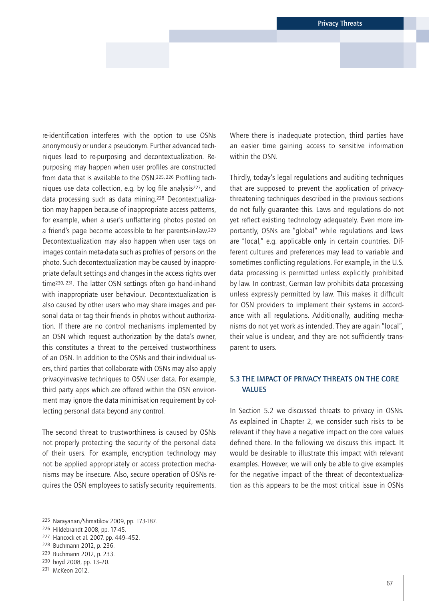re-identification interferes with the option to use OSNs anonymously or under a pseudonym. Further advanced techniques lead to re-purposing and decontextualization. Repurposing may happen when user profiles are constructed from data that is available to the OSN.225, 226 Profiling techniques use data collection, e.g. by log file analysis227, and data processing such as data mining.228 Decontextualization may happen because of inappropriate access patterns, for example, when a user's unflattering photos posted on a friend's page become accessible to her parents-in-law.229 Decontextualization may also happen when user tags on images contain meta-data such as profiles of persons on the photo. Such decontextualization may be caused by inappropriate default settings and changes in the access rights over time230, 231. The latter OSN settings often go hand-in-hand with inappropriate user behaviour. Decontextualization is also caused by other users who may share images and personal data or tag their friends in photos without authorization. If there are no control mechanisms implemented by an OSN which request authorization by the data's owner, this constitutes a threat to the perceived trustworthiness of an OSN. In addition to the OSNs and their individual users, third parties that collaborate with OSNs may also apply privacy-invasive techniques to OSN user data. For example, third party apps which are offered within the OSN environment may ignore the data minimisation requirement by collecting personal data beyond any control.

The second threat to trustworthiness is caused by OSNs not properly protecting the security of the personal data of their users. For example, encryption technology may not be applied appropriately or access protection mechanisms may be insecure. Also, secure operation of OSNs requires the OSN employees to satisfy security requirements. Where there is inadequate protection, third parties have an easier time gaining access to sensitive information within the OSN.

Thirdly, today's legal regulations and auditing techniques that are supposed to prevent the application of privacythreatening techniques described in the previous sections do not fully guarantee this. Laws and regulations do not yet reflect existing technology adequately. Even more importantly, OSNs are "global" while regulations and laws are "local," e.g. applicable only in certain countries. Different cultures and preferences may lead to variable and sometimes conflicting regulations. For example, in the U.S. data processing is permitted unless explicitly prohibited by law. In contrast, German law prohibits data processing unless expressly permitted by law. This makes it difficult for OSN providers to implement their systems in accordance with all regulations. Additionally, auditing mechanisms do not yet work as intended. They are again "local", their value is unclear, and they are not sufficiently transparent to users.

# 5.3 The Impact of Privacy Threats on the Core **VALUES**

In Section 5.2 we discussed threats to privacy in OSNs. As explained in Chapter 2, we consider such risks to be relevant if they have a negative impact on the core values defined there. In the following we discuss this impact. It would be desirable to illustrate this impact with relevant examples. However, we will only be able to give examples for the negative impact of the threat of decontextualization as this appears to be the most critical issue in OSNs

<sup>225</sup> Narayanan/Shmatikov 2009, pp. 173-187.

<sup>226</sup> Hildebrandt 2008, pp. 17-45.

<sup>227</sup> Hancock et al. 2007, pp. 449–452.

<sup>228</sup> Buchmann 2012, p. 236.

<sup>229</sup> Buchmann 2012, p. 233.

<sup>230</sup> boyd 2008, pp. 13–20.

<sup>231</sup> McKeon 2012.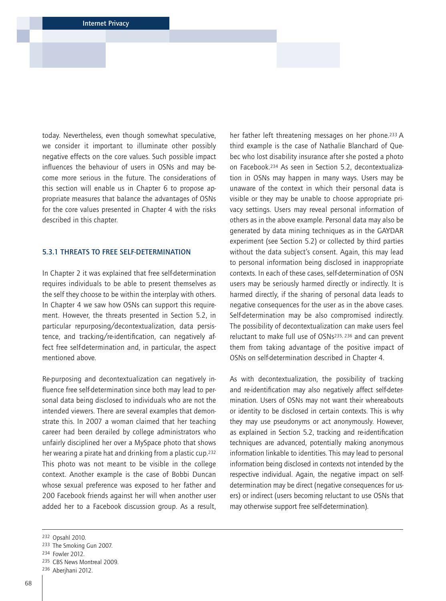today. Nevertheless, even though somewhat speculative, we consider it important to illuminate other possibly negative effects on the core values. Such possible impact influences the behaviour of users in OSNs and may become more serious in the future. The considerations of this section will enable us in Chapter 6 to propose appropriate measures that balance the advantages of OSNs for the core values presented in Chapter 4 with the risks described in this chapter.

## 5.3.1 Threats to Free Self-Determination

In Chapter 2 it was explained that free self-determination requires individuals to be able to present themselves as the self they choose to be within the interplay with others. In Chapter 4 we saw how OSNs can support this requirement. However, the threats presented in Section 5.2, in particular repurposing/decontextualization, data persistence, and tracking/re-identification, can negatively affect free self-determination and, in particular, the aspect mentioned above.

Re-purposing and decontextualization can negatively influence free self-determination since both may lead to personal data being disclosed to individuals who are not the intended viewers. There are several examples that demonstrate this. In 2007 a woman claimed that her teaching career had been derailed by college administrators who unfairly disciplined her over a MySpace photo that shows her wearing a pirate hat and drinking from a plastic cup.232 This photo was not meant to be visible in the college context. Another example is the case of Bobbi Duncan whose sexual preference was exposed to her father and 200 Facebook friends against her will when another user added her to a Facebook discussion group. As a result,

her father left threatening messages on her phone.233 A third example is the case of Nathalie Blanchard of Quebec who lost disability insurance after she posted a photo on Facebook. 234 As seen in Section 5.2, decontextualization in OSNs may happen in many ways. Users may be unaware of the context in which their personal data is visible or they may be unable to choose appropriate privacy settings. Users may reveal personal information of others as in the above example. Personal data may also be generated by data mining techniques as in the GAYDAR experiment (see Section 5.2) or collected by third parties without the data subject's consent. Again, this may lead to personal information being disclosed in inappropriate contexts. In each of these cases, self-determination of OSN users may be seriously harmed directly or indirectly. It is harmed directly, if the sharing of personal data leads to negative consequences for the user as in the above cases. Self-determination may be also compromised indirectly. The possibility of decontextualization can make users feel reluctant to make full use of OSNs235, 236 and can prevent them from taking advantage of the positive impact of OSNs on self-determination described in Chapter 4.

As with decontextualization, the possibility of tracking and re-identification may also negatively affect self-determination. Users of OSNs may not want their whereabouts or identity to be disclosed in certain contexts. This is why they may use pseudonyms or act anonymously. However, as explained in Section 5.2, tracking and re-identification techniques are advanced, potentially making anonymous information linkable to identities. This may lead to personal information being disclosed in contexts not intended by the respective individual. Again, the negative impact on selfdetermination may be direct (negative consequences for users) or indirect (users becoming reluctant to use OSNs that may otherwise support free self-determination).

<sup>232</sup> Opsahl 2010.

<sup>233</sup> The Smoking Gun 2007.

<sup>234</sup> Fowler 2012.

<sup>235</sup> CBS News Montreal 2009.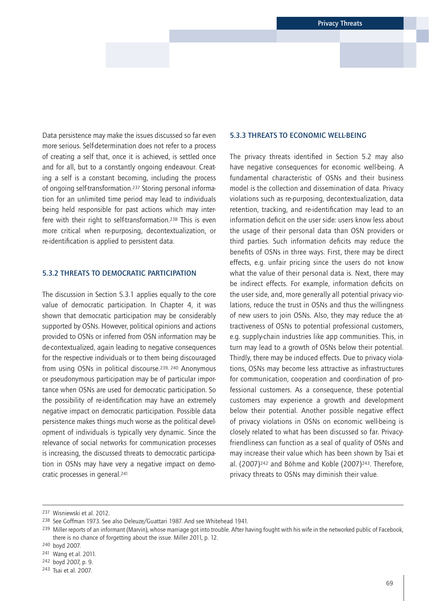Data persistence may make the issues discussed so far even more serious. Self-determination does not refer to a process of creating a self that, once it is achieved, is settled once and for all, but to a constantly ongoing endeavour. Creating a self is a constant becoming, including the process of ongoing self-transformation.237 Storing personal information for an unlimited time period may lead to individuals being held responsible for past actions which may interfere with their right to self-transformation.238 This is even more critical when re-purposing, decontextualization, or re-identification is applied to persistent data.

# 5.3.2 THREATS TO DEMOCRATIC PARTICIPATION

The discussion in Section 5.3.1 applies equally to the core value of democratic participation. In Chapter 4, it was shown that democratic participation may be considerably supported by OSNs. However, political opinions and actions provided to OSNs or inferred from OSN information may be de-contextualized, again leading to negative consequences for the respective individuals or to them being discouraged from using OSNs in political discourse.239, 240 Anonymous or pseudonymous participation may be of particular importance when OSNs are used for democratic participation. So the possibility of re-identification may have an extremely negative impact on democratic participation. Possible data persistence makes things much worse as the political development of individuals is typically very dynamic. Since the relevance of social networks for communication processes is increasing, the discussed threats to democratic participation in OSNs may have very a negative impact on democratic processes in general.241

#### 5.3.3 Threats to Economic Well-Being

The privacy threats identified in Section 5.2 may also have negative consequences for economic well-being. A fundamental characteristic of OSNs and their business model is the collection and dissemination of data. Privacy violations such as re-purposing, decontextualization, data retention, tracking, and re-identification may lead to an information deficit on the user side: users know less about the usage of their personal data than OSN providers or third parties. Such information deficits may reduce the benefits of OSNs in three ways. First, there may be direct effects, e.g. unfair pricing since the users do not know what the value of their personal data is. Next, there may be indirect effects. For example, information deficits on the user side, and, more generally all potential privacy violations, reduce the trust in OSNs and thus the willingness of new users to join OSNs. Also, they may reduce the attractiveness of OSNs to potential professional customers, e.g. supply-chain industries like app communities. This, in turn may lead to a growth of OSNs below their potential. Thirdly, there may be induced effects. Due to privacy violations, OSNs may become less attractive as infrastructures for communication, cooperation and coordination of professional customers. As a consequence, these potential customers may experience a growth and development below their potential. Another possible negative effect of privacy violations in OSNs on economic well-being is closely related to what has been discussed so far. Privacyfriendliness can function as a seal of quality of OSNs and may increase their value which has been shown by Tsai et al. (2007)242 and Böhme and Koble (2007)243. Therefore, privacy threats to OSNs may diminish their value.

<sup>237</sup> Wisniewski et al. 2012.

<sup>238</sup> See Goffman 1973. See also Deleuze/Guattari 1987. And see Whitehead 1941.

<sup>&</sup>lt;sup>239</sup> Miller reports of an informant (Marvin), whose marriage got into trouble. After having fought with his wife in the networked public of Facebook, there is no chance of forgetting about the issue. Miller 2011, p. 12.

<sup>240</sup> boyd 2007.

<sup>241</sup> Wang et al. 2011.

<sup>242</sup> boyd 2007, p. 9.

<sup>243</sup> Tsai et al. 2007.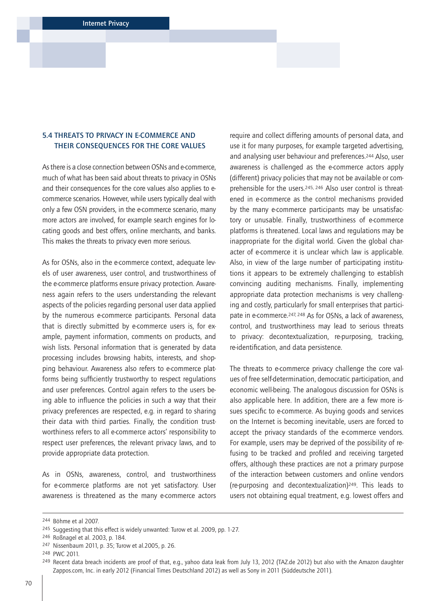# 5.4 Threats to Privacy in E-Commerce and their Consequences for the Core Values

As there is a close connection between OSNs and e-commerce, much of what has been said about threats to privacy in OSNs and their consequences for the core values also applies to ecommerce scenarios. However, while users typically deal with only a few OSN providers, in the e-commerce scenario, many more actors are involved, for example search engines for locating goods and best offers, online merchants, and banks. This makes the threats to privacy even more serious.

As for OSNs, also in the e-commerce context, adequate levels of user awareness, user control, and trustworthiness of the e-commerce platforms ensure privacy protection. Awareness again refers to the users understanding the relevant aspects of the policies regarding personal user data applied by the numerous e-commerce participants. Personal data that is directly submitted by e-commerce users is, for example, payment information, comments on products, and wish lists. Personal information that is generated by data processing includes browsing habits, interests, and shopping behaviour. Awareness also refers to e-commerce platforms being sufficiently trustworthy to respect regulations and user preferences. Control again refers to the users being able to influence the policies in such a way that their privacy preferences are respected, e.g. in regard to sharing their data with third parties. Finally, the condition trustworthiness refers to all e-commerce actors' responsibility to respect user preferences, the relevant privacy laws, and to provide appropriate data protection.

As in OSNs, awareness, control, and trustworthiness for e-commerce platforms are not yet satisfactory. User awareness is threatened as the many e-commerce actors

require and collect differing amounts of personal data, and use it for many purposes, for example targeted advertising, and analysing user behaviour and preferences.244 Also, user awareness is challenged as the e-commerce actors apply (different) privacy policies that may not be available or comprehensible for the users.245, 246 Also user control is threatened in e-commerce as the control mechanisms provided by the many e-commerce participants may be unsatisfactory or unusable. Finally, trustworthiness of e-commerce platforms is threatened. Local laws and regulations may be inappropriate for the digital world. Given the global character of e-commerce it is unclear which law is applicable. Also, in view of the large number of participating institutions it appears to be extremely challenging to establish convincing auditing mechanisms. Finally, implementing appropriate data protection mechanisms is very challenging and costly, particularly for small enterprises that participate in e-commerce.<sup>247, 248</sup> As for OSNs, a lack of awareness, control, and trustworthiness may lead to serious threats to privacy: decontextualization, re-purposing, tracking, re-identification, and data persistence.

The threats to e-commerce privacy challenge the core values of free self-determination, democratic participation, and economic well-being. The analogous discussion for OSNs is also applicable here. In addition, there are a few more issues specific to e-commerce. As buying goods and services on the Internet is becoming inevitable, users are forced to accept the privacy standards of the e-commerce vendors. For example, users may be deprived of the possibility of refusing to be tracked and profiled and receiving targeted offers, although these practices are not a primary purpose of the interaction between customers and online vendors (re-purposing and decontextualization)249. This leads to users not obtaining equal treatment, e.g. lowest offers and

<sup>244</sup> Böhme et al 2007.

<sup>245</sup> Suggesting that this effect is widely unwanted: Turow et al. 2009, pp. 1-27.

<sup>246</sup> Roßnagel et al. 2003, p. 184.

<sup>247</sup> Nissenbaum 2011, p. 35; Turow et al.2005, p. 26.

<sup>248</sup> PWC 2011.

<sup>&</sup>lt;sup>249</sup> Recent data breach incidents are proof of that, e.g., yahoo data leak from July 13, 2012 (TAZ.de 2012) but also with the Amazon daughter Zappos.com, Inc. in early 2012 (Financial Times Deutschland 2012) as well as Sony in 2011 (Süddeutsche 2011).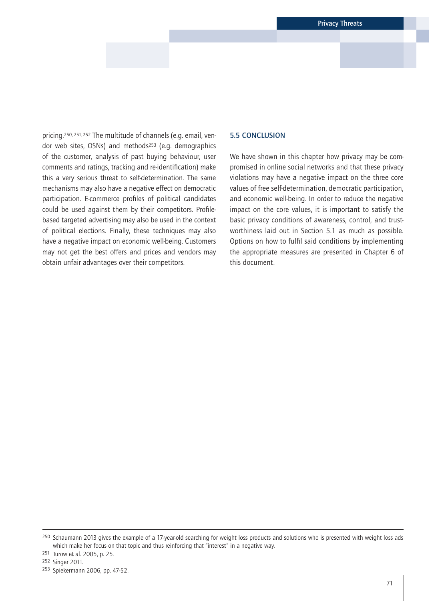pricing.250, 251, 252 The multitude of channels (e.g. email, vendor web sites, OSNs) and methods253 (e.g. demographics of the customer, analysis of past buying behaviour, user comments and ratings, tracking and re-identification) make this a very serious threat to self-determination. The same mechanisms may also have a negative effect on democratic participation. E-commerce profiles of political candidates could be used against them by their competitors. Profilebased targeted advertising may also be used in the context of political elections. Finally, these techniques may also have a negative impact on economic well-being. Customers may not get the best offers and prices and vendors may obtain unfair advantages over their competitors.

#### 5.5 Conclusion

We have shown in this chapter how privacy may be compromised in online social networks and that these privacy violations may have a negative impact on the three core values of free self-determination, democratic participation, and economic well-being. In order to reduce the negative impact on the core values, it is important to satisfy the basic privacy conditions of awareness, control, and trustworthiness laid out in Section 5.1 as much as possible. Options on how to fulfil said conditions by implementing the appropriate measures are presented in Chapter 6 of this document.

<sup>250</sup> Schaumann 2013 gives the example of a 17-year-old searching for weight loss products and solutions who is presented with weight loss ads which make her focus on that topic and thus reinforcing that "interest" in a negative way.

<sup>251</sup> Turow et al. 2005, p. 25.

<sup>252</sup> Singer 2011.

<sup>253</sup> Spiekermann 2006, pp. 47-52.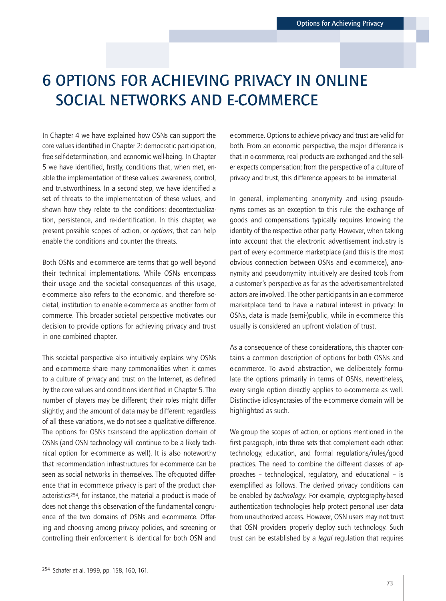# 6 Options for Achieving Privacy in Online Social Networks and E-Commerce

In Chapter 4 we have explained how OSNs can support the core values identified in Chapter 2: democratic participation, free self-determination, and economic well-being. In Chapter 5 we have identified, firstly, conditions that, when met, enable the implementation of these values: awareness, control, and trustworthiness. In a second step, we have identified a set of threats to the implementation of these values, and shown how they relate to the conditions: decontextualization, persistence, and re-identification. In this chapter, we present possible scopes of action, or *options*, that can help enable the conditions and counter the threats.

Both OSNs and e-commerce are terms that go well beyond their technical implementations. While OSNs encompass their usage and the societal consequences of this usage, e-commerce also refers to the economic, and therefore societal, institution to enable e-commerce as another form of commerce. This broader societal perspective motivates our decision to provide options for achieving privacy and trust in one combined chapter.

This societal perspective also intuitively explains why OSNs and e-commerce share many commonalities when it comes to a culture of privacy and trust on the Internet, as defined by the core values and conditions identified in Chapter 5. The number of players may be different; their roles might differ slightly; and the amount of data may be different: regardless of all these variations, we do not see a qualitative difference. The options for OSNs transcend the application domain of OSNs (and OSN technology will continue to be a likely technical option for e-commerce as well). It is also noteworthy that recommendation infrastructures for e-commerce can be seen as social networks in themselves. The oft-quoted difference that in e-commerce privacy is part of the product characteristics254, for instance, the material a product is made of does not change this observation of the fundamental congruence of the two domains of OSNs and e-commerce. Offering and choosing among privacy policies, and screening or controlling their enforcement is identical for both OSN and

e-commerce. Options to achieve privacy and trust are valid for both. From an economic perspective, the major difference is that in e-commerce, real products are exchanged and the seller expects compensation; from the perspective of a culture of privacy and trust, this difference appears to be immaterial.

In general, implementing anonymity and using pseudonyms comes as an exception to this rule: the exchange of goods and compensations typically requires knowing the identity of the respective other party. However, when taking into account that the electronic advertisement industry is part of every e-commerce marketplace (and this is the most obvious connection between OSNs and e-commerce), anonymity and pseudonymity intuitively are desired tools from a customer's perspective as far as the advertisement-related actors are involved. The other participants in an e-commerce marketplace tend to have a natural interest in privacy: In OSNs, data is made (semi-)public, while in e-commerce this usually is considered an upfront violation of trust.

As a consequence of these considerations, this chapter contains a common description of options for both OSNs and e-commerce. To avoid abstraction, we deliberately formulate the options primarily in terms of OSNs, nevertheless, every single option directly applies to e-commerce as well. Distinctive idiosyncrasies of the e-commerce domain will be highlighted as such.

We group the scopes of action, or options mentioned in the first paragraph, into three sets that complement each other: technology, education, and formal regulations/rules/good practices. The need to combine the different classes of approaches – technological, regulatory, and educational – is exemplified as follows. The derived privacy conditions can be enabled by *technology*. For example, cryptography-based authentication technologies help protect personal user data from unauthorized access. However, OSN users may not trust that OSN providers properly deploy such technology. Such trust can be established by a *legal* regulation that requires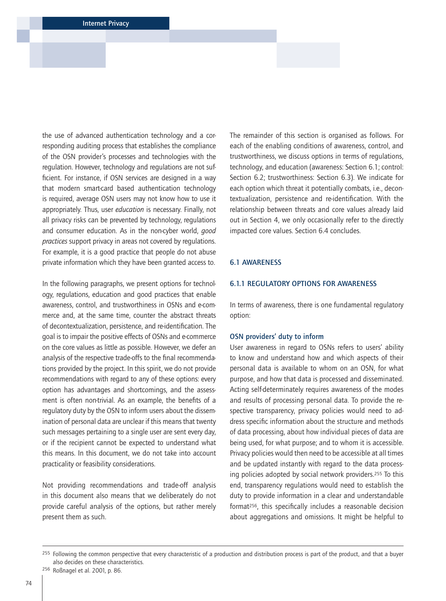the use of advanced authentication technology and a corresponding auditing process that establishes the compliance of the OSN provider's processes and technologies with the regulation. However, technology and regulations are not sufficient. For instance, if OSN services are designed in a way that modern smart-card based authentication technology is required, average OSN users may not know how to use it appropriately. Thus, user *education* is necessary. Finally, not all privacy risks can be prevented by technology, regulations and consumer education. As in the non-cyber world, *good practices* support privacy in areas not covered by regulations. For example, it is a good practice that people do not abuse private information which they have been granted access to.

In the following paragraphs, we present options for technology, regulations, education and good practices that enable awareness, control, and trustworthiness in OSNs and e-commerce and, at the same time, counter the abstract threats of decontextualization, persistence, and re-identification. The goal is to impair the positive effects of OSNs and e-commerce on the core values as little as possible. However, we defer an analysis of the respective trade-offs to the final recommendations provided by the project. In this spirit, we do not provide recommendations with regard to any of these options: every option has advantages and shortcomings, and the assessment is often non-trivial. As an example, the benefits of a regulatory duty by the OSN to inform users about the dissemination of personal data are unclear if this means that twenty such messages pertaining to a single user are sent every day, or if the recipient cannot be expected to understand what this means. In this document, we do not take into account practicality or feasibility considerations.

Not providing recommendations and trade-off analysis in this document also means that we deliberately do not provide careful analysis of the options, but rather merely present them as such.

The remainder of this section is organised as follows. For each of the enabling conditions of awareness, control, and trustworthiness, we discuss options in terms of regulations, technology, and education (awareness: Section 6.1; control: Section 6.2; trustworthiness: Section 6.3). We indicate for each option which threat it potentially combats, i.e., decontextualization, persistence and re-identification. With the relationship between threats and core values already laid out in Section 4, we only occasionally refer to the directly impacted core values. Section 6.4 concludes.

#### **6.1 AWARENESS**

# 6.1.1 REGULATORY OPTIONS FOR AWARENESS

In terms of awareness, there is one fundamental regulatory option:

## OSN providers' duty to inform

User awareness in regard to OSNs refers to users' ability to know and understand how and which aspects of their personal data is available to whom on an OSN, for what purpose, and how that data is processed and disseminated. Acting self-determinately requires awareness of the modes and results of processing personal data. To provide the respective transparency, privacy policies would need to address specific information about the structure and methods of data processing, about how individual pieces of data are being used, for what purpose; and to whom it is accessible. Privacy policies would then need to be accessible at all times and be updated instantly with regard to the data processing policies adopted by social network providers.255 To this end, transparency regulations would need to establish the duty to provide information in a clear and understandable format256, this specifically includes a reasonable decision about aggregations and omissions. It might be helpful to

<sup>&</sup>lt;sup>255</sup> Following the common perspective that every characteristic of a production and distribution process is part of the product, and that a buyer also decides on these characteristics.

<sup>256</sup> Roßnagel et al. 2001, p. 86.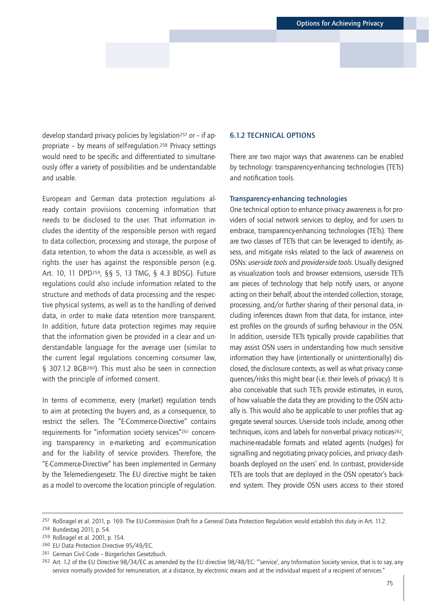develop standard privacy policies by legislation257 or – if appropriate – by means of self-regulation.258 Privacy settings would need to be specific and differentiated to simultaneously offer a variety of possibilities and be understandable and usable.

European and German data protection regulations already contain provisions concerning information that needs to be disclosed to the user. That information includes the identity of the responsible person with regard to data collection, processing and storage, the purpose of data retention, to whom the data is accessible, as well as rights the user has against the responsible person (e.g. Art. 10, 11 DPD259, §§ 5, 13 TMG, § 4.3 BDSG). Future regulations could also include information related to the structure and methods of data processing and the respective physical systems, as well as to the handling of derived data, in order to make data retention more transparent. In addition, future data protection regimes may require that the information given be provided in a clear and understandable language for the average user (similar to the current legal regulations concerning consumer law, § 307.1.2 BGB<sup>260</sup>). This must also be seen in connection with the principle of informed consent.

In terms of e-commerce, every (market) regulation tends to aim at protecting the buyers and, as a consequence, to restrict the sellers. The "E-Commerce-Directive" contains requirements for "information society services"261 concerning transparency in e-marketing and e-communication and for the liability of service providers. Therefore, the "E-Commerce-Directive" has been implemented in Germany by the Telemediengesetz. The EU directive might be taken as a model to overcome the location principle of regulation.

#### 6.1.2 Technical Options

There are two major ways that awareness can be enabled by technology: transparency-enhancing technologies (TETs) and notification tools.

# Transparency-enhancing technologies

One technical option to enhance privacy awareness is for providers of social network services to deploy, and for users to embrace, transparency-enhancing technologies (TETs). There are two classes of TETs that can be leveraged to identify, assess, and mitigate risks related to the lack of awareness on OSNs: *user-side tools* and *provider-side tools*. Usually designed as visualization tools and browser extensions, user-side TETs are pieces of technology that help notify users, or anyone acting on their behalf, about the intended collection, storage, processing, and/or further sharing of their personal data, including inferences drawn from that data, for instance, interest profiles on the grounds of surfing behaviour in the OSN. In addition, user-side TETs typically provide capabilities that may assist OSN users in understanding how much sensitive information they have (intentionally or unintentionally) disclosed, the disclosure contexts, as well as what privacy consequences/risks this might bear (i.e. their levels of privacy). It is also conceivable that such TETs provide estimates, in euros, of how valuable the data they are providing to the OSN actually is. This would also be applicable to user profiles that aggregate several sources. User-side tools include, among other techniques, icons and labels for non-verbal privacy notices<sup>262</sup>, machine-readable formats and related agents (nudges) for signalling and negotiating privacy policies, and privacy dashboards deployed on the users' end. In contrast, provider-side TETs are tools that are deployed in the OSN operator's backend system. They provide OSN users access to their stored

<sup>257</sup> Roßnagel et al. 2011, p. 169. The EU-Commission Draft for a General Data Protection Regulation would establish this duty in Art. 11.2.

<sup>258</sup> Bundestag 2011, p. 54.

<sup>259</sup> Roßnagel et al. 2001, p. 154.

<sup>260</sup> EU Data Protection Directive 95/49/EC.

<sup>&</sup>lt;sup>261</sup> German Civil Code - Bürgerliches Gesetzbuch.

<sup>&</sup>lt;sup>262</sup> Art. 1.2 of the EU Directive 98/34/EC as amended by the EU directive 98/48/EC: "'service', any Information Society service, that is to say, any service normally provided for remuneration, at a distance, by electronic means and at the individual request of a recipient of services."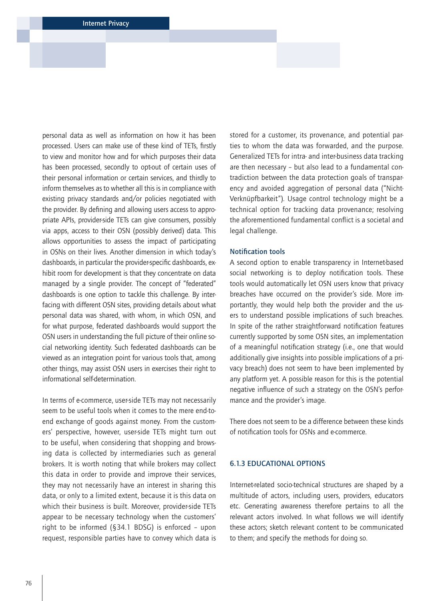personal data as well as information on how it has been processed. Users can make use of these kind of TETs, firstly to view and monitor how and for which purposes their data has been processed, secondly to opt-out of certain uses of their personal information or certain services, and thirdly to inform themselves as to whether all this is in compliance with existing privacy standards and/or policies negotiated with the provider. By defining and allowing users access to appropriate APIs, provider-side TETs can give consumers, possibly via apps, access to their OSN (possibly derived) data. This allows opportunities to assess the impact of participating in OSNs on their lives. Another dimension in which today's dashboards, in particular the provider-specific dashboards, exhibit room for development is that they concentrate on data managed by a single provider. The concept of "federated" dashboards is one option to tackle this challenge. By interfacing with different OSN sites, providing details about what personal data was shared, with whom, in which OSN, and for what purpose, federated dashboards would support the OSN users in understanding the full picture of their online social networking identity. Such federated dashboards can be viewed as an integration point for various tools that, among other things, may assist OSN users in exercises their right to informational self-determination.

In terms of e-commerce, user-side TETs may not necessarily seem to be useful tools when it comes to the mere end-toend exchange of goods against money. From the customers' perspective, however, user-side TETs might turn out to be useful, when considering that shopping and browsing data is collected by intermediaries such as general brokers. It is worth noting that while brokers may collect this data in order to provide and improve their services, they may not necessarily have an interest in sharing this data, or only to a limited extent, because it is this data on which their business is built. Moreover, provider-side TETs appear to be necessary technology when the customers' right to be informed (§34.1 BDSG) is enforced – upon request, responsible parties have to convey which data is

stored for a customer, its provenance, and potential parties to whom the data was forwarded, and the purpose. Generalized TETs for intra- and inter-business data tracking are then necessary – but also lead to a fundamental contradiction between the data protection goals of transparency and avoided aggregation of personal data ("Nicht-Verknüpfbarkeit"). Usage control technology might be a technical option for tracking data provenance; resolving the aforementioned fundamental conflict is a societal and legal challenge.

## Notification tools

A second option to enable transparency in Internet-based social networking is to deploy notification tools. These tools would automatically let OSN users know that privacy breaches have occurred on the provider's side. More importantly, they would help both the provider and the users to understand possible implications of such breaches. In spite of the rather straightforward notification features currently supported by some OSN sites, an implementation of a meaningful notification strategy (i.e., one that would additionally give insights into possible implications of a privacy breach) does not seem to have been implemented by any platform yet. A possible reason for this is the potential negative influence of such a strategy on the OSN's performance and the provider's image.

There does not seem to be a difference between these kinds of notification tools for OSNs and e-commerce.

# 6.1.3 Educational Options

Internet-related socio-technical structures are shaped by a multitude of actors, including users, providers, educators etc. Generating awareness therefore pertains to all the relevant actors involved. In what follows we will identify these actors; sketch relevant content to be communicated to them; and specify the methods for doing so.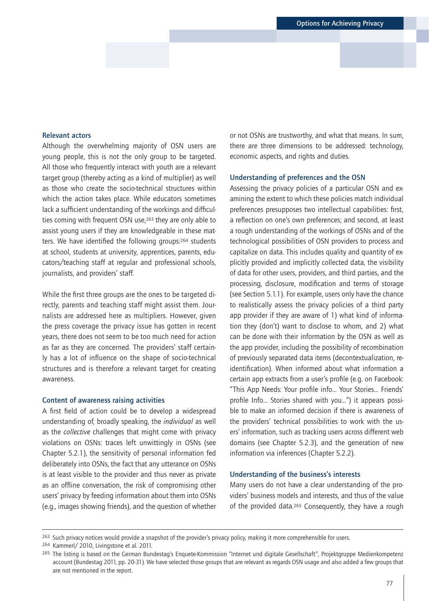## Relevant actors

Although the overwhelming majority of OSN users are young people, this is not the only group to be targeted. All those who frequently interact with youth are a relevant target group (thereby acting as a kind of multiplier) as well as those who create the socio-technical structures within which the action takes place. While educators sometimes lack a sufficient understanding of the workings and difficulties coming with frequent OSN use,263 they are only able to assist young users if they are knowledgeable in these matters. We have identified the following groups:264 students at school, students at university, apprentices, parents, educators/teaching staff at regular and professional schools, journalists, and providers' staff.

While the first three groups are the ones to be targeted directly, parents and teaching staff might assist them. Journalists are addressed here as multipliers. However, given the press coverage the privacy issue has gotten in recent years, there does not seem to be too much need for action as far as they are concerned. The providers' staff certainly has a lot of influence on the shape of socio-technical structures and is therefore a relevant target for creating awareness.

# Content of awareness raising activities

A first field of action could be to develop a widespread understanding of, broadly speaking, the *individual* as well as the *collective* challenges that might come with privacy violations on OSNs: traces left unwittingly in OSNs (see Chapter 5.2.1), the sensitivity of personal information fed deliberately into OSNs, the fact that any utterance on OSNs is at least visible to the provider and thus never as private as an offline conversation, the risk of compromising other users' privacy by feeding information about them into OSNs (e.g., images showing friends), and the question of whether or not OSNs are trustworthy, and what that means. In sum, there are three dimensions to be addressed: technology, economic aspects, and rights and duties.

## Understanding of preferences and the OSN

Assessing the privacy policies of a particular OSN and examining the extent to which these policies match individual preferences presupposes two intellectual capabilities: first, a reflection on one's own preferences; and second, at least a rough understanding of the workings of OSNs and of the technological possibilities of OSN providers to process and capitalize on data. This includes quality and quantity of explicitly provided and implicitly collected data, the visibility of data for other users, providers, and third parties, and the processing, disclosure, modification and terms of storage (see Section 5.1.1). For example, users only have the chance to realistically assess the privacy policies of a third party app provider if they are aware of 1) what kind of information they (don't) want to disclose to whom, and 2) what can be done with their information by the OSN as well as the app provider, including the possibility of recombination of previously separated data items (decontextualization, reidentification). When informed about what information a certain app extracts from a user's profile (e.g. on Facebook: "This App Needs: Your profile info… Your Stories… Friends' profile Info… Stories shared with you…") it appears possible to make an informed decision if there is awareness of the providers' technical possibilities to work with the users' information, such as tracking users across different web domains (see Chapter 5.2.3), and the generation of new information via inferences (Chapter 5.2.2).

# Understanding of the business's interests

Many users do not have a clear understanding of the providers' business models and interests, and thus of the value of the provided data.265 Consequently, they have a rough

<sup>&</sup>lt;sup>263</sup> Such privacy notices would provide a snapshot of the provider's privacy policy, making it more comprehensible for users.

<sup>264</sup> Kammerl/ 2010, Livingstone et al. 2011.

<sup>&</sup>lt;sup>265</sup> The listing is based on the German Bundestag's Enquete-Kommission "Internet und digitale Gesellschaft", Projektgruppe Medienkompetenz account (Bundestag 2011, pp. 20-31). We have selected those groups that are relevant as regards OSN usage and also added a few groups that are not mentioned in the report.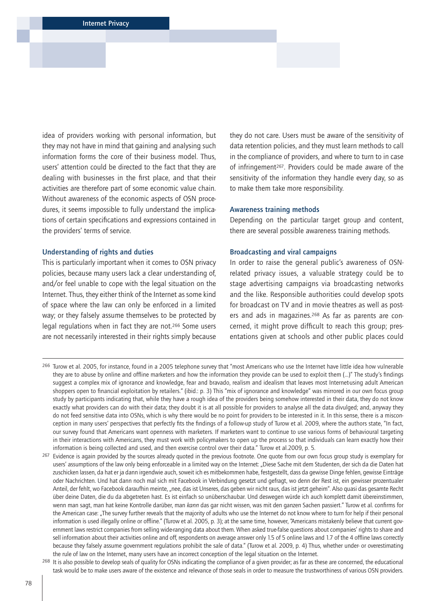idea of providers working with personal information, but they may not have in mind that gaining and analysing such information forms the core of their business model. Thus, users' attention could be directed to the fact that they are dealing with businesses in the first place, and that their activities are therefore part of some economic value chain. Without awareness of the economic aspects of OSN procedures, it seems impossible to fully understand the implications of certain specifications and expressions contained in the providers' terms of service.

#### Understanding of rights and duties

This is particularly important when it comes to OSN privacy policies, because many users lack a clear understanding of, and/or feel unable to cope with the legal situation on the Internet. Thus, they either think of the Internet as some kind of space where the law can only be enforced in a limited way; or they falsely assume themselves to be protected by legal regulations when in fact they are not.266 Some users are not necessarily interested in their rights simply because

they do not care. Users must be aware of the sensitivity of data retention policies, and they must learn methods to call in the compliance of providers, and where to turn to in case of infringement267. Providers could be made aware of the sensitivity of the information they handle every day, so as to make them take more responsibility.

#### Awareness training methods

Depending on the particular target group and content, there are several possible awareness training methods.

#### Broadcasting and viral campaigns

In order to raise the general public's awareness of OSNrelated privacy issues, a valuable strategy could be to stage advertising campaigns via broadcasting networks and the like. Responsible authorities could develop spots for broadcast on TV and in movie theatres as well as posters and ads in magazines.268 As far as parents are concerned, it might prove difficult to reach this group; presentations given at schools and other public places could

<sup>266</sup> Turow et al. 2005, for instance, found in a 2005 telephone survey that "most Americans who use the Internet have little idea how vulnerable they are to abuse by online and offline marketers and how the information they provide can be used to exploit them (…)" The study's findings suggest a complex mix of ignorance and knowledge, fear and bravado, realism and idealism that leaves most Internet-using adult American shoppers open to financial exploitation by retailers." (ibid.: p. 3) This "mix of ignorance and knowledge" was mirrored in our own focus group study by participants indicating that, while they have a rough idea of the providers being somehow interested in their data, they do not know exactly what providers can do with their data; they doubt it is at all possible for providers to analyse all the data divulged; and, anyway they do not feed sensitive data into OSNs, which is why there would be no point for providers to be interested in it. In this sense, there is a misconception in many users' perspectives that perfectly fits the findings of a follow-up study of Turow et al. 2009, where the authors state, "In fact, our survey found that Americans want openness with marketers. If marketers want to continue to use various forms of behavioural targeting in their interactions with Americans, they must work with policymakers to open up the process so that individuals can learn exactly how their information is being collected and used, and then exercise control over their data." Turow et al.2009, p. 5.

<sup>267</sup> Evidence is again provided by the sources already quoted in the previous footnote. One quote from our own focus group study is exemplary for users' assumptions of the law only being enforceable in a limited way on the Internet: "Diese Sache mit dem Studenten, der sich da die Daten hat zuschicken lassen, da hat er ja dann irgendwie auch, soweit ich es mitbekommen habe, festgestellt, dass da gewisse Dinge fehlen, gewisse Einträge oder Nachrichten. Und hat dann noch mal sich mit Facebook in Verbindung gesetzt und gefragt, wo denn der Rest ist, ein gewisser prozentualer Anteil, der fehlt, wo Facebook daraufhin meinte, "nee, das ist Unseres, das geben wir nicht raus, das ist jetzt geheim". Also quasi das gesamte Recht über deine Daten, die du da abgetreten hast. Es ist einfach so unüberschaubar. Und deswegen würde ich auch komplett damit übereinstimmen, wenn man sagt, man hat keine Kontrolle darüber, man *kann* das gar nicht wissen, was mit den ganzen Sachen passiert." Turow et al. confirms for the American case: "The survey further reveals that the majority of adults who use the Internet do not know where to turn for help if their personal information is used illegally online or offline." (Turow et al. 2005, p. 3); at the same time, however, "Americans mistakenly believe that current government laws restrict companies from selling wide-ranging data about them. When asked true-false questions about companies' rights to share and sell information about their activities online and off, respondents on average answer only 1.5 of 5 online laws and 1.7 of the 4 offline laws correctly because they falsely assume government regulations prohibit the sale of data." (Turow et al. 2009, p. 4) Thus, whether under- or overestimating the rule of law on the Internet, many users have an incorrect conception of the legal situation on the Internet.

<sup>268</sup> It is also possible to develop seals of quality for OSNs indicating the compliance of a given provider; as far as these are concerned, the educational task would be to make users aware of the existence and relevance of those seals in order to measure the trustworthiness of various OSN providers.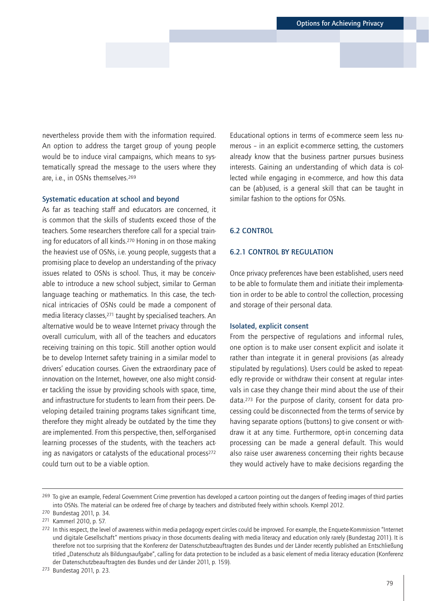nevertheless provide them with the information required. An option to address the target group of young people would be to induce viral campaigns, which means to systematically spread the message to the users where they are, i.e., in OSNs themselves.269

## Systematic education at school and beyond

As far as teaching staff and educators are concerned, it is common that the skills of students exceed those of the teachers. Some researchers therefore call for a special training for educators of all kinds.270 Honing in on those making the heaviest use of OSNs, i.e. young people, suggests that a promising place to develop an understanding of the privacy issues related to OSNs is school. Thus, it may be conceivable to introduce a new school subject, similar to German language teaching or mathematics. In this case, the technical intricacies of OSNs could be made a component of media literacy classes,271 taught by specialised teachers. An alternative would be to weave Internet privacy through the overall curriculum, with all of the teachers and educators receiving training on this topic. Still another option would be to develop Internet safety training in a similar model to drivers' education courses. Given the extraordinary pace of innovation on the Internet, however, one also might consider tackling the issue by providing schools with space, time, and infrastructure for students to learn from their peers. Developing detailed training programs takes significant time, therefore they might already be outdated by the time they are implemented. From this perspective, then, self-organised learning processes of the students, with the teachers acting as navigators or catalysts of the educational process272 could turn out to be a viable option.

Educational options in terms of e-commerce seem less numerous – in an explicit e-commerce setting, the customers already know that the business partner pursues business interests. Gaining an understanding of which data is collected while engaging in e-commerce, and how this data can be (ab)used, is a general skill that can be taught in similar fashion to the options for OSNs.

# **6.2 CONTROL**

# **6.2.1 CONTROL BY REGULATION**

Once privacy preferences have been established, users need to be able to formulate them and initiate their implementation in order to be able to control the collection, processing and storage of their personal data.

#### Isolated, explicit consent

From the perspective of regulations and informal rules, one option is to make user consent explicit and isolate it rather than integrate it in general provisions (as already stipulated by regulations). Users could be asked to repeatedly re-provide or withdraw their consent at regular intervals in case they change their mind about the use of their data.273 For the purpose of clarity, consent for data processing could be disconnected from the terms of service by having separate options (buttons) to give consent or withdraw it at any time. Furthermore, opt-in concerning data processing can be made a general default. This would also raise user awareness concerning their rights because they would actively have to make decisions regarding the

<sup>&</sup>lt;sup>269</sup> To give an example, Federal Government Crime prevention has developed a cartoon pointing out the dangers of feeding images of third parties into OSNs. The material can be ordered free of charge by teachers and distributed freely within schools. Krempl 2012.

<sup>270</sup> Bundestag 2011, p. 34.

<sup>271</sup> Kammerl 2010, p. 57.

<sup>&</sup>lt;sup>272</sup> In this respect, the level of awareness within media pedagogy expert circles could be improved. For example, the Enquete-Kommission "Internet und digitale Gesellschaft" mentions privacy in those documents dealing with media literacy and education only rarely (Bundestag 2011). It is therefore not too surprising that the Konferenz der Datenschutzbeauftragten des Bundes und der Länder recently published an Entschließung titled "Datenschutz als Bildungsaufgabe", calling for data protection to be included as a basic element of media literacy education (Konferenz der Datenschutzbeauftragten des Bundes und der Länder 2011, p. 159).

<sup>273</sup> Bundestag 2011, p. 23.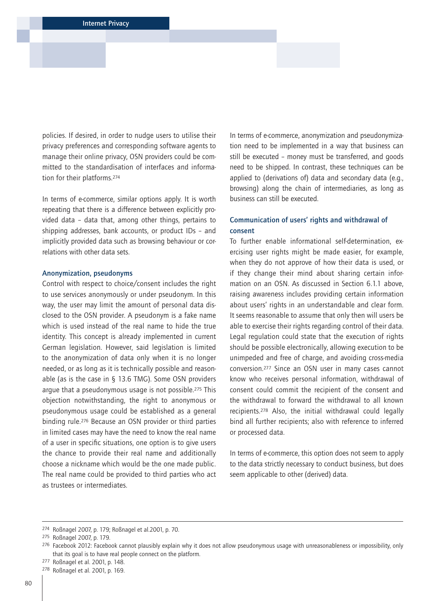policies. If desired, in order to nudge users to utilise their privacy preferences and corresponding software agents to manage their online privacy, OSN providers could be committed to the standardisation of interfaces and information for their platforms.274

In terms of e-commerce, similar options apply. It is worth repeating that there is a difference between explicitly provided data – data that, among other things, pertains to shipping addresses, bank accounts, or product IDs – and implicitly provided data such as browsing behaviour or correlations with other data sets.

## Anonymization, pseudonyms

Control with respect to choice/consent includes the right to use services anonymously or under pseudonym. In this way, the user may limit the amount of personal data disclosed to the OSN provider. A pseudonym is a fake name which is used instead of the real name to hide the true identity. This concept is already implemented in current German legislation. However, said legislation is limited to the anonymization of data only when it is no longer needed, or as long as it is technically possible and reasonable (as is the case in § 13.6 TMG). Some OSN providers argue that a pseudonymous usage is not possible.275 This objection notwithstanding, the right to anonymous or pseudonymous usage could be established as a general binding rule.276 Because an OSN provider or third parties in limited cases may have the need to know the real name of a user in specific situations, one option is to give users the chance to provide their real name and additionally choose a nickname which would be the one made public. The real name could be provided to third parties who act as trustees or intermediates.

In terms of e-commerce, anonymization and pseudonymization need to be implemented in a way that business can still be executed – money must be transferred, and goods need to be shipped. In contrast, these techniques can be applied to (derivations of) data and secondary data (e.g., browsing) along the chain of intermediaries, as long as business can still be executed.

# Communication of users' rights and withdrawal of consent

To further enable informational self-determination, exercising user rights might be made easier, for example, when they do not approve of how their data is used, or if they change their mind about sharing certain information on an OSN. As discussed in Section 6.1.1 above, raising awareness includes providing certain information about users' rights in an understandable and clear form. It seems reasonable to assume that only then will users be able to exercise their rights regarding control of their data. Legal regulation could state that the execution of rights should be possible electronically, allowing execution to be unimpeded and free of charge, and avoiding cross-media conversion.277 Since an OSN user in many cases cannot know who receives personal information, withdrawal of consent could commit the recipient of the consent and the withdrawal to forward the withdrawal to all known recipients.278 Also, the initial withdrawal could legally bind all further recipients; also with reference to inferred or processed data.

In terms of e-commerce, this option does not seem to apply to the data strictly necessary to conduct business, but does seem applicable to other (derived) data.

<sup>274</sup> Roßnagel 2007, p. 179; Roßnagel et al.2001, p. 70.

<sup>275</sup> Roßnagel 2007, p. 179.

<sup>&</sup>lt;sup>276</sup> Facebook 2012: Facebook cannot plausibly explain why it does not allow pseudonymous usage with unreasonableness or impossibility, only that its goal is to have real people connect on the platform.

<sup>277</sup> Roßnagel et al. 2001, p. 148.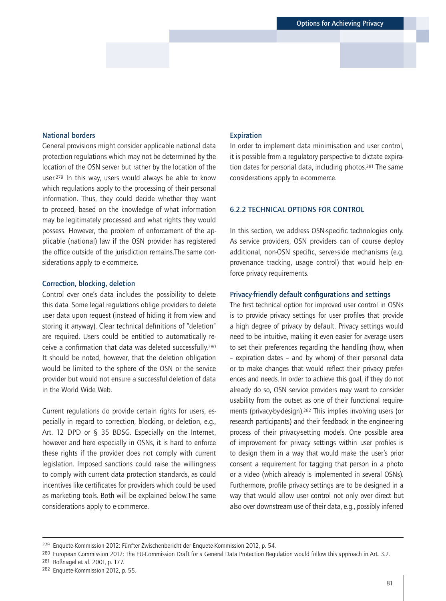# National borders

General provisions might consider applicable national data protection regulations which may not be determined by the location of the OSN server but rather by the location of the user.279 In this way, users would always be able to know which regulations apply to the processing of their personal information. Thus, they could decide whether they want to proceed, based on the knowledge of what information may be legitimately processed and what rights they would possess. However, the problem of enforcement of the applicable (national) law if the OSN provider has registered the office outside of the jurisdiction remains.The same considerations apply to e-commerce.

# Correction, blocking, deletion

Control over one's data includes the possibility to delete this data. Some legal regulations oblige providers to delete user data upon request (instead of hiding it from view and storing it anyway). Clear technical definitions of "deletion" are required. Users could be entitled to automatically receive a confirmation that data was deleted successfully.280 It should be noted, however, that the deletion obligation would be limited to the sphere of the OSN or the service provider but would not ensure a successful deletion of data in the World Wide Web.

Current regulations do provide certain rights for users, especially in regard to correction, blocking, or deletion, e.g., Art. 12 DPD or § 35 BDSG. Especially on the Internet, however and here especially in OSNs, it is hard to enforce these rights if the provider does not comply with current legislation. Imposed sanctions could raise the willingness to comply with current data protection standards, as could incentives like certificates for providers which could be used as marketing tools. Both will be explained below.The same considerations apply to e-commerce.

#### Expiration

In order to implement data minimisation and user control, it is possible from a regulatory perspective to dictate expiration dates for personal data, including photos.281 The same considerations apply to e-commerce.

# 6.2.2 Technical Options for Control

In this section, we address OSN-specific technologies only. As service providers, OSN providers can of course deploy additional, non-OSN specific, server-side mechanisms (e.g. provenance tracking, usage control) that would help enforce privacy requirements.

## Privacy-friendly default configurations and settings

The first technical option for improved user control in OSNs is to provide privacy settings for user profiles that provide a high degree of privacy by default. Privacy settings would need to be intuitive, making it even easier for average users to set their preferences regarding the handling (how, when – expiration dates – and by whom) of their personal data or to make changes that would reflect their privacy preferences and needs. In order to achieve this goal, if they do not already do so, OSN service providers may want to consider usability from the outset as one of their functional requirements (privacy-by-design).282 This implies involving users (or research participants) and their feedback in the engineering process of their privacy-setting models. One possible area of improvement for privacy settings within user profiles is to design them in a way that would make the user's prior consent a requirement for tagging that person in a photo or a video (which already is implemented in several OSNs). Furthermore, profile privacy settings are to be designed in a way that would allow user control not only over direct but also over downstream use of their data, e.g., possibly inferred

<sup>279</sup> Enquete-Kommission 2012: Fünfter Zwischenbericht der Enquete-Kommission 2012, p. 54.

<sup>&</sup>lt;sup>280</sup> European Commission 2012: The EU-Commission Draft for a General Data Protection Regulation would follow this approach in Art. 3.2.

<sup>281</sup> Roßnagel et al. 2001, p. 177.

<sup>282</sup> Enquete-Kommission 2012, p. 55.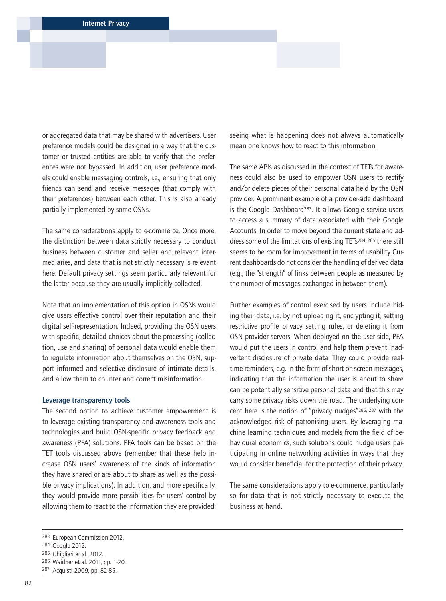or aggregated data that may be shared with advertisers. User preference models could be designed in a way that the customer or trusted entities are able to verify that the preferences were not bypassed. In addition, user preference models could enable messaging controls, i.e., ensuring that only friends can send and receive messages (that comply with their preferences) between each other. This is also already partially implemented by some OSNs.

The same considerations apply to e-commerce. Once more, the distinction between data strictly necessary to conduct business between customer and seller and relevant intermediaries, and data that is not strictly necessary is relevant here: Default privacy settings seem particularly relevant for the latter because they are usually implicitly collected.

Note that an implementation of this option in OSNs would give users effective control over their reputation and their digital self-representation. Indeed, providing the OSN users with specific, detailed choices about the processing (collection, use and sharing) of personal data would enable them to regulate information about themselves on the OSN, support informed and selective disclosure of intimate details, and allow them to counter and correct misinformation.

#### Leverage transparency tools

The second option to achieve customer empowerment is to leverage existing transparency and awareness tools and technologies and build OSN-specific privacy feedback and awareness (PFA) solutions. PFA tools can be based on the TET tools discussed above (remember that these help increase OSN users' awareness of the kinds of information they have shared or are about to share as well as the possible privacy implications). In addition, and more specifically, they would provide more possibilities for users' control by allowing them to react to the information they are provided:

The same APIs as discussed in the context of TETs for awareness could also be used to empower OSN users to rectify and/or delete pieces of their personal data held by the OSN provider. A prominent example of a provider-side dashboard is the Google Dashboard283. It allows Google service users to access a summary of data associated with their Google Accounts. In order to move beyond the current state and address some of the limitations of existing TETs284, 285 there still seems to be room for improvement in terms of usability Current dashboards do not consider the handling of derived data (e.g., the "strength" of links between people as measured by the number of messages exchanged in-between them).

Further examples of control exercised by users include hiding their data, i.e. by not uploading it, encrypting it, setting restrictive profile privacy setting rules, or deleting it from OSN provider servers. When deployed on the user side, PFA would put the users in control and help them prevent inadvertent disclosure of private data. They could provide realtime reminders, e.g. in the form of short on-screen messages, indicating that the information the user is about to share can be potentially sensitive personal data and that this may carry some privacy risks down the road. The underlying concept here is the notion of "privacy nudges"286, 287 with the acknowledged risk of patronising users. By leveraging machine learning techniques and models from the field of behavioural economics, such solutions could nudge users participating in online networking activities in ways that they would consider beneficial for the protection of their privacy.

The same considerations apply to e-commerce, particularly so for data that is not strictly necessary to execute the business at hand.

seeing what is happening does not always automatically mean one knows how to react to this information.

<sup>283</sup> European Commission 2012.

<sup>284</sup> Google 2012.

<sup>285</sup> Ghiglieri et al. 2012.

<sup>286</sup> Waidner et al. 2011, pp. 1-20.

<sup>287</sup> Acquisti 2009, pp. 82-85.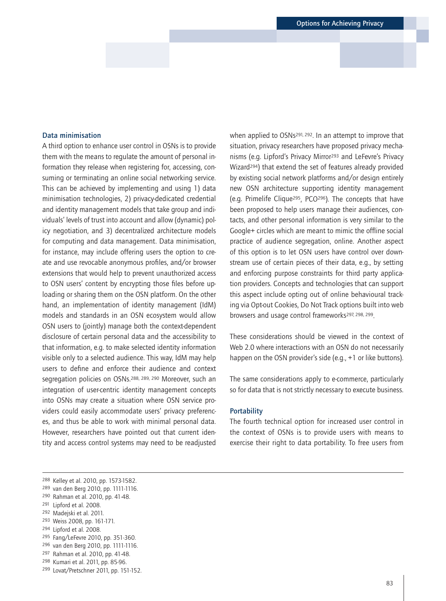## Data minimisation

A third option to enhance user control in OSNs is to provide them with the means to regulate the amount of personal information they release when registering for, accessing, consuming or terminating an online social networking service. This can be achieved by implementing and using 1) data minimisation technologies, 2) privacy-dedicated credential and identity management models that take group and individuals' levels of trust into account and allow (dynamic) policy negotiation, and 3) decentralized architecture models for computing and data management. Data minimisation, for instance, may include offering users the option to create and use revocable anonymous profiles, and/or browser extensions that would help to prevent unauthorized access to OSN users' content by encrypting those files before uploading or sharing them on the OSN platform. On the other hand, an implementation of identity management (IdM) models and standards in an OSN ecosystem would allow OSN users to (jointly) manage both the context-dependent disclosure of certain personal data and the accessibility to that information, e.g. to make selected identity information visible only to a selected audience. This way, IdM may help users to define and enforce their audience and context segregation policies on OSNs.288, 289, 290 Moreover, such an integration of user-centric identity management concepts into OSNs may create a situation where OSN service providers could easily accommodate users' privacy preferences, and thus be able to work with minimal personal data. However, researchers have pointed out that current identity and access control systems may need to be readjusted

when applied to OSNs<sup>291, 292</sup>. In an attempt to improve that situation, privacy researchers have proposed privacy mechanisms (e.g. Lipford's Privacy Mirror293 and LeFevre's Privacy Wizard294) that extend the set of features already provided by existing social network platforms and/or design entirely new OSN architecture supporting identity management (e.g. Primelife Clique295, PCO296). The concepts that have been proposed to help users manage their audiences, contacts, and other personal information is very similar to the Google+ circles which are meant to mimic the offline social practice of audience segregation, online. Another aspect of this option is to let OSN users have control over downstream use of certain pieces of their data, e.g., by setting and enforcing purpose constraints for third party application providers. Concepts and technologies that can support this aspect include opting out of online behavioural tracking via Opt-out Cookies, Do Not Track options built into web browsers and usage control frameworks<sup>297, 298, 299</sup>.

These considerations should be viewed in the context of Web 2.0 where interactions with an OSN do not necessarily happen on the OSN provider's side (e.g., +1 or like buttons).

The same considerations apply to e-commerce, particularly so for data that is not strictly necessary to execute business.

# **Portability**

The fourth technical option for increased user control in the context of OSNs is to provide users with means to exercise their right to data portability. To free users from

<sup>288</sup> Kelley et al. 2010, pp. 1573-1582.

<sup>289</sup> van den Berg 2010, pp. 1111-1116.

<sup>290</sup> Rahman et al. 2010, pp. 41-48.

<sup>291</sup> Lipford et al. 2008.

<sup>292</sup> Madejski et al. 2011.

<sup>293</sup> Weiss 2008, pp. 161-171.

<sup>294</sup> Lipford et al. 2008.

<sup>295</sup> Fang/LeFevre 2010, pp. 351-360.

<sup>296</sup> van den Berg 2010, pp. 1111-1116.

<sup>297</sup> Rahman et al. 2010, pp. 41-48.

<sup>298</sup> Kumari et al. 2011, pp. 85-96.

<sup>299</sup> Lovat/Pretschner 2011, pp. 151-152.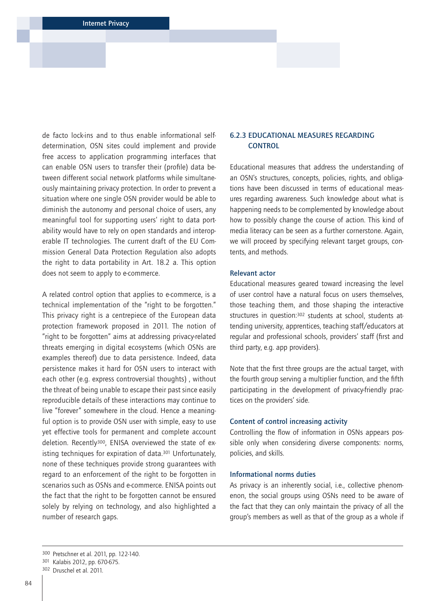de facto lock-ins and to thus enable informational selfdetermination, OSN sites could implement and provide free access to application programming interfaces that can enable OSN users to transfer their (profile) data between different social network platforms while simultaneously maintaining privacy protection. In order to prevent a situation where one single OSN provider would be able to diminish the autonomy and personal choice of users, any meaningful tool for supporting users' right to data portability would have to rely on open standards and interoperable IT technologies. The current draft of the EU Commission General Data Protection Regulation also adopts the right to data portability in Art. 18.2 a. This option does not seem to apply to e-commerce.

A related control option that applies to e-commerce, is a technical implementation of the "right to be forgotten." This privacy right is a centrepiece of the European data protection framework proposed in 2011. The notion of "right to be forgotten" aims at addressing privacy-related threats emerging in digital ecosystems (which OSNs are examples thereof) due to data persistence. Indeed, data persistence makes it hard for OSN users to interact with each other (e.g. express controversial thoughts) , without the threat of being unable to escape their past since easily reproducible details of these interactions may continue to live "forever" somewhere in the cloud. Hence a meaningful option is to provide OSN user with simple, easy to use yet effective tools for permanent and complete account deletion. Recently300, ENISA overviewed the state of existing techniques for expiration of data.301 Unfortunately, none of these techniques provide strong guarantees with regard to an enforcement of the right to be forgotten in scenarios such as OSNs and e-commerce. ENISA points out the fact that the right to be forgotten cannot be ensured solely by relying on technology, and also highlighted a number of research gaps.

# 6.2.3 Educational Measures Regarding **CONTROL**

Educational measures that address the understanding of an OSN's structures, concepts, policies, rights, and obligations have been discussed in terms of educational measures regarding awareness. Such knowledge about what is happening needs to be complemented by knowledge about how to possibly change the course of action. This kind of media literacy can be seen as a further cornerstone. Again, we will proceed by specifying relevant target groups, contents, and methods.

# Relevant actor

Educational measures geared toward increasing the level of user control have a natural focus on users themselves, those teaching them, and those shaping the interactive structures in question:<sup>302</sup> students at school, students attending university, apprentices, teaching staff/educators at regular and professional schools, providers' staff (first and third party, e.g. app providers).

Note that the first three groups are the actual target, with the fourth group serving a multiplier function, and the fifth participating in the development of privacy-friendly practices on the providers' side.

## Content of control increasing activity

Controlling the flow of information in OSNs appears possible only when considering diverse components: norms, policies, and skills.

# Informational norms duties

As privacy is an inherently social, i.e., collective phenomenon, the social groups using OSNs need to be aware of the fact that they can only maintain the privacy of all the group's members as well as that of the group as a whole if

<sup>300</sup> Pretschner et al. 2011, pp. 122-140.

<sup>301</sup> Kalabis 2012, pp. 670-675.

<sup>302</sup> Druschel et al. 2011.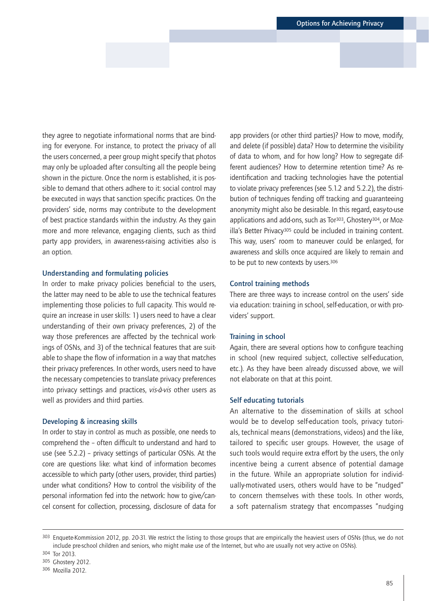they agree to negotiate informational norms that are binding for everyone. For instance, to protect the privacy of all the users concerned, a peer group might specify that photos may only be uploaded after consulting all the people being shown in the picture. Once the norm is established, it is possible to demand that others adhere to it: social control may be executed in ways that sanction specific practices. On the providers' side, norms may contribute to the development of best practice standards within the industry. As they gain more and more relevance, engaging clients, such as third party app providers, in awareness-raising activities also is an option.

## Understanding and formulating policies

In order to make privacy policies beneficial to the users, the latter may need to be able to use the technical features implementing those policies to full capacity. This would require an increase in user skills: 1) users need to have a clear understanding of their own privacy preferences, 2) of the way those preferences are affected by the technical workings of OSNs, and 3) of the technical features that are suitable to shape the flow of information in a way that matches their privacy preferences. In other words, users need to have the necessary competencies to translate privacy preferences into privacy settings and practices, *vis-à-vis* other users as well as providers and third parties.

#### Developing & increasing skills

In order to stay in control as much as possible, one needs to comprehend the – often difficult to understand and hard to use (see 5.2.2) – privacy settings of particular OSNs. At the core are questions like: what kind of information becomes accessible to which party (other users, provider, third parties) under what conditions? How to control the visibility of the personal information fed into the network: how to give/cancel consent for collection, processing, disclosure of data for

app providers (or other third parties)? How to move, modify, and delete (if possible) data? How to determine the visibility of data to whom, and for how long? How to segregate different audiences? How to determine retention time? As reidentification and tracking technologies have the potential to violate privacy preferences (see 5.1.2 and 5.2.2), the distribution of techniques fending off tracking and guaranteeing anonymity might also be desirable. In this regard, easy-to-use applications and add-ons, such as Tor<sup>303</sup>, Ghostery<sup>304</sup>, or Mozilla's Better Privacy<sup>305</sup> could be included in training content. This way, users' room to maneuver could be enlarged, for awareness and skills once acquired are likely to remain and to be put to new contexts by users.306

# Control training methods

There are three ways to increase control on the users' side via education: training in school, self-education, or with providers' support.

#### Training in school

Again, there are several options how to configure teaching in school (new required subject, collective self-education, etc.). As they have been already discussed above, we will not elaborate on that at this point.

#### Self educating tutorials

An alternative to the dissemination of skills at school would be to develop self-education tools, privacy tutorials, technical means (demonstrations, videos) and the like, tailored to specific user groups. However, the usage of such tools would require extra effort by the users, the only incentive being a current absence of potential damage in the future. While an appropriate solution for individually-motivated users, others would have to be "nudged" to concern themselves with these tools. In other words, a soft paternalism strategy that encompasses "nudging

<sup>303</sup> Enquete-Kommission 2012, pp. 20-31. We restrict the listing to those groups that are empirically the heaviest users of OSNs (thus, we do not include pre-school children and seniors, who might make use of the Internet, but who are usually not very active on OSNs).

<sup>304</sup> Tor 2013.

<sup>305</sup> Ghostery 2012.

<sup>306</sup> Mozilla 2012.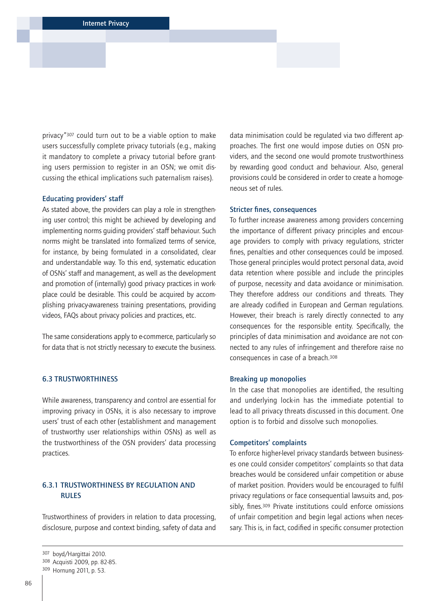privacy"307 could turn out to be a viable option to make users successfully complete privacy tutorials (e.g., making it mandatory to complete a privacy tutorial before granting users permission to register in an OSN; we omit discussing the ethical implications such paternalism raises).

#### Educating providers' staff

As stated above, the providers can play a role in strengthening user control; this might be achieved by developing and implementing norms guiding providers' staff behaviour. Such norms might be translated into formalized terms of service, for instance, by being formulated in a consolidated, clear and understandable way. To this end, systematic education of OSNs' staff and management, as well as the development and promotion of (internally) good privacy practices in workplace could be desirable. This could be acquired by accomplishing privacy-awareness training presentations, providing videos, FAQs about privacy policies and practices, etc.

The same considerations apply to e-commerce, particularly so for data that is not strictly necessary to execute the business.

# 6.3 Trustworthiness

While awareness, transparency and control are essential for improving privacy in OSNs, it is also necessary to improve users' trust of each other (establishment and management of trustworthy user relationships within OSNs) as well as the trustworthiness of the OSN providers' data processing practices.

# 6.3.1 Trustworthiness by Regulation and Rules

Trustworthiness of providers in relation to data processing, disclosure, purpose and context binding, safety of data and

309 Hornung 2011, p. 53.

data minimisation could be regulated via two different approaches. The first one would impose duties on OSN providers, and the second one would promote trustworthiness by rewarding good conduct and behaviour. Also, general provisions could be considered in order to create a homogeneous set of rules.

#### Stricter fines, consequences

To further increase awareness among providers concerning the importance of different privacy principles and encourage providers to comply with privacy regulations, stricter fines, penalties and other consequences could be imposed. Those general principles would protect personal data, avoid data retention where possible and include the principles of purpose, necessity and data avoidance or minimisation. They therefore address our conditions and threats. They are already codified in European and German regulations. However, their breach is rarely directly connected to any consequences for the responsible entity. Specifically, the principles of data minimisation and avoidance are not connected to any rules of infringement and therefore raise no consequences in case of a breach.308

# Breaking up monopolies

In the case that monopolies are identified, the resulting and underlying lock-in has the immediate potential to lead to all privacy threats discussed in this document. One option is to forbid and dissolve such monopolies.

#### Competitors' complaints

To enforce higher-level privacy standards between businesses one could consider competitors' complaints so that data breaches would be considered unfair competition or abuse of market position. Providers would be encouraged to fulfil privacy regulations or face consequential lawsuits and, possibly, fines.<sup>309</sup> Private institutions could enforce omissions of unfair competition and begin legal actions when necessary. This is, in fact, codified in specific consumer protection

<sup>307</sup> boyd/Hargittai 2010.

<sup>308</sup> Acquisti 2009, pp. 82-85.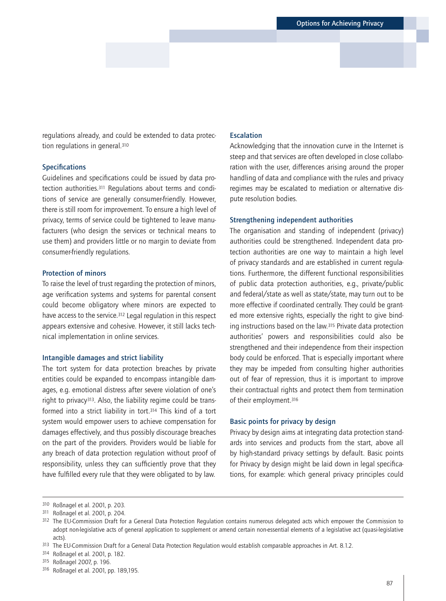regulations already, and could be extended to data protection regulations in general.310

# Specifications

Guidelines and specifications could be issued by data protection authorities.311 Regulations about terms and conditions of service are generally consumer-friendly. However, there is still room for improvement. To ensure a high level of privacy, terms of service could be tightened to leave manufacturers (who design the services or technical means to use them) and providers little or no margin to deviate from consumer-friendly regulations.

## Protection of minors

To raise the level of trust regarding the protection of minors, age verification systems and systems for parental consent could become obligatory where minors are expected to have access to the service.<sup>312</sup> Legal regulation in this respect appears extensive and cohesive. However, it still lacks technical implementation in online services.

# Intangible damages and strict liability

The tort system for data protection breaches by private entities could be expanded to encompass intangible damages, e.g. emotional distress after severe violation of one's right to privacy313. Also, the liability regime could be transformed into a strict liability in tort.314 This kind of a tort system would empower users to achieve compensation for damages effectively, and thus possibly discourage breaches on the part of the providers. Providers would be liable for any breach of data protection regulation without proof of responsibility, unless they can sufficiently prove that they have fulfilled every rule that they were obligated to by law.

# Escalation

Acknowledging that the innovation curve in the Internet is steep and that services are often developed in close collaboration with the user, differences arising around the proper handling of data and compliance with the rules and privacy regimes may be escalated to mediation or alternative dispute resolution bodies.

## Strengthening independent authorities

The organisation and standing of independent (privacy) authorities could be strengthened. Independent data protection authorities are one way to maintain a high level of privacy standards and are established in current regulations. Furthermore, the different functional responsibilities of public data protection authorities, e.g., private/public and federal/state as well as state/state, may turn out to be more effective if coordinated centrally. They could be granted more extensive rights, especially the right to give binding instructions based on the law.315 Private data protection authorities' powers and responsibilities could also be strengthened and their independence from their inspection body could be enforced. That is especially important where they may be impeded from consulting higher authorities out of fear of repression, thus it is important to improve their contractual rights and protect them from termination of their employment.316

## Basic points for privacy by design

Privacy by design aims at integrating data protection standards into services and products from the start, above all by high-standard privacy settings by default. Basic points for Privacy by design might be laid down in legal specifications, for example: which general privacy principles could

<sup>310</sup> Roßnagel et al. 2001, p. 203.

<sup>311</sup> Roßnagel et al. 2001, p. 204.

<sup>&</sup>lt;sup>312</sup> The EU-Commission Draft for a General Data Protection Regulation contains numerous delegated acts which empower the Commission to adopt non-legislative acts of general application to supplement or amend certain non-essential elements of a legislative act (quasi-legislative acts).

<sup>313</sup> The EU-Commission Draft for a General Data Protection Regulation would establish comparable approaches in Art. 8.1.2.<br><sup>314</sup> Roßnagel et al. 2001, p. 182.

<sup>315</sup> Roßnagel 2007, p. 196.

<sup>316</sup> Roßnagel et al. 2001, pp. 189,195.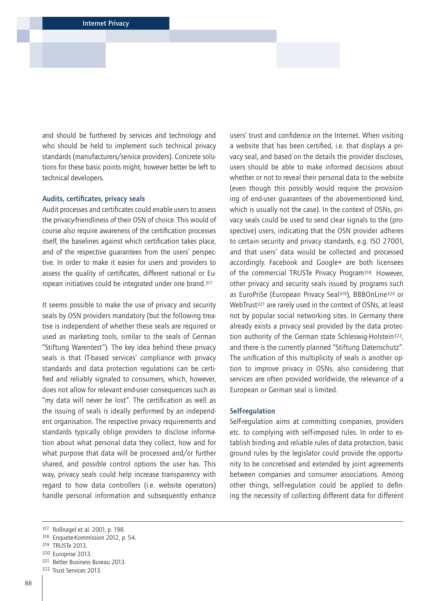and should be furthered by services and technology and who should be held to implement such technical privacy standards (manufacturers/service providers). Concrete solutions for these basic points might, however better be left to technical developers.

#### Audits, certificates, privacy seals

Audit processes and certificates could enable users to assess the privacy-friendliness of their OSN of choice. This would of course also require awareness of the certification processes itself, the baselines against which certification takes place, and of the respective guarantees from the users' perspective. In order to make it easier for users and providers to assess the quality of certificates, different national or European initiatives could be integrated under one brand.317

It seems possible to make the use of privacy and security seals by OSN providers mandatory (but the following treatise is independent of whether these seals are required or used as marketing tools, similar to the seals of German "Stiftung Warentest"). The key idea behind these privacy seals is that IT-based services' compliance with privacy standards and data protection regulations can be certified and reliably signaled to consumers, which, however, does not allow for relevant end-user consequences such as "my data will never be lost". The certification as well as the issuing of seals is ideally performed by an independent organisation. The respective privacy requirements and standards typically oblige providers to disclose information about what personal data they collect, how and for what purpose that data will be processed and/or further shared, and possible control options the user has. This way, privacy seals could help increase transparency with regard to how data controllers (i.e. website operators) handle personal information and subsequently enhance

users' trust and confidence on the Internet. When visiting a website that has been certified, i.e. that displays a privacy seal, and based on the details the provider discloses, users should be able to make informed decisions about whether or not to reveal their personal data to the website (even though this possibly would require the provisioning of end-user guarantees of the abovementioned kind, which is usually not the case). In the context of OSNs, privacy seals could be used to send clear signals to the (prospective) users, indicating that the OSN provider adheres to certain security and privacy standards, e.g. ISO 27001, and that users' data would be collected and processed accordingly. Facebook and Google+ are both licensees of the commercial TRUSTe Privacy Program318. However, other privacy and security seals issued by programs such as EuroPriSe (European Privacy Seal319), BBBOnLine320 or WebTrust<sup>321</sup> are rarely used in the context of OSNs, at least not by popular social networking sites. In Germany there already exists a privacy seal provided by the data protection authority of the German state Schleswig-Holstein322, and there is the currently planned "Stiftung Datenschutz". The unification of this multiplicity of seals is another option to improve privacy in OSNs, also considering that services are often provided worldwide, the relevance of a European or German seal is limited.

## Self-regulation

Self-regulation aims at committing companies, providers etc. to complying with self-imposed rules. In order to establish binding and reliable rules of data protection, basic ground rules by the legislator could provide the opportunity to be concretised and extended by joint agreements between companies and consumer associations. Among other things, self-regulation could be applied to defining the necessity of collecting different data for different

<sup>317</sup> Roßnagel et al. 2001, p. 198.

<sup>318</sup> Enquete-Kommission 2012, p. 54.

<sup>319</sup> TRUSTe 2013.

<sup>320</sup> Europrise 2013.

<sup>321</sup> Better Business Bureau 2013.

<sup>322</sup> Trust Services 2013.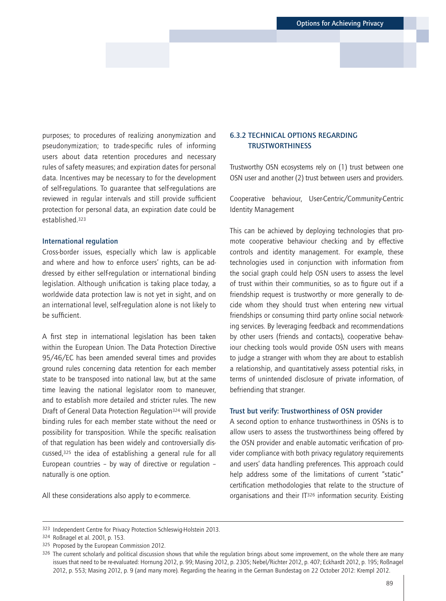purposes; to procedures of realizing anonymization and pseudonymization; to trade-specific rules of informing users about data retention procedures and necessary rules of safety measures; and expiration dates for personal data. Incentives may be necessary to for the development of self-regulations. To guarantee that self-regulations are reviewed in regular intervals and still provide sufficient protection for personal data, an expiration date could be established.323

# International regulation

Cross-border issues, especially which law is applicable and where and how to enforce users' rights, can be addressed by either self-regulation or international binding legislation. Although unification is taking place today, a worldwide data protection law is not yet in sight, and on an international level, self-regulation alone is not likely to be sufficient.

A first step in international legislation has been taken within the European Union. The Data Protection Directive 95/46/EC has been amended several times and provides ground rules concerning data retention for each member state to be transposed into national law, but at the same time leaving the national legislator room to maneuver, and to establish more detailed and stricter rules. The new Draft of General Data Protection Regulation324 will provide binding rules for each member state without the need or possibility for transposition. While the specific realisation of that regulation has been widely and controversially discussed,325 the idea of establishing a general rule for all European countries – by way of directive or regulation – naturally is one option.

All these considerations also apply to e-commerce.

# 6.3.2 Technical Options regarding **TRUSTWORTHINESS**

Trustworthy OSN ecosystems rely on (1) trust between one OSN user and another (2) trust between users and providers.

Cooperative behaviour, User-Centric/Community-Centric Identity Management

This can be achieved by deploying technologies that promote cooperative behaviour checking and by effective controls and identity management. For example, these technologies used in conjunction with information from the social graph could help OSN users to assess the level of trust within their communities, so as to figure out if a friendship request is trustworthy or more generally to decide whom they should trust when entering new virtual friendships or consuming third party online social networking services. By leveraging feedback and recommendations by other users (friends and contacts), cooperative behaviour checking tools would provide OSN users with means to judge a stranger with whom they are about to establish a relationship, and quantitatively assess potential risks, in terms of unintended disclosure of private information, of befriending that stranger.

#### Trust but verify: Trustworthiness of OSN provider

A second option to enhance trustworthiness in OSNs is to allow users to assess the trustworthiness being offered by the OSN provider and enable automatic verification of provider compliance with both privacy regulatory requirements and users' data handling preferences. This approach could help address some of the limitations of current "static" certification methodologies that relate to the structure of organisations and their IT326 information security. Existing

<sup>323</sup> Independent Centre for Privacy Protection Schleswig-Holstein 2013.

<sup>324</sup> Roßnagel et al. 2001, p. 153.

 $325$  Proposed by the European Commission 2012.<br> $325$  The current scholarly and political discussion shows that while the regulation brings about some improvement, on the whole there are many issues that need to be re-evaluated: Hornung 2012, p. 99; Masing 2012, p. 2305; Nebel/Richter 2012, p. 407; Eckhardt 2012, p. 195; Roßnagel 2012, p. 553; Masing 2012, p. 9 (and many more). Regarding the hearing in the German Bundestag on 22 October 2012: Krempl 2012.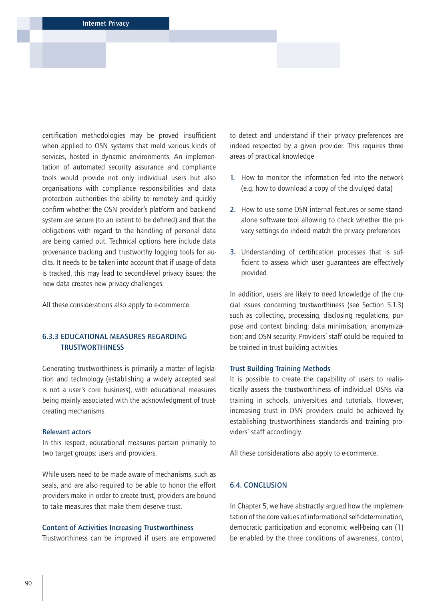certification methodologies may be proved insufficient when applied to OSN systems that meld various kinds of services, hosted in dynamic environments. An implementation of automated security assurance and compliance tools would provide not only individual users but also organisations with compliance responsibilities and data protection authorities the ability to remotely and quickly confirm whether the OSN provider's platform and back-end system are secure (to an extent to be defined) and that the obligations with regard to the handling of personal data are being carried out. Technical options here include data provenance tracking and trustworthy logging tools for audits. It needs to be taken into account that if usage of data is tracked, this may lead to second-level privacy issues: the new data creates new privacy challenges.

All these considerations also apply to e-commerce.

# 6.3.3 Educational Measures Regarding **TRUSTWORTHINESS**

Generating trustworthiness is primarily a matter of legislation and technology (establishing a widely accepted seal is not a user's core business), with educational measures being mainly associated with the acknowledgment of trustcreating mechanisms.

#### Relevant actors

In this respect, educational measures pertain primarily to two target groups: users and providers.

While users need to be made aware of mechanisms, such as seals, and are also required to be able to honor the effort providers make in order to create trust, providers are bound to take measures that make them deserve trust.

# Content of Activities Increasing Trustworthiness

Trustworthiness can be improved if users are empowered

to detect and understand if their privacy preferences are indeed respected by a given provider. This requires three areas of practical knowledge

- 1. How to monitor the information fed into the network (e.g. how to download a copy of the divulged data)
- 2. How to use some OSN internal features or some standalone software tool allowing to check whether the privacy settings do indeed match the privacy preferences
- 3. Understanding of certification processes that is sufficient to assess which user guarantees are effectively provided

In addition, users are likely to need knowledge of the crucial issues concerning trustworthiness (see Section 5.1.3) such as collecting, processing, disclosing regulations; purpose and context binding; data minimisation; anonymization; and OSN security. Providers' staff could be required to be trained in trust building activities.

## Trust Building Training Methods

It is possible to create the capability of users to realistically assess the trustworthiness of individual OSNs via training in schools, universities and tutorials. However, increasing trust in OSN providers could be achieved by establishing trustworthiness standards and training providers' staff accordingly.

All these considerations also apply to e-commerce.

## 6.4. Conclusion

In Chapter 5, we have abstractly argued how the implementation of the core values of informational self-determination, democratic participation and economic well-being can (1) be enabled by the three conditions of awareness, control,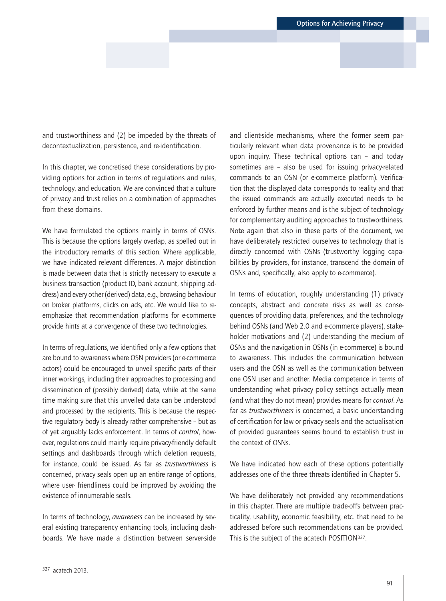and trustworthiness and (2) be impeded by the threats of decontextualization, persistence, and re-identification.

In this chapter, we concretised these considerations by providing options for action in terms of regulations and rules, technology, and education. We are convinced that a culture of privacy and trust relies on a combination of approaches from these domains.

We have formulated the options mainly in terms of OSNs. This is because the options largely overlap, as spelled out in the introductory remarks of this section. Where applicable, we have indicated relevant differences. A major distinction is made between data that is strictly necessary to execute a business transaction (product ID, bank account, shipping address) and every other (derived) data, e.g., browsing behaviour on broker platforms, clicks on ads, etc. We would like to reemphasize that recommendation platforms for e-commerce provide hints at a convergence of these two technologies.

In terms of regulations, we identified only a few options that are bound to awareness where OSN providers (or e-commerce actors) could be encouraged to unveil specific parts of their inner workings, including their approaches to processing and dissemination of (possibly derived) data, while at the same time making sure that this unveiled data can be understood and processed by the recipients. This is because the respective regulatory body is already rather comprehensive – but as of yet arguably lacks enforcement. In terms of *control*, however, regulations could mainly require privacy-friendly default settings and dashboards through which deletion requests, for instance, could be issued. As far as *trustworthiness* is concerned, privacy seals open up an entire range of options, where user- friendliness could be improved by avoiding the existence of innumerable seals.

In terms of technology, *awareness* can be increased by several existing transparency enhancing tools, including dashboards. We have made a distinction between server-side and client-side mechanisms, where the former seem particularly relevant when data provenance is to be provided upon inquiry. These technical options can – and today sometimes are – also be used for issuing privacy-related commands to an OSN (or e-commerce platform). Verification that the displayed data corresponds to reality and that the issued commands are actually executed needs to be enforced by further means and is the subject of technology for complementary auditing approaches to trustworthiness. Note again that also in these parts of the document, we have deliberately restricted ourselves to technology that is directly concerned with OSNs (trustworthy logging capabilities by providers, for instance, transcend the domain of OSNs and, specifically, also apply to e-commerce).

In terms of education, roughly understanding (1) privacy concepts, abstract and concrete risks as well as consequences of providing data, preferences, and the technology behind OSNs (and Web 2.0 and e-commerce players), stakeholder motivations and (2) understanding the medium of OSNs and the navigation in OSNs (in e-commerce) is bound to awareness. This includes the communication between users and the OSN as well as the communication between one OSN user and another. Media competence in terms of understanding what privacy policy settings actually mean (and what they do not mean) provides means for *control*. As far as *trustworthiness* is concerned, a basic understanding of certification for law or privacy seals and the actualisation of provided guarantees seems bound to establish trust in the context of OSNs.

We have indicated how each of these options potentially addresses one of the three threats identified in Chapter 5.

We have deliberately not provided any recommendations in this chapter. There are multiple trade-offs between practicality, usability, economic feasibility, etc. that need to be addressed before such recommendations can be provided. This is the subject of the acatech POSITION327.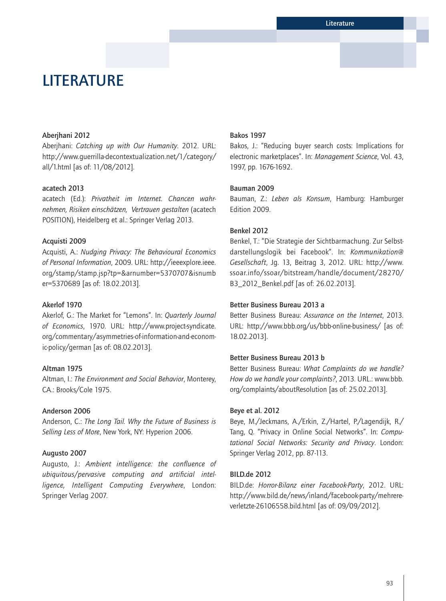# **LITERATURE**

## Aberjhani 2012

Aberjhani: *Catching up with Our Humanity*. 2012. URL: http://[www.guerrilla-decontextualization.net](http://www.guerrilla-decontextualization.net/1/category/all/1.html)/1/category/ all/[1.html](http://www.guerrilla-decontextualization.net/1/category/all/1.html) [as of: 11/08/2012].

# acatech 2013

acatech (Ed.): *Privatheit im Internet. Chancen wahrnehmen, Risiken einschätzen, Vertrauen gestalten* (acatech POSITION), Heidelberg et al.: Springer Verlag 2013.

# Acquisti 2009

Acquisti, A.: *Nudging Privacy: The Behavioural Economics of Personal Information*, 2009. URL: http://[ieeexplore.ieee.](http://ieeexplore.ieee.org/stamp/stamp.jsp%3Ftp%3D%26arnumber%3D5370707%26isnumber%3D5370689) org/stamp/[stamp.jsp?tp=&arnumber=5370707&isnumb](http://ieeexplore.ieee.org/stamp/stamp.jsp%3Ftp%3D%26arnumber%3D5370707%26isnumber%3D5370689) [er=5370689](http://ieeexplore.ieee.org/stamp/stamp.jsp%3Ftp%3D%26arnumber%3D5370707%26isnumber%3D5370689) [as of: 18.02.2013].

## Akerlof 1970

Akerlof, G.: The Market for "Lemons". In: *Quarterly Journal of Economics*, 1970. URL: http://[www.project-syndicate.](http://www.project-syndicate.org/commentary/asymmetries-of-information-and-economic-policy/german) org/commentary/[asymmetries-of-information-and-econom](http://www.project-syndicate.org/commentary/asymmetries-of-information-and-economic-policy/german)[ic-policy](http://www.project-syndicate.org/commentary/asymmetries-of-information-and-economic-policy/german)/german [as of: 08.02.2013].

## Altman 1975

Altman, I.: *The Environment and Social Behavior*, Monterey, CA.: Brooks/Cole 1975.

# Anderson 2006

Anderson, C.: *The Long Tail. Why the Future of Business is Selling Less of More*, New York, NY: Hyperion 2006.

# Augusto 2007

Augusto, J.: *Ambient intelligence: the confluence of ubiquitous*/*pervasive computing and artificial intelligence, Intelligent Computing Everywhere*, London: Springer Verlag 2007.

# Bakos 1997

Bakos, J.: "Reducing buyer search costs: Implications for electronic marketplaces". In: *Management Science*, Vol. 43, 1997, pp. 1676-1692.

# Bauman 2009

Bauman, Z.: *Leben als Konsum*, Hamburg: Hamburger Edition 2009.

# Benkel 2012

Benkel, T.: "Die Strategie der Sichtbarmachung. Zur Selbstdarstellungslogik bei Facebook". In: *Kommunikation@ Gesellschaft*, Jg. 13, Beitrag 3, 2012. URL: http://[www.](http://www.ssoar.info/ssoar/bitstream/handle/document/28270/B3_2012_Benkel.pdf) ssoar.info/ssoar/bitstream/handle/[document](http://www.ssoar.info/ssoar/bitstream/handle/document/28270/B3_2012_Benkel.pdf)/28270/ [B3\\_2012\\_Benkel.pdf](http://www.ssoar.info/ssoar/bitstream/handle/document/28270/B3_2012_Benkel.pdf) [as of: 26.02.2013].

# Better Business Bureau 2013 a

Better Business Bureau: *Assurance on the Internet*, 2013. URL: http://www.bbb.org/us/bbb-online-business/ [as of: 18.02.2013].

# Better Business Bureau 2013 b

Better Business Bureau: *What Complaints do we handle? How do we handle your complaints?*, 2013. URL.: www.bbb. org/complaints/aboutResolution [as of: 25.02.2013].

# Beye et al. 2012

Beye, M./Jeckmans, A./Erkin, Z./Hartel, P./Lagendijk, R./ Tang, Q. "Privacy in Online Social Networks". In: *Computational Social Networks: Security and Privacy*. London: Springer Verlag 2012, pp. 87-113.

# BILD.de 2012

BILD.de: *Horror-Bilanz einer Facebook-Party*, 2012. URL: http://www.bild.de/news/inland/[facebook-party](http://www.bild.de/news/inland/facebook-party/mehrere-verletzte-26106558.bild.html)/mehrere[verletzte-26106558.bild.html](http://www.bild.de/news/inland/facebook-party/mehrere-verletzte-26106558.bild.html) [as of: 09/09/2012].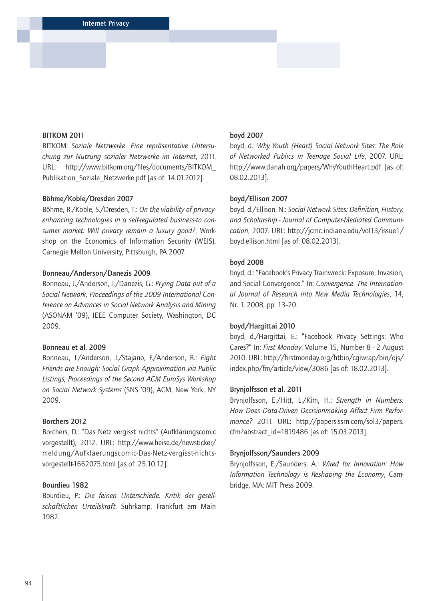# BITKOM 2011

BITKOM: *Soziale Netzwerke. Eine repräsentative Untersuchung zur Nutzung sozialer Netzwerke im Internet*, 2011. URL: http://[www.bitkom.org](http://www.bitkom.org/files/documents/BITKOM_Publikation_Soziale_Netzwerke.pdf)/files/documents/BITKOM\_ [Publikation\\_Soziale\\_Netzwerke.pdf](http://www.bitkom.org/files/documents/BITKOM_Publikation_Soziale_Netzwerke.pdf) [as of: 14.01.2012].

# Böhme**/**Koble**/**Dresden 2007

Böhme, R./Koble, S./Dresden, T.: *On the viability of privacyenhancing technologies in a self-regulated business-to consumer market: Will privacy remain a luxury good?*, Workshop on the Economics of Information Security (WEIS), Carnegie Mellon University, Pittsburgh, PA 2007.

# Bonneau**/**Anderson**/**Danezis 2009

Bonneau, J./Anderson, J./Danezis, G.: *Prying Data out of a Social Network, Proceedings of the 2009 International Conference on Advances in Social Network Analysis and Mining* (ASONAM '09), IEEE Computer Society, Washington, DC 2009.

# Bonneau et al. 2009

Bonneau, J./Anderson, J./Stajano, F./Anderson, R.: *Eight Friends are Enough: Social Graph Approximation via Public Listings, Proceedings of the Second ACM EuroSys Workshop on Social Network Systems* (SNS '09), ACM, New York, NY 2009.

# Borchers 2012

Borchers, D.: "Das Netz vergisst nichts" (Aufklärungscomic vorgestellt), 2012. URL: http://[www.heise.de](http://www.heise.de/newsticker/meldung/Aufklaerungscomic-Das-Netz-vergisst-nichts-vorgestellt-1662075.html)/newsticker/ meldung/[Aufklaerungscomic-Das-Netz-vergisst-nichts](http://www.heise.de/newsticker/meldung/Aufklaerungscomic-Das-Netz-vergisst-nichts-vorgestellt-1662075.html)[vorgestellt-1662075.html](http://www.heise.de/newsticker/meldung/Aufklaerungscomic-Das-Netz-vergisst-nichts-vorgestellt-1662075.html) [as of: 25.10.12].

# Bourdieu 1982

Bourdieu, P.: *Die feinen Unterschiede. Kritik der gesellschaftlichen Urteilskraft*, Suhrkamp, Frankfurt am Main 1982.

### boyd 2007

boyd, d.: *Why Youth (Heart) Social Network Sites: The Role of Networked Publics in Teenage Social Life*, 2007. URL: http://www.danah.org/papers/WhyYouthHeart.pdf [as of: 08.02.2013].

# boyd**/**Ellison 2007

boyd, d./Ellison, N.: *Social Network Sites: Definition, History, and Scholarship - Journal of Computer-Mediated Communication*, 2007. URL: http://[jcmc.indiana.edu](http://jcmc.indiana.edu/vol13/issue1/boyd.ellison.html)/vol13/issue1/ [boyd.ellison.html](http://jcmc.indiana.edu/vol13/issue1/boyd.ellison.html) [as of: 08.02.2013].

#### boyd 2008

boyd, d.: "Facebook's Privacy Trainwreck: Exposure, Invasion, and Social Convergence." In: *Convergence. The International Journal of Research into New Media Technologies*, 14, Nr. 1, 2008, pp. 13–20.

#### boyd**/**Hargittai 2010

boyd, d./Hargittai, E.: "Facebook Privacy Settings: Who Cares?" In: *First Monday*, Volume 15, Number 8 - 2 August 2010. URL: http://[firstmonday.org](http://firstmonday.org/htbin/cgiwrap/bin/ojs/index.php/fm/article/view/3086)/htbin/cgiwrap/bin/ojs/ [index.php](http://firstmonday.org/htbin/cgiwrap/bin/ojs/index.php/fm/article/view/3086)/fm/article/view/3086 [as of: 18.02.2013].

# Brynjolfsson et al. 2011

Brynjolfsson, E./Hitt, L./Kim, H.: *Strength in Numbers: How Does Data-Driven Decisionmaking Affect Firm Performance?* 2011. URL: http://[papers.ssrn.com](http://papers.ssrn.com/sol3/papers.cfm?abstract_id=1819486)/sol3/papers. [cfm?abstract\\_id=1819486](http://papers.ssrn.com/sol3/papers.cfm?abstract_id=1819486) [as of: 15.03.2013].

# Brynjolfsson**/**Saunders 2009

Brynjolfsson, E./Saunders, A.: *Wired for Innovation: How Information Technology is Reshaping the Economy*, Cambridge, MA: MIT Press 2009.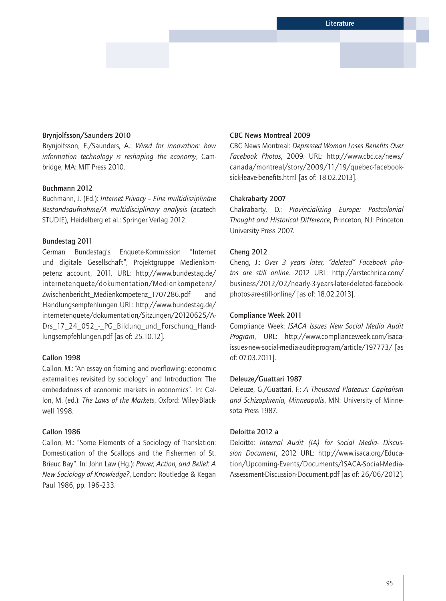# Brynjolfsson**/**Saunders 2010

Brynjolfsson, E./Saunders, A.: *Wired for innovation: how information technology is reshaping the economy*, Cambridge, MA: MIT Press 2010.

# Buchmann 2012

Buchmann, J. (Ed.): *Internet Privacy – Eine multidisziplinäre Bestandsaufnahme*/*A multidisciplinary analysis* (acatech STUDIE), Heidelberg et al.: Springer Verlag 2012.

# Bundestag 2011

German Bundestag's Enquete-Kommission "Internet und digitale Gesellschaft", Projektgruppe Medienkompetenz account, 2011. URL: http://[www.bundestag.de](http://www.bundestag.de/internetenquete/dokumentation/Medienkompetenz/Zwischenbericht_Medienkompetenz_1707286.pdf)/ internetenquete/dokumentation/[Medienkompetenz](http://www.bundestag.de/internetenquete/dokumentation/Medienkompetenz/Zwischenbericht_Medienkompetenz_1707286.pdf)/ [Zwischenbericht\\_Medienkompetenz\\_1707286.pdf](http://www.bundestag.de/internetenquete/dokumentation/Medienkompetenz/Zwischenbericht_Medienkompetenz_1707286.pdf) and Handlungsempfehlungen URL: http://[www.bundestag.de](http://www.bundestag.de/internetenquete/dokumentation/Sitzungen/20120625/A-Drs_17_24_052_-_PG_Bildung_und_Forschung_Handlungsempfehlungen.pdf)/ [internetenquete](http://www.bundestag.de/internetenquete/dokumentation/Sitzungen/20120625/A-Drs_17_24_052_-_PG_Bildung_und_Forschung_Handlungsempfehlungen.pdf)/dokumentation/Sitzungen/20120625/A-[Drs\\_17\\_24\\_052\\_-\\_PG\\_Bildung\\_und\\_Forschung\\_Hand](http://www.bundestag.de/internetenquete/dokumentation/Sitzungen/20120625/A-Drs_17_24_052_-_PG_Bildung_und_Forschung_Handlungsempfehlungen.pdf)[lungsempfehlungen.pdf](http://www.bundestag.de/internetenquete/dokumentation/Sitzungen/20120625/A-Drs_17_24_052_-_PG_Bildung_und_Forschung_Handlungsempfehlungen.pdf) [as of: 25.10.12].

# Callon 1998

Callon, M.: "An essay on framing and overflowing: economic externalities revisited by sociology" and Introduction: The embededness of economic markets in economics". In: Callon, M. (ed.): *The Laws of the Markets*, Oxford: Wiley-Blackwell 1998.

# Callon 1986

Callon, M.: "Some Elements of a Sociology of Translation: Domestication of the Scallops and the Fishermen of St. Brieuc Bay". In: John Law (Hg.): *Power, Action, and Belief: A New Sociology of Knowledge?*, London: Routledge & Kegan Paul 1986, pp. 196–233.

# CBC News Montreal 2009

CBC News Montreal: *Depressed Woman Loses Benefits Over Facebook Photos*, 2009. URL: http://[www.cbc.ca](http://www.cbc.ca/news/canada/montreal/story/2009/11/19/quebec-facebook-sick-leave-benefits.html)/news/ canada/montreal/story/2009/11/19/[quebec-facebook](http://www.cbc.ca/news/canada/montreal/story/2009/11/19/quebec-facebook-sick-leave-benefits.html)[sick-leave-benefits.html](http://www.cbc.ca/news/canada/montreal/story/2009/11/19/quebec-facebook-sick-leave-benefits.html) [as of: 18.02.2013].

# Chakrabarty 2007

Chakrabarty, D.: *Provincializing Europe: Postcolonial Thought and Historical Difference*, Princeton, NJ: Princeton University Press 2007.

# Cheng 2012

Cheng, J.: *Over 3 years later, "deleted" Facebook photos are still online*. 2012 URL: http://[arstechnica.com](http://arstechnica.com/business/2012/02/nearly-3-years-later-deleted-facebook-photos-are-still-online/)/ business/2012/02/[nearly-3-years-later-deleted-facebook](http://arstechnica.com/business/2012/02/nearly-3-years-later-deleted-facebook-photos-are-still-online/)[photos-are-still-online](http://arstechnica.com/business/2012/02/nearly-3-years-later-deleted-facebook-photos-are-still-online/)/ [as of: 18.02.2013].

# Compliance Week 2011

Compliance Week: *ISACA Issues New Social Media Audit Program*, URL: http://[www.complianceweek.com](http://www.complianceweek.com/isaca-issues-new-social-media-audit-program/article/197773/)/isaca[issues-new-social-media-audit-program](http://www.complianceweek.com/isaca-issues-new-social-media-audit-program/article/197773/)/article/197773/ [as of: 07.03.2011].

# Deleuze**/**Guattari 1987

Deleuze, G./Guattari, F.: *A Thousand Plateaus: Capitalism and Schizophrenia, Minneapolis*, MN: University of Minnesota Press 1987.

# Deloitte 2012 a

Deloitte: *Internal Audit (IA) for Social Media- Discussion Document*, 2012 URL: http://[www.isaca.org](http://www.isaca.org/Education/Upcoming-Events/Documents/ISACA-Social-Media-Assessment-Discussion-Document.pdf)/Education/Upcoming-Events/Documents/[ISACA-Social-Media-](http://www.isaca.org/Education/Upcoming-Events/Documents/ISACA-Social-Media-Assessment-Discussion-Document.pdf)[Assessment-Discussion-Document.pdf](http://www.isaca.org/Education/Upcoming-Events/Documents/ISACA-Social-Media-Assessment-Discussion-Document.pdf) [as of: 26/06/2012].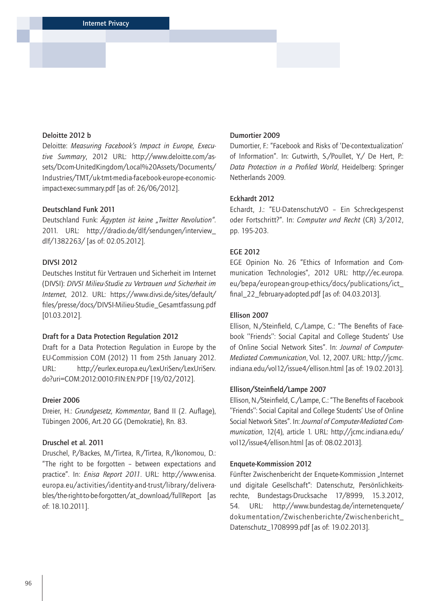# Deloitte 2012 b

Deloitte: *Measuring Facebook's Impact in Europe, Executive Summary*, 2012 URL: http://[www.deloitte.com](http://www.deloitte.com/assets/Dcom-UnitedKingdom/Local%20Assets/Documents/Industries/TMT/uk-tmt-media-facebook-europe-economic-impact-exec-summary.pdf)/assets/[Dcom-UnitedKingdom](http://www.deloitte.com/assets/Dcom-UnitedKingdom/Local%20Assets/Documents/Industries/TMT/uk-tmt-media-facebook-europe-economic-impact-exec-summary.pdf)/Local%20Assets/Documents/ Industries/TMT/[uk-tmt-media-facebook-europe-economic](http://www.deloitte.com/assets/Dcom-UnitedKingdom/Local%20Assets/Documents/Industries/TMT/uk-tmt-media-facebook-europe-economic-impact-exec-summary.pdf)[impact-exec-summary.pdf](http://www.deloitte.com/assets/Dcom-UnitedKingdom/Local%20Assets/Documents/Industries/TMT/uk-tmt-media-facebook-europe-economic-impact-exec-summary.pdf) [as of: 26/06/2012].

# Deutschland Funk 2011

Deutschland Funk: Ägypten ist keine "Twitter Revolution". 2011. URL: http://dradio.de/dlf/[sendungen](http://dradio.de/dlf/sendungen/interview_dlf/1382263/)/interview\_ dlf/[1382263](http://dradio.de/dlf/sendungen/interview_dlf/1382263/)/ [as of: 02.05.2012].

# DIVSI 2012

Deutsches Institut für Vertrauen und Sicherheit im Internet (DIVSI): *DIVSI Milieu-Studie zu Vertrauen und Sicherheit im Internet*, 2012. URL: https://[www.divsi.de](https://www.divsi.de/sites/default/files/presse/docs/DIVSI-Milieu-Studie_Gesamtfassung.pdf)/sites/default/ files/presse/docs/[DIVSI-Milieu-Studie\\_Gesamtfassung.pdf](https://www.divsi.de/sites/default/files/presse/docs/DIVSI-Milieu-Studie_Gesamtfassung.pdf) [01.03.2012].

# Draft for a Data Protection Regulation 2012

Draft for a Data Protection Regulation in Europe by the EU-Commission COM (2012) 11 from 25th January 2012. URL: http://[eurlex.europa.eu](http://eur-lex.europa.eu/LexUriServ/LexUriServ.do%3Furi%3DCOM:2012:0010:FIN:EN:PDF)/LexUriServ/LexUriServ. [do?uri=COM:2012:0010:FIN:EN:PDF](http://eur-lex.europa.eu/LexUriServ/LexUriServ.do%3Furi%3DCOM:2012:0010:FIN:EN:PDF) [19/02/2012].

# Dreier 2006

Dreier, H.: *Grundgesetz, Kommentar*, Band II (2. Auflage), Tübingen 2006, Art.20 GG (Demokratie), Rn. 83.

# Druschel et al. 2011

Druschel, P./Backes, M./Tirtea, R./Tirtea, R./Ikonomou, D.: "The right to be forgotten – between expectations and practice". In: *Enisa Report 2011*. URL: http://[www.enisa.](http://www.enisa.europa.eu/activities/identity-and-trust/library/deliverables/the-right-to-be-forgotten/at_download/fullReport) europa.eu/activities/[identity-and-trust](http://www.enisa.europa.eu/activities/identity-and-trust/library/deliverables/the-right-to-be-forgotten/at_download/fullReport)/library/deliverables/[the-right-to-be-forgotten](http://www.enisa.europa.eu/activities/identity-and-trust/library/deliverables/the-right-to-be-forgotten/at_download/fullReport)/at\_download/fullReport [as of: 18.10.2011].

# Dumortier 2009

Dumortier, F.: "Facebook and Risks of 'De-contextualization' of Information". In: Gutwirth, S./Poullet, Y./ De Hert, P.: *Data Protection in a Profiled World*, Heidelberg: Springer Netherlands 2009.

# Eckhardt 2012

Echardt, J.: "EU-DatenschutzVO – Ein Schreckgespenst oder Fortschritt?". In: *Computer und Recht* (CR) 3/2012, pp. 195-203.

# EGE 2012

EGE Opinion No. 26 "Ethics of Information and Communication Technologies", 2012 URL: http://[ec.europa.](http://ec.europa.eu/bepa/european-group-ethics/docs/publications/ict_final_22_february-adopted.pdf) eu/bepa/[european-group-ethics](http://ec.europa.eu/bepa/european-group-ethics/docs/publications/ict_final_22_february-adopted.pdf)/docs/publications/ict\_ [final\\_22\\_february-adopted.pdf \[](http://ec.europa.eu/bepa/european-group-ethics/docs/publications/ict_final_22_february-adopted.pdf)as of: 04.03.2013].

## Ellison 2007

Ellison, N./Steinfield, C./Lampe, C.: "The Benefits of Facebook ''Friends'': Social Capital and College Students' Use of Online Social Network Sites". In: *Journal of Computer-Mediated Communication*, Vol. 12, 2007. URL: http://[jcmc.](http://jcmc.indiana.edu/vol12/issue4/ellison.html) [indiana.edu](http://jcmc.indiana.edu/vol12/issue4/ellison.html)/vol12/issue4/ellison.html [as of: 19.02.2013].

# Ellison**/**Steinfield**/**Lampe 2007

Ellison, N./Steinfield, C./Lampe, C.: "The Benefits of Facebook "Friends": Social Capital and College Students' Use of Online Social Network Sites". In: *Journal of Computer-Mediated Communication*, 12(4), article 1. URL: http://[jcmc.indiana.edu](http://jcmc.indiana.edu/vol12/issue4/ellison.html)/ vol12/issue4/[ellison.html](http://jcmc.indiana.edu/vol12/issue4/ellison.html) [as of: 08.02.2013].

# Enquete-Kommission 2012

Fünfter Zwischenbericht der Enquete-Kommission "Internet und digitale Gesellschaft": Datenschutz, Persönlichkeitsrechte, Bundestags-Drucksache 17/8999, 15.3.2012, 54. URL: http://[www.bundestag.de](http://www.bundestag.de/internetenquete/dokumentation/Zwischenberichte/Zwischenbericht_Datenschutz_1708999.pdf)/internetenquete/ dokumentation/Zwischenberichte/[Zwischenbericht\\_](http://www.bundestag.de/internetenquete/dokumentation/Zwischenberichte/Zwischenbericht_Datenschutz_1708999.pdf) [Datenschutz\\_1708999.pdf](http://www.bundestag.de/internetenquete/dokumentation/Zwischenberichte/Zwischenbericht_Datenschutz_1708999.pdf) [as of: 19.02.2013].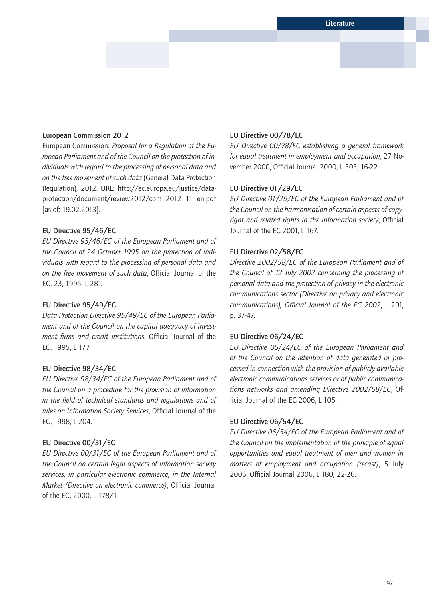#### European Commission 2012

European Commission: *Proposal for a Regulation of the European Parliament and of the Council on the protection of individuals with regard to the processing of personal data and on the free movement of such data* (General Data Protection Regulation), 2012. URL: http://[ec.europa.eu](http://ec.europa.eu/justice/data-protection/document/review2012/com_2012_11_en.pdf)/justice/dataprotection/document/review2012/[com\\_2012\\_11\\_en.pdf](http://ec.europa.eu/justice/data-protection/document/review2012/com_2012_11_en.pdf) [as of: 19.02.2013].

# EU Directive 95**/**46**/**EC

*EU Directive 95*/*46*/*EC of the European Parliament and of the Council of 24 October 1995 on the protection of individuals with regard to the processing of personal data and on the free movement of such data*, Official Journal of the EC, 23, 1995, L 281.

# EU Directive 95**/**49**/**EC

*Data Protection Directive 95*/*49*/*EC of the European Parliament and of the Council on the capital adequacy of investment firms and credit institutions.* Official Journal of the EC, 1995, L 177.

# EU Directive 98**/**34**/**EC

*EU Directive 98*/*34*/*EC of the European Parliament and of the Council on a procedure for the provision of information in the field of technical standards and regulations and of rules on Information Society Services*, Official Journal of the EC, 1998, L 204.

# EU Directive 00**/**31**/**EC

*EU Directive 00*/*31*/*EC of the European Parliament and of the Council on certain legal aspects of information society services, in particular electronic commerce, in the Internal Market (Directive on electronic commerce)*, Official Journal of the EC, 2000, L 178/1.

# EU Directive 00**/**78**/**EC

*EU Directive 00*/*78*/*EC establishing a general framework for equal treatment in employment and occupation*, 27 November 2000, Official Journal 2000, L 303, 16-22.

## EU Directive 01**/**29**/**EC

*EU Directive 01*/*29*/*EC of the European Parliament and of the Council on the harmonisation of certain aspects of copyright and related rights in the information society*, Official Journal of the EC 2001, L 167.

#### EU Directive 02**/**58**/**EC

*Directive 2002*/*58*/*EC of the European Parliament and of the Council of 12 July 2002 concerning the processing of personal data and the protection of privacy in the electronic communications sector (Directive on privacy and electronic communications), Official Journal of the EC 2002*, L 201, p. 37-47.

# EU Directive 06**/**24**/**EC

*EU Directive 06*/*24*/*EC of the European Parliament and of the Council on the retention of data generated or processed in connection with the provision of publicly available electronic communications services or of public communications networks and amending Directive 2002*/*58*/*EC*, Official Journal of the EC 2006, L 105.

# EU Directive 06**/**54**/**EC

*EU Directive 06*/*54*/*EC of the European Parliament and of the Council on the implementation of the principle of equal opportunities and equal treatment of men and women in matters of employment and occupation (recast)*, 5 July 2006, Official Journal 2006, L 180, 22-26.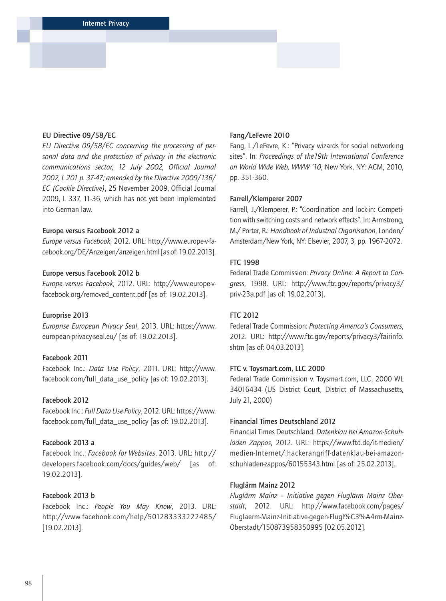# EU Directive 09**/**58**/**EC

*EU Directive 09*/*58*/*EC concerning the processing of personal data and the protection of privacy in the electronic communications sector, 12 July 2002, Official Journal 2002, L 201 p. 37-47; amended by the Directive 2009*/*136*/ *EC (Cookie Directive)*, 25 November 2009, Official Journal 2009, L 337, 11-36, which has not yet been implemented into German law.

# Europe versus Facebook 2012 a

*Europe versus Facebook*, 2012. URL: http://[www.europe-v-fa](http://www.europe-v-facebook.org/DE/Anzeigen/anzeigen.html)cebook.org/DE/Anzeigen/[anzeigen.html](http://www.europe-v-facebook.org/DE/Anzeigen/anzeigen.html) [as of: 19.02.2013].

# Europe versus Facebook 2012 b

*Europe versus Facebook*, 2012. URL: http://[www.europe-v](http://www.europe-v-facebook.org/removed_content.pdf)facebook.org/[removed\\_content.pdf](http://www.europe-v-facebook.org/removed_content.pdf) [as of: 19.02.2013].

# Europrise 2013

*Europrise European Privacy Seal*, 2013. URL: [https:](https://www.european-privacy-seal.eu/)//www. [european-privacy-seal.eu](https://www.european-privacy-seal.eu/)/ [as of: 19.02.2013].

# Facebook 2011

Facebook Inc.: *Data Use Policy*, 2011. URL: http://[www.](http://www.facebook.com/full_data_use_policy) facebook.com/[full\\_data\\_use\\_policy](http://www.facebook.com/full_data_use_policy) [as of: 19.02.2013].

# Facebook 2012

Facebook Inc.: *Full Data Use Policy*, 2012. URL: [https:](https://www.facebook.com/full_data_use_policy)//www. facebook.com/[full\\_data\\_use\\_policy](https://www.facebook.com/full_data_use_policy) [as of: 19.02.2013].

# Facebook 2013 a

Facebook Inc.: *Facebook for Websites*, 2013. URL: [http:](http://developers.facebook.com/docs/guides/web/)// [developers.facebook.com](http://developers.facebook.com/docs/guides/web/)/docs/guides/web/ [as of: 19.02.2013].

# Facebook 2013 b

Facebook Inc.: *People You May Know*, 2013. URL: http://www.facebook.com/help/[501283333222485](http://www.facebook.com/help/501283333222485/)/ [19.02.2013].

# Fang**/**LeFevre 2010

Fang, L./LeFevre, K.: "Privacy wizards for social networking sites". In: *Proceedings of the19th International Conference on World Wide Web, WWW '10*, New York, NY: ACM, 2010, pp. 351-360.

# Farrell**/**Klemperer 2007

Farrell, J./Klemperer, P.: "Coordination and lock-in: Competition with switching costs and network effects". In: Armstrong, M./ Porter, R.: *Handbook of Industrial Organisation*, London/ Amsterdam/New York, NY: Elsevier, 2007, 3, pp. 1967-2072.

# FTC 1998

Federal Trade Commission: *Privacy Online: A Report to Congress*, 1998. URL: http://[www.ftc.gov](http://www.ftc.gov/reports/privacy3/priv-23a.pdf)/reports/privacy3/ [priv-23a.pdf](http://www.ftc.gov/reports/privacy3/priv-23a.pdf) [as of: 19.02.2013].

# FTC 2012

Federal Trade Commission: *Protecting America's Consumers*, 2012. URL: http://[www.ftc.gov](http://www.ftc.gov/reports/privacy3/fairinfo.shtm)/reports/privacy3/fairinfo. [shtm](http://www.ftc.gov/reports/privacy3/fairinfo.shtm) [as of: 04.03.2013].

# FTC v. Toysmart.com, LLC 2000

Federal Trade Commission v. Toysmart.com, LLC, 2000 WL 34016434 (US District Court, District of Massachusetts, July 21, 2000)

# Financial Times Deutschland 2012

Financial Times Deutschland: *Datenklau bei Amazon-Schuhladen Zappos*, 2012. URL: https://[www.ftd.de](https://www.ftd.de/it-%C2%ADmedien/medien-Internet/:hackerangriff-datenklau-bei-amazon-schuhladen-zappos/60155343.html)/it-medien/ medien-Internet/[:hackerangriff-datenklau-bei-amazon](https://www.ftd.de/it-%C2%ADmedien/medien-Internet/:hackerangriff-datenklau-bei-amazon-schuhladen-zappos/60155343.html)[schuhladen-zappos](https://www.ftd.de/it-%C2%ADmedien/medien-Internet/:hackerangriff-datenklau-bei-amazon-schuhladen-zappos/60155343.html)/60155343.html [as of: 25.02.2013].

# Fluglärm Mainz 2012

*Fluglärm Mainz – Initiative gegen Fluglärm Mainz Oberstadt*, 2012. URL: http://[www.facebook.com](http://www.facebook.com/pages/Fluglaerm-Mainz-Initiative-gegen-Flugl%25C3%25A4rm-Mainz-Oberstadt/150873958350995)/pages/ [Fluglaerm-Mainz-Initiative-gegen-Flugl%C3%A4rm-Mainz-](http://www.facebook.com/pages/Fluglaerm-Mainz-Initiative-gegen-Flugl%25C3%25A4rm-Mainz-Oberstadt/150873958350995)Oberstadt/[150873958350995](http://www.facebook.com/pages/Fluglaerm-Mainz-Initiative-gegen-Flugl%25C3%25A4rm-Mainz-Oberstadt/150873958350995) [02.05.2012].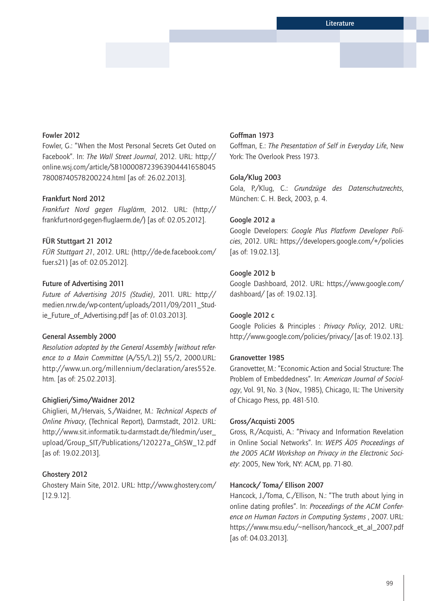# Fowler 2012

Fowler, G.: "When the Most Personal Secrets Get Outed on Facebook". In: *The Wall Street Journal*, 2012. URL: [http:](http://online.wsj.com/article/SB10000872396390444165804578008740578200224.html)// online.wsj.com/article/[SB100008723963904441658045](http://online.wsj.com/article/SB10000872396390444165804578008740578200224.html) [78008740578200224.html](http://online.wsj.com/article/SB10000872396390444165804578008740578200224.html) [as of: 26.02.2013].

# Frankfurt Nord 2012

*Frankfurt Nord gegen Fluglärm*, 2012. URL: ([http:](http://frankfurt-nord-gegen-fluglaerm.de/)// [frankfurt-nord-gegen-fluglaerm.de](http://frankfurt-nord-gegen-fluglaerm.de/)/) [as of: 02.05.2012].

# FÜR Stuttgart 21 2012

*FÜR Stuttgart 21*, 2012. URL: (http://[de-de.facebook.com](http://de-de.facebook.com/fuer.s21)/ [fuer.s21\)](http://de-de.facebook.com/fuer.s21) [as of: 02.05.2012].

# Future of Advertising 2011

*Future of Advertising 2015 (Studie)*, 2011. URL: [http:](http://medien.nrw.de/wp-content/uploads/2011/09/2011_Studie_Future_of_Advertising.pdf)// [medien.nrw.de](http://medien.nrw.de/wp-content/uploads/2011/09/2011_Studie_Future_of_Advertising.pdf)/wp-content/uploads/2011/09/2011\_Stud[ie\\_Future\\_of\\_Advertising.pdf](http://medien.nrw.de/wp-content/uploads/2011/09/2011_Studie_Future_of_Advertising.pdf) [as of: 01.03.2013].

# General Assembly 2000

*Resolution adopted by the General Assembly [without reference to a Main Committee* (A/55/L.2)] 55/2, 2000.URL: http://[www.un.org](http://www.un.org/millennium/declaration/ares552e.htm)/millennium/declaration/ares552e. [htm](http://www.un.org/millennium/declaration/ares552e.htm). [as of: 25.02.2013].

# Ghiglieri**/**Simo**/**Waidner 2012

Ghiglieri, M./Hervais, S./Waidner, M.: *Technical Aspects of Online Privacy*, (Technical Report), Darmstadt, 2012. URL: http://[www.sit.informatik.tu-darmstadt.de](http://www.sit.informatik.tu-darmstadt.de/fileadmin/user_upload/Group_SIT/Publications/120227a_GhSW_12.pdf)/filedmin/user\_ upload/Group\_SIT/Publications/[120227a\\_GhSW\\_12.pdf](http://www.sit.informatik.tu-darmstadt.de/fileadmin/user_upload/Group_SIT/Publications/120227a_GhSW_12.pdf) [as of: 19.02.2013].

# Ghostery 2012

Ghostery Main Site, 2012. URL: http://www.ghostery.com/ [12.9.12].

# Goffman 1973

Goffman, E.: *The Presentation of Self in Everyday Life*, New York: The Overlook Press 1973.

# Gola**/**Klug 2003

Gola, P./Klug, C.: *Grundzüge des Datenschutzrechts*, München: C. H. Beck, 2003, p. 4.

# Google 2012 a

Google Developers: *Google Plus Platform Developer Policies*, 2012. URL: https://developers.google.com/+/policies [as of: 19.02.13].

# Google 2012 b

Google Dashboard, 2012. URL: https://[www.google.com](https://www.google.com/dashboard/)/ [dashboard](https://www.google.com/dashboard/)/ [as of: 19.02.13].

# Google 2012 c

Google Policies & Principles : *Privacy Policy*, 2012. URL: http://www.google.com/policies/privacy/ [as of: 19.02.13].

# Granovetter 1985

Granovetter, M.: "Economic Action and Social Structure: The Problem of Embeddedness". In: *American Journal of Sociology*, Vol. 91, No. 3 (Nov., 1985), Chicago, IL: The University of Chicago Press, pp. 481-510.

# Gross**/**Acquisti 2005

Gross, R./Acquisti, A.: "Privacy and Information Revelation in Online Social Networks". In: *WEPS Ä05 Proceedings of the 2005 ACM Workshop on Privacy in the Electronic Society*: 2005, New York, NY: ACM, pp. 71-80.

# Hancock**/** Toma**/** Ellison 2007

Hancock, J./Toma, C./Ellison, N.: "The truth about lying in online dating profiles". In: *Proceedings of the ACM Conference on Human Factors in Computing Systems* , 2007. URL: https://www.msu.edu/~nellison/hancock\_et\_al\_2007.pdf [as of: 04.03.2013].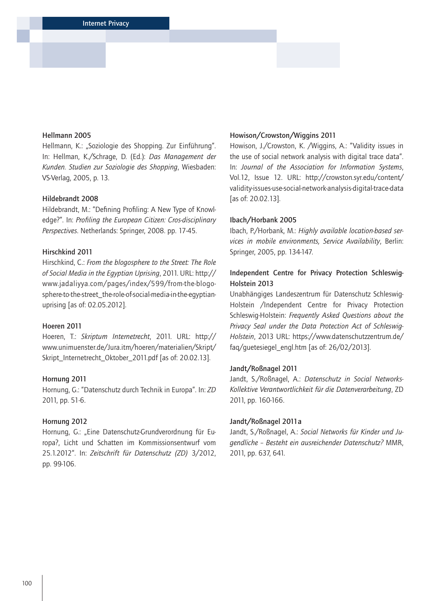# Hellmann 2005

Hellmann, K.: "Soziologie des Shopping. Zur Einführung". In: Hellman, K./Schrage, D. (Ed.): *Das Management der Kunden. Studien zur Soziologie des Shopping*, Wiesbaden: VS-Verlag, 2005, p. 13.

# Hildebrandt 2008

Hildebrandt, M.: "Defining Profiling: A New Type of Knowledge?". In: *Profiling the European Citizen: Cros-disciplinary Perspectives*. Netherlands: Springer, 2008. pp. 17-45.

# Hirschkind 2011

Hirschkind, C.: *From the blogosphere to the Street: The Role of Social Media in the Egyptian Uprising*, 2011. URL: [http:](http://www.jadaliyya.com/pages/index/599/from-the-blogosphere-to-the-street_the-role-of-social-media-in-the-egyptian-uprising)// [www.jadaliyya.com](http://www.jadaliyya.com/pages/index/599/from-the-blogosphere-to-the-street_the-role-of-social-media-in-the-egyptian-uprising)/pages/index/599/from-the-blogo[sphere-to-the-street\\_the-role-of-social-media-in-the-egyptian](http://www.jadaliyya.com/pages/index/599/from-the-blogosphere-to-the-street_the-role-of-social-media-in-the-egyptian-uprising)[uprising](http://www.jadaliyya.com/pages/index/599/from-the-blogosphere-to-the-street_the-role-of-social-media-in-the-egyptian-uprising) [as of: 02.05.2012].

## Hoeren 2011

Hoeren, T.: *Skriptum Internetrecht*, 2011. URL: [http:](http://www.unimuenster.de/Jura.itm/hoeren/materialien/Skript/Skript_Internetrecht_Oktober_2011.pdf)// [www.unimuenster.de](http://www.unimuenster.de/Jura.itm/hoeren/materialien/Skript/Skript_Internetrecht_Oktober_2011.pdf)/Jura.itm/hoeren/materialien/Skript/ [Skript\\_Internetrecht\\_Oktober\\_2011.pdf](http://www.unimuenster.de/Jura.itm/hoeren/materialien/Skript/Skript_Internetrecht_Oktober_2011.pdf) [as of: 20.02.13].

## Hornung 2011

Hornung, G.: "Datenschutz durch Technik in Europa". In: *ZD* 2011, pp. 51-6.

## Hornung 2012

Hornung, G.: "Eine Datenschutz-Grundverordnung für Europa?, Licht und Schatten im Kommissionsentwurf vom 25.1.2012". In: *Zeitschrift für Datenschutz (ZD)* 3/2012, pp. 99-106.

#### Howison**/**Crowston**/**Wiggins 2011

Howison, J./Crowston, K. /Wiggins, A.: "Validity issues in the use of social network analysis with digital trace data". In: *Journal of the Association for Information Systems*, Vol.12, Issue 12. URL: http://[crowston.syr.edu](http://crowston.syr.edu/content/validity-issues-use-social-network-analysis-digital-trace-data)/content/ [validity-issues-use-social-network-analysis-digital-trace-data](http://crowston.syr.edu/content/validity-issues-use-social-network-analysis-digital-trace-data) [as of: 20.02.13].

## Ibach**/**Horbank 2005

Ibach, P./Horbank, M.: *Highly available location-based services in mobile environments, Service Availability*, Berlin: Springer, 2005, pp. 134-147.

# Independent Centre for Privacy Protection Schleswig-Holstein 2013

Unabhängiges Landeszentrum für Datenschutz Schleswig-Holstein /Independent Centre for Privacy Protection Schleswig-Holstein: *Frequently Asked Questions about the Privacy Seal under the Data Protection Act of Schleswig-Holstein*, 2013 URL: https://[www.datenschutzzentrum.de](https://www.datenschutzzentrum.de/faq/guetesiegel_engl.htm)/ faq/[guetesiegel\\_engl.htm](https://www.datenschutzzentrum.de/faq/guetesiegel_engl.htm) [as of: 26/02/2013].

# Jandt**/**Roßnagel 2011

Jandt, S./Roßnagel, A.: *Datenschutz in Social Networks-Kollektive Verantwortlichkeit für die Datenverarbeitung*, ZD 2011, pp. 160-166.

# Jandt**/**Roßnagel 2011a

Jandt, S./Roßnagel, A.: *Social Networks für Kinder und Jugendliche – Besteht ein ausreichender Datenschutz?* MMR, 2011, pp. 637, 641.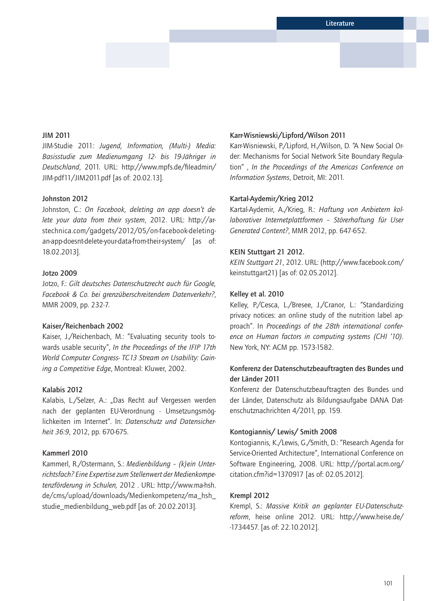## JIM 2011

JIM-Studie 2011: *Jugend, Information, (Multi-) Media: Basisstudie zum Medienumgang 12- bis 19-Jähriger in Deutschland*, 2011. URL: http://[www.mpfs.de](http://www.mpfs.de/fileadmin/JIM-pdf11/JIM2011.pdf)/fileadmin/ JIM-pdf11/[JIM2011.pdf](http://www.mpfs.de/fileadmin/JIM-pdf11/JIM2011.pdf) [as of: 20.02.13].

# Johnston 2012

Johnston, C.: *On Facebook, deleting an app doesn't delete your data from their system*, 2012. URL: [http:](http://arstechnica.com/gadgets/2012/05/on-facebook-deleting-an-app-doesnt-delete-your-data-from-their-system/)//arstechnica.com/gadgets/2012/05/[on-facebook-deleting](http://arstechnica.com/gadgets/2012/05/on-facebook-deleting-an-app-doesnt-delete-your-data-from-their-system/)[an-app-doesnt-delete-your-data-from-their-system](http://arstechnica.com/gadgets/2012/05/on-facebook-deleting-an-app-doesnt-delete-your-data-from-their-system/)/ [as of: 18.02.2013].

# Jotzo 2009

Jotzo, F.: *Gilt deutsches Datenschutzrecht auch für Google, Facebook & Co. bei grenzüberschreitendem Datenverkehr?*, MMR 2009, pp. 232-7.

#### Kaiser**/**Reichenbach 2002

Kaiser, J./Reichenbach, M.: "Evaluating security tools towards usable security", *In the Proceedings of the IFIP 17th World Computer Congress- TC13 Stream on Usability: Gaining a Competitive Edge*, Montreal: Kluwer, 2002.

# Kalabis 2012

Kalabis, L./Selzer, A.: "Das Recht auf Vergessen werden nach der geplanten EU-Verordnung - Umsetzungsmöglichkeiten im Internet". In: *Datenschutz und Datensicherheit 36:9*, 2012, pp. 670-675.

# Kammerl 2010

Kammerl, R./Ostermann, S.: *Medienbildung – (k)ein Unterrichtsfach? Eine Expertise zum Stellenwert der Medienkompetenzförderung in Schulen,* 2012 . URL: http://[www.ma-hsh.](http://www.ma-hsh.de/cms/upload/downloads/Medienkompetenz/ma_hsh_studie_medienbildung_web.pdf) de/cms/upload/downloads/[Medienkompetenz](http://www.ma-hsh.de/cms/upload/downloads/Medienkompetenz/ma_hsh_studie_medienbildung_web.pdf)/ma\_hsh\_ [studie\\_medienbildung\\_web.pdf](http://www.ma-hsh.de/cms/upload/downloads/Medienkompetenz/ma_hsh_studie_medienbildung_web.pdf) [as of: 20.02.2013].

## Karr-Wisniewski**/**Lipford**/**Wilson 2011

Karr-Wisniewski, P./Lipford, H./Wilson, D. "A New Social Order: Mechanisms for Social Network Site Boundary Regulation" , *In the Proceedings of the Americas Conference on Information Systems*, Detroit, MI: 2011.

#### Kartal-Aydemir**/**Krieg 2012

Kartal-Aydemir, A./Krieg, R.: *Haftung von Anbietern kollaborativer Internetplattformen – Störerhaftung für User Generated Content?*, MMR 2012, pp. 647-652.

#### KEIN Stuttgart 21 2012.

*KEIN Stuttgart 21*, 2012. URL: (http://[www.facebook.com](http://www.facebook.com/keinstuttgart21)/ [keinstuttgart21\)](http://www.facebook.com/keinstuttgart21) [as of: 02.05.2012].

# Kelley et al. 2010

Kelley, P./Cesca, L./Bresee, J./Cranor, L.: "Standardizing privacy notices: an online study of the nutrition label approach". In *Proceedings of the 28th international conference on Human factors in computing systems (CHI '10)*. New York, NY: ACM pp. 1573-1582.

# Konferenz der Datenschutzbeauftragten des Bundes und der Länder 2011

Konferenz der Datenschutzbeauftragten des Bundes und der Länder, Datenschutz als Bildungsaufgabe DANA Datenschutznachrichten 4/2011, pp. 159.

#### Kontogiannis**/** Lewis**/** Smith 2008

Kontogiannis, K./Lewis, G./Smith, D.: "Research Agenda for Service-Oriented Architecture", International Conference on Software Engineering, 2008. URL: http://[portal.acm.org](http://portal.acm.org/citation.cfm%3Fid%3D1370917)/ [citation.cfm?id=1370917](http://portal.acm.org/citation.cfm%3Fid%3D1370917) [as of: 02.05.2012].

## Krempl 2012

Krempl, S.: *Massive Kritik an geplanter EU-Datenschutzreform*, heise online 2012. URL: http://[www.heise.de](http://www.heise.de/-1734457)/ [-1734457.](http://www.heise.de/-1734457) [as of: 22.10.2012].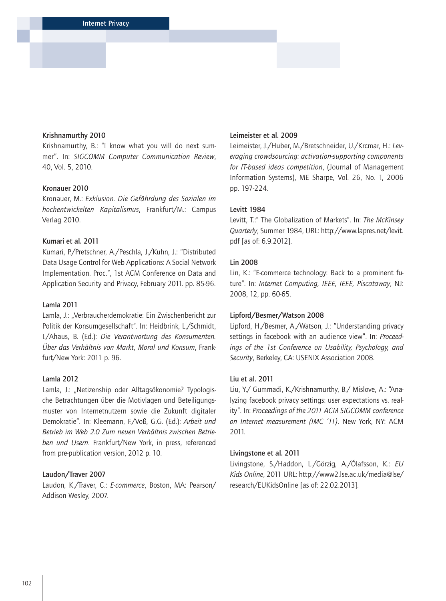# Krishnamurthy 2010

Krishnamurthy, B.: "I know what you will do next summer". In: *SIGCOMM Computer Communication Review*, 40, Vol. 5, 2010.

# Kronauer 2010

Kronauer, M.: *Exklusion. Die Gefährdung des Sozialen im hochentwickelten Kapitalismus*, Frankfurt/M.: Campus Verlag 2010.

# Kumari et al. 2011

Kumari, P./Pretschner, A./Peschla, J./Kuhn, J.: "Distributed Data Usage Control for Web Applications: A Social Network Implementation. Proc.", 1st ACM Conference on Data and Application Security and Privacy, February 2011. pp. 85-96.

## Lamla 2011

Lamla, J.: "Verbraucherdemokratie: Ein Zwischenbericht zur Politik der Konsumgesellschaft". In: Heidbrink, L./Schmidt, I./Ahaus, B. (Ed.): *Die Verantwortung des Konsumenten. Über das Verhältnis von Markt, Moral und Konsum*, Frankfurt/New York: 2011 p. 96.

# Lamla 2012

Lamla, J.: "Netizenship oder Alltagsökonomie? Typologische Betrachtungen über die Motivlagen und Beteiligungsmuster von Internetnutzern sowie die Zukunft digitaler Demokratie". In: Kleemann, F./Voß, G.G. (Ed.): *Arbeit und Betrieb im Web 2.0 Zum neuen Verhältnis zwischen Betrieben und Usern*. Frankfurt/New York, in press, referenced from pre-publication version, 2012 p. 10.

# Laudon**/**Traver 2007

Laudon, K./Traver, C.: *E-commerce*, Boston, MA: Pearson/ Addison Wesley, 2007.

# Leimeister et al. 2009

Leimeister, J./Huber, M./Bretschneider, U./Krcmar, H.: *Leveraging crowdsourcing: activation-supporting components for IT-based ideas competition*, (Journal of Management Information Systems), ME Sharpe, Vol. 26, No. 1, 2006 pp. 197-224.

## Levitt 1984

Levitt, T.:" The Globalization of Markets". In: *The McKinsey Quarterly*, Summer 1984, URL: http://[www.lapres.net](http://www.lapres.net/levit.pdf)/levit. [pdf](http://www.lapres.net/levit.pdf) [as of: 6.9.2012].

# Lin 2008

Lin, K.: "E-commerce technology: Back to a prominent future". In: *Internet Computing, IEEE, IEEE, Piscataway*, NJ: 2008, 12, pp. 60-65.

# Lipford**/**Besmer**/**Watson 2008

Lipford, H./Besmer, A./Watson, J.: "Understanding privacy settings in facebook with an audience view". In: *Proceedings of the 1st Conference on Usability, Psychology, and Security*, Berkeley, CA: USENIX Association 2008.

# Liu et al. 2011

Liu, Y./ Gummadi, K./Krishnamurthy, B./ Mislove, A.: "Analyzing facebook privacy settings: user expectations vs. reality". In: *Proceedings of the 2011 ACM SIGCOMM conference on Internet measurement (IMC '11)*. New York, NY: ACM 2011.

# Livingstone et al. 2011

Livingstone, S./Haddon, L./Görzig, A./Ólafsson, K.: *EU Kids Online*, 2011 URL: http://[www2.lse.ac.uk](http://www2.lse.ac.uk/media%40lse/research/EUKidsOnline)/media@lse/ research/[EUKidsOnline](http://www2.lse.ac.uk/media%40lse/research/EUKidsOnline) [as of: 22.02.2013].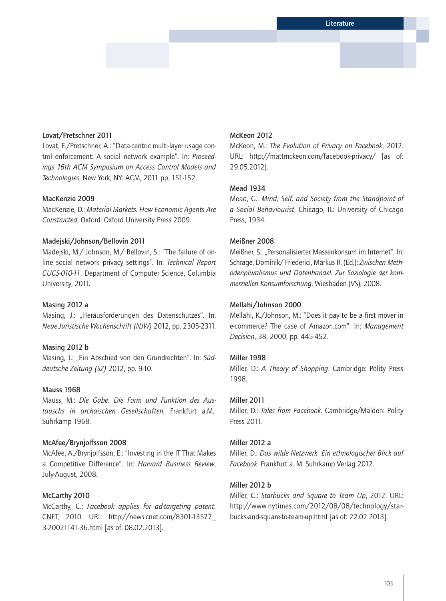# Lovat**/**Pretschner 2011

Lovat, E./Pretschner, A.: "Data-centric multi-layer usage control enforcement: A social network example". In: *Proceedings 16th ACM Symposium on Access Control Models and Technologies*, New York, NY: ACM, 2011 pp. 151-152.

# MacKenzie 2009

MacKenzie, D.: *Material Markets. How Economic Agents Are Constructed*, Oxford: Oxford University Press 2009.

# Madejski**/**Johnson**/**Bellovin 2011

Madejski, M./ Johnson, M./ Bellovin, S.: "The failure of online social network privacy settings". In: *Technical Report CUCS-010-11*, Department of Computer Science, Columbia University, 2011.

# Masing 2012 a

Masing, J.: "Herausforderungen des Datenschutzes". In: *Neue Juristische Wochenschrift (NJW)* 2012, pp. 2305-2311.

# Masing 2012 b

Masing, J.: "Ein Abschied von den Grundrechten". In: Süd*deutsche Zeitung (SZ)* 2012, pp. 9-10.

# Mauss 1968

Mauss, M.: *Die Gabe. Die Form und Funktion des Austauschs in archaischen Gesellschaften*, Frankfurt a.M.: Suhrkamp 1968.

#### McAfee**/**Brynjolfsson 2008

McAfee, A./Brynjolfsson, E.: "Investing in the IT That Makes a Competitive Difference". In: *Harvard Business Review*, July-August, 2008.

## McCarthy 2010

McCarthy, C.: *Facebook applies for ad-targeting patent.* CNET, 2010. URL: http://[news.cnet.com](http://news.cnet.com/8301-13577_3-20021141-36.html)/8301-13577\_ [3-20021141-36.html](http://news.cnet.com/8301-13577_3-20021141-36.html) [as of: 08.02.2013].

# McKeon 2012

McKeon, M.: *The Evolution of Privacy on Facebook*, 2012. URL: http://mattmckeon.com/facebook-privacy/ [as of: 29.05.2012].

# Mead 1934

Mead, G.: *Mind, Self, and Society from the Standpoint of a Social Behaviourist*, Chicago, IL: University of Chicago Press, 1934.

## Meißner 2008

Meißner, S.: "Personalisierter Massenkonsum im Internet". In: Schrage, Dominik/ Friederici, Markus R. (Ed.): *Zwischen Methodenpluralismus und Datenhandel. Zur Soziologie der kommerziellen Konsumforschung*. Wiesbaden (VS), 2008.

# Mellahi**/**Johnson 2000

Mellahi, K./Johnson, M.: "Does it pay to be a first mover in e-commerce? The case of Amazon.com". In: *Management Decision*, 38, 2000, pp. 445-452.

# Miller 1998

Miller, D.: *A Theory of Shopping*. Cambridge: Polity Press 1998.

# Miller 2011

Miller, D.: *Tales from Facebook*. Cambridge/Malden: Polity Press 2011.

#### Miller 2012 a

Miller, D.: *Das wilde Netzwerk. Ein ethnologischer Blick auf Facebook*. Frankfurt a. M: Suhrkamp Verlag 2012.

## Miller 2012 b

Miller, C.: *Starbucks and Square to Team Up*, 2012. URL: http://[www.nytimes.com](http://www.nytimes.com/2012/08/08/technology/starbucks-and-square-to-team-up.html)/2012/08/08/technology/star[bucks-and-square-to-team-up.html](http://www.nytimes.com/2012/08/08/technology/starbucks-and-square-to-team-up.html) [as of: 22.02.2013].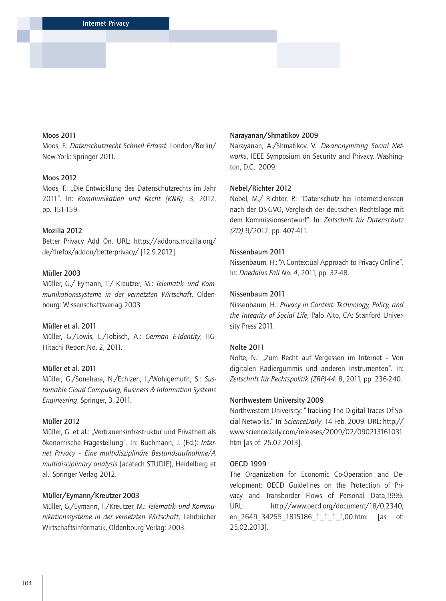# Moos 2011

Moos, F.: *Datenschutzrecht Schnell Erfasst*. London/Berlin/ New York: Springer 2011.

# Moos 2012

Moos, F.: "Die Entwicklung des Datenschutzrechts im Jahr 2011". In: *Kommunikation und Recht (K&R)*, 3, 2012, pp. 151-159.

# Mozilla 2012

Better Privacy Add On. URL: https://[addons.mozilla.org](https://addons.mozilla.org/de/firefox/addon/betterprivacy/)/ de/firefox/addon/[betterprivacy](https://addons.mozilla.org/de/firefox/addon/betterprivacy/)/ [12.9.2012].

# Müller 2003

Müller, G./ Eymann, T./ Kreutzer, M.: *Telematik- und Kommunikationssysteme in der vernetzten Wirtschaft*. Oldenbourg: Wissenschaftsverlag 2003.

## Müller et al. 2011

Müller, G./Lowis, L./Tobisch, A.: *German E-Identity*, IIG-Hitachi Report,No. 2, 2011.

## Müller et al. 2011

Müller, G./Sonehara, N./Echizen, I./Wohlgemuth, S.: *Sustainable Cloud Computing, Business & Information Systems Engineering*, Springer, 3, 2011.

# Müller 2012

Müller, G. et al.: "Vertrauensinfrastruktur und Privatheit als ökonomische Fragestellung". In: Buchmann, J. (Ed.): *Internet Privacy – Eine multidisziplinäre Bestandsaufnahme*/*A multidisciplinary analysis* (acatech STUDIE), Heidelberg et al.: Springer Verlag 2012.

## Müller**/**Eymann**/**Kreutzer 2003

Müller, G./Eymann, T./Kreutzer, M.: *Telematik- und Kommunikationssysteme in der vernetzten Wirtschaft,* Lehrbücher Wirtschaftsinformatik, Oldenbourg Verlag: 2003.

## Narayanan**/**Shmatikov 2009

Narayanan, A./Shmatikov, V.: *De-anonymizing Social Networks*, IEEE Symposium on Security and Privacy. Washington, D.C.: 2009.

#### Nebel**/**Richter 2012

Nebel, M./ Richter, P.: "Datenschutz bei Internetdiensten nach der DS-GVO, Vergleich der deutschen Rechtslage mit dem Kommissionsentwurf". In: *Zeitschrift für Datenschutz (ZD)* 9/2012, pp. 407-411.

# Nissenbaum 2011

Nissenbaum, H.: "A Contextual Approach to Privacy Online". In: *Daedalus Fall No. 4*, 2011, pp. 32-48.

# Nissenbaum 2011

Nissenbaum, H.: *Privacy in Context: Technology, Policy, and the Integrity of Social Life*, Palo Alto, CA: Stanford University Press 2011.

# Nolte 2011

Nolte, N.: "Zum Recht auf Vergessen im Internet - Von digitalen Radiergummis und anderen Instrumenten". In: *Zeitschrift für Rechtspolitik (ZRP)44*: 8, 2011, pp. 236-240.

#### Northwestern University 2009

Northwestern University: "Tracking The Digital Traces Of Social Networks." In: *ScienceDaily*, 14 Feb. 2009. URL: [http:](http://www.sciencedaily.com/releases/2009/02/090213161031.htm)// [www.sciencedaily.com](http://www.sciencedaily.com/releases/2009/02/090213161031.htm)/releases/2009/02/090213161031. [htm](http://www.sciencedaily.com/releases/2009/02/090213161031.htm) [as of: 25.02.2013].

#### OECD 1999

The Organization for Economic Co-Operation and Development: OECD Guidelines on the Protection of Privacy and Transborder Flows of Personal Data,1999. URL: http://[www.oecd.org](http://www.oecd.org/document/18/0%2C2340%2Cen_2649_34255_1815186_1_1_1_1%2C00.html)/document/18/0,2340, [en\\_2649\\_34255\\_1815186\\_1\\_1\\_1\\_1,00.html](http://www.oecd.org/document/18/0%2C2340%2Cen_2649_34255_1815186_1_1_1_1%2C00.html) [as of: 25.02.2013].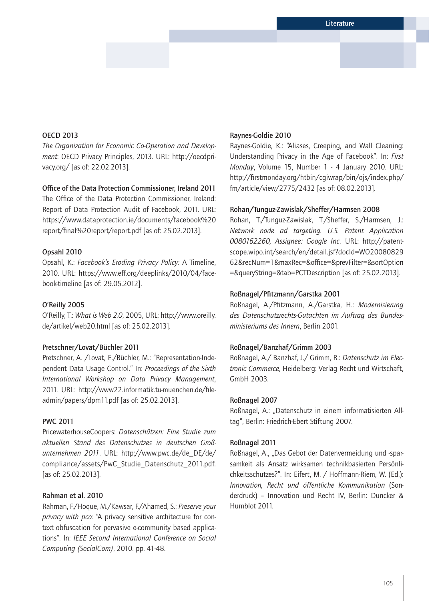# OECD 2013

*The Organization for Economic Co-Operation and Development*: OECD Privacy Principles, 2013. URL: http://[oecdpri](http://oecdprivacy.org/)[vacy.org](http://oecdprivacy.org/)/ [as of: 22.02.2013].

Office of the Data Protection Commissioner, Ireland 2011 The Office of the Data Protection Commissioner, Ireland: Report of Data Protection Audit of Facebook, 2011. URL: https://[www.dataprotection.ie](https://www.dataprotection.ie/documents/facebook%20report/final%20report/report.pdf)/documents/facebook%20 report/[final%20report](https://www.dataprotection.ie/documents/facebook%20report/final%20report/report.pdf)/report.pdf [as of: 25.02.2013].

## Opsahl 2010

Opsahl, K.: *Facebook's Eroding Privacy Policy:* A Timeline, 2010. URL: https://[www.eff.org](https://www.eff.org/deeplinks/2010/04/facebook-timeline)/deeplinks/2010/04/face[book-timeline](https://www.eff.org/deeplinks/2010/04/facebook-timeline) [as of: 29.05.2012].

## O'Reilly 2005

O'Reilly, T.: *What is Web 2.0*, 2005, URL: http://[www.oreilly.](http://www.oreilly.de/artikel/web20.html) de/artikel/[web20.html](http://www.oreilly.de/artikel/web20.html) [as of: 25.02.2013].

## Pretschner**/**Lovat**/**Büchler 2011

Pretschner, A. /Lovat, E./Büchler, M.: "Representation-Independent Data Usage Control." In: *Proceedings of the Sixth International Workshop on Data Privacy Management*, 2011. URL: http://[www22.informatik.tu-muenchen.de](http://www22.informatik.tu-muenchen.de/fileadmin/papers/dpm11.pdf)/fileadmin/papers/[dpm11.pdf](http://www22.informatik.tu-muenchen.de/fileadmin/papers/dpm11.pdf) [as of: 25.02.2013].

# PWC 2011

PricewaterhouseCoopers: *Datenschützen: Eine Studie zum aktuellen Stand des Datenschutzes in deutschen Großunternehmen 2011*. URL: http://[www.pwc.de](http://www.pwc.de/de_DE/de/compliance/assets/PwC_Studie_Datenschutz_2011.pdf)/de\_DE/de/ compliance/assets/[PwC\\_Studie\\_Datenschutz\\_2011.pdf](http://www.pwc.de/de_DE/de/compliance/assets/PwC_Studie_Datenschutz_2011.pdf). [as of: 25.02.2013].

# Rahman et al. 2010

Rahman, F./Hoque, M./Kawsar, F./Ahamed, S.: *Preserve your privacy with pco:* "A privacy sensitive architecture for context obfuscation for pervasive e-community based applications". In: *IEEE Second International Conference on Social Computing (SocialCom)*, 2010. pp. 41-48.

# Raynes-Goldie 2010

Raynes-Goldie, K.: "Aliases, Creeping, and Wall Cleaning: Understanding Privacy in the Age of Facebook". In: *First Monday*, Volume 15, Number 1 - 4 January 2010. URL: http://[firstmonday.org](http://firstmonday.org/htbin/cgiwrap/bin/ojs/index.php/fm/article/view/2775/2432)/htbin/cgiwrap/bin/ojs/index.php/ fm/[article](http://firstmonday.org/htbin/cgiwrap/bin/ojs/index.php/fm/article/view/2775/2432)/view/2775/2432 [as of: 08.02.2013].

## Rohan**/**Tunguz-Zawislak**/**Sheffer**/**Harmsen 2008

Rohan, T./Tunguz-Zawislak, T./Sheffer, S./Harmsen, J.: *Network node ad targeting. U.S. Patent Application 0080162260, Assignee: Google Inc.* URL: http://[patent](http://patentscope.wipo.int/search/en/detail.jsf?docId=WO2008082962&recNum=1&maxRec=&office=&prevFilter=&sortOption=&queryString=&tab=PCTDescription)scope.wipo.int/search/en/[detail.jsf?docId=WO20080829](http://patentscope.wipo.int/search/en/detail.jsf?docId=WO2008082962&recNum=1&maxRec=&office=&prevFilter=&sortOption=&queryString=&tab=PCTDescription) [62&recNum=1&maxRec=&office=&prevFilter=&sortOption](http://patentscope.wipo.int/search/en/detail.jsf?docId=WO2008082962&recNum=1&maxRec=&office=&prevFilter=&sortOption=&queryString=&tab=PCTDescription) [=&queryString=&tab=PCTDescription](http://patentscope.wipo.int/search/en/detail.jsf?docId=WO2008082962&recNum=1&maxRec=&office=&prevFilter=&sortOption=&queryString=&tab=PCTDescription) [as of: 25.02.2013].

#### Roßnagel**/**Pfitzmann**/**Garstka 2001

Roßnagel, A./Pfitzmann, A./Garstka, H.: *Modernisierung des Datenschutzrechts-Gutachten im Auftrag des Bundesministeriums des Innern*, Berlin 2001.

## Roßnagel**/**Banzhaf**/**Grimm 2003

Roßnagel, A./ Banzhaf, J./ Grimm, R.: *Datenschutz im Electronic Commerce*, Heidelberg: Verlag Recht und Wirtschaft, GmbH 2003.

#### Roßnagel 2007

Roßnagel, A.: "Datenschutz in einem informatisierten Alltag", Berlin: Friedrich-Ebert Stiftung 2007.

#### Roßnagel 2011

Roßnagel, A., "Das Gebot der Datenvermeidung und -sparsamkeit als Ansatz wirksamen technikbasierten Persönlichkeitsschutzes?". In: Eifert, M. / Hoffmann-Riem, W. (Ed.): *Innovation, Recht und öffentliche Kommunikation* (Sonderdruck) – Innovation und Recht IV, Berlin: Duncker & Humblot 2011.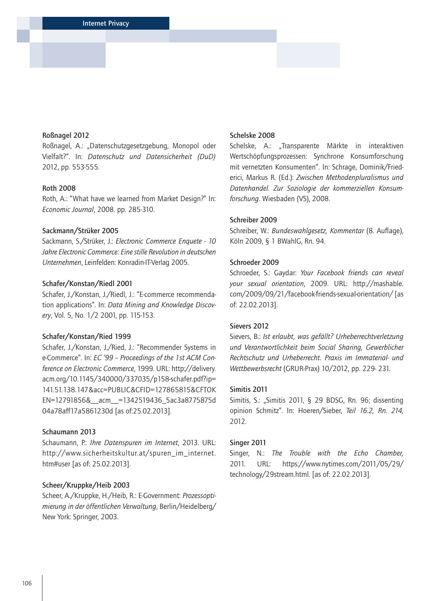## Roßnagel 2012

Roßnagel, A.: "Datenschutzgesetzgebung, Monopol oder Vielfalt?". In: *Datenschutz und Datensicherheit (DuD)*  2012, pp. 553-555.

# Roth 2008

Roth, A.: "What have we learned from Market Design?" In: *Economic Journal*, 2008. pp. 285-310.

# Sackmann**/**Strüker 2005

Sackmann, S./Strüker, J.: *Electronic Commerce Enquete - 10 Jahre Electronic Commerce: Eine stille Revolution in deutschen Unternehmen*, Leinfelden: Konradin-IT-Verlag 2005.

# Schafer**/**Konstan**/**Riedl 2001

Schafer, J./Konstan, J./Riedl, J.: "E-commerce recommendation applications". In: *Data Mining and Knowledge Discovery*, Vol. 5, No. 1/2 2001, pp. 115-153.

## Schafer**/**Konstan**/**Ried 1999

Schafer, J./Konstan, J./Ried, J.: "Recommender Systems in e-Commerce". In: *EC '99 – Proceedings of the 1st ACM Conference on Electronic Commerce*, 1999. URL: http://[delivery.](http://delivery.acm.org/10.1145/340000/337035/p158-schafer.pdf%3Fip%3D141.51.138.147%26acc%3DPUBLIC%26CFID%3D127865815%26CFTOKEN%3D12791856%26__acm__%3D1342519436_5ac3a8775875d04a78aff17a5861230d) acm.org/10.1145/340000/337035/[p158-schafer.pdf?ip=](http://delivery.acm.org/10.1145/340000/337035/p158-schafer.pdf%3Fip%3D141.51.138.147%26acc%3DPUBLIC%26CFID%3D127865815%26CFTOKEN%3D12791856%26__acm__%3D1342519436_5ac3a8775875d04a78aff17a5861230d) [141.51.138.147&acc=PUBLIC&CFID=127865815&CFTOK](http://delivery.acm.org/10.1145/340000/337035/p158-schafer.pdf%3Fip%3D141.51.138.147%26acc%3DPUBLIC%26CFID%3D127865815%26CFTOKEN%3D12791856%26__acm__%3D1342519436_5ac3a8775875d04a78aff17a5861230d) [EN=12791856&\\_\\_acm\\_\\_=1342519436\\_5ac3a8775875d](http://delivery.acm.org/10.1145/340000/337035/p158-schafer.pdf%3Fip%3D141.51.138.147%26acc%3DPUBLIC%26CFID%3D127865815%26CFTOKEN%3D12791856%26__acm__%3D1342519436_5ac3a8775875d04a78aff17a5861230d) [04a78aff17a5861230d](http://delivery.acm.org/10.1145/340000/337035/p158-schafer.pdf%3Fip%3D141.51.138.147%26acc%3DPUBLIC%26CFID%3D127865815%26CFTOKEN%3D12791856%26__acm__%3D1342519436_5ac3a8775875d04a78aff17a5861230d) [as of:25.02.2013].

## Schaumann 2013

Schaumann, P.: *Ihre Datenspuren im Internet*, 2013. URL: http://[www.sicherheitskultur.at](http://www.sicherheitskultur.at/spuren_im_internet.htm#user)/spuren\_im\_internet. [htm#user \[](http://www.sicherheitskultur.at/spuren_im_internet.htm#user)as of: 25.02.2013].

# Scheer**/**Kruppke**/**Heib 2003

Scheer, A./Kruppke, H./Heib, R.: E-Government: *Prozessoptimierung in der öffentlichen Verwaltung*, Berlin/Heidelberg/ New York: Springer, 2003.

# Schelske 2008

Schelske, A.: "Transparente Märkte in interaktiven Wertschöpfungsprozessen: Synchrone Konsumforschung mit vernetzten Konsumenten". In: Schrage, Dominik/Friederici, Markus R. (Ed.): *Zwischen Methodenpluralismus und Datenhandel. Zur Soziologie der kommerziellen Konsumforschung*. Wiesbaden (VS), 2008.

## Schreiber 2009

Schreiber, W.: *Bundeswahlgesetz, Kommentar* (8. Auflage), Köln 2009, § 1 BWahlG, Rn. 94.

# Schroeder 2009

Schroeder, S.: Gaydar: *Your Facebook friends can reveal your sexual orientation*, 2009. URL: http://[mashable.](http://mashable.com/2009/09/21/facebook-friends-sexual-orientation/) com/2009/09/21/[facebook-friends-sexual-orientation](http://mashable.com/2009/09/21/facebook-friends-sexual-orientation/)/ [as of: 22.02.2013].

# Sievers 2012

Sievers, B.: *Ist erlaubt, was gefällt? Urheberrechtverletzung und Verantwortlichkeit beim Social Sharing, Gewerblicher Rechtschutz und Urheberrecht. Praxis im Immaterial- und Wettbewerbsrecht* (GRUR-Prax) 10/2012, pp. 229- 231.

## Simitis 2011

Simitis, S.: "Simitis 2011, § 29 BDSG, Rn. 96; dissenting opinion Schmitz". In: Hoeren/Sieber, *Teil 16.2, Rn. 214,* 2012.

## Singer 2011

Singer, N.: *The Trouble with the Echo Chamber,* 2011. URL: https://[www.nytimes.com](https://www.nytimes.com/2011/05/29/technology/29stream.html)/2011/05/29/ technology/[29stream.html.](https://www.nytimes.com/2011/05/29/technology/29stream.html) [as of: 22.02.2013].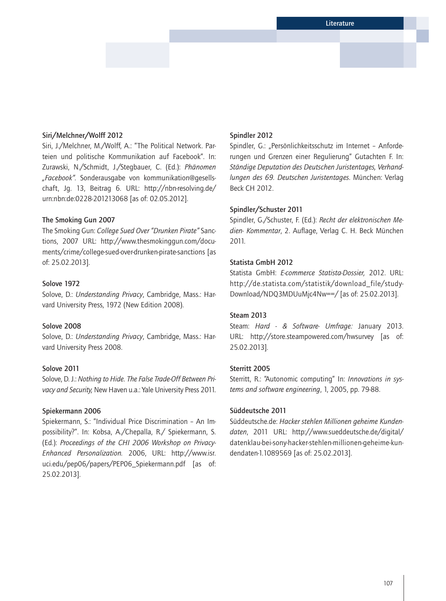# Siri**/**Melchner**/**Wolff 2012

Siri, J./Melchner, M./Wolff, A.: "The Political Network. Parteien und politische Kommunikation auf Facebook". In: Zurawski, N./Schmidt, J./Stegbauer, C. (Ed.): *Phänomen "Facebook".* Sonderausgabe von kommunikation@gesellschaft, Jg. 13, Beitrag 6. URL: http://[nbn-resolving.de](http://nbn-resolving.de/urn:nbn:de:0228-201213068)/ [urn:nbn:de:0228-201213068](http://nbn-resolving.de/urn:nbn:de:0228-201213068) [as of: 02.05.2012].

# The Smoking Gun 2007

The Smoking Gun: *College Sued Over "Drunken Pirate"* Sanctions, 2007 URL: http://[www.thesmokinggun.com](http://www.thesmokinggun.com/documents/crime/college-sued-over-drunken-pirate-sanctions)/documents/crime/[college-sued-over-drunken-pirate-sanctions](http://www.thesmokinggun.com/documents/crime/college-sued-over-drunken-pirate-sanctions) [as of: 25.02.2013].

# Solove 1972

Solove, D.: *Understanding Privacy*, Cambridge, Mass.: Harvard University Press, 1972 (New Edition 2008).

## Solove 2008

Solove, D.: *Understanding Privacy*, Cambridge, Mass.: Harvard University Press 2008.

# Solove 2011

Solove, D. J.: *Nothing to Hide. The False Trade-Off Between Privacy and Security,* New Haven u.a.: Yale University Press 2011.

#### Spiekermann 2006

Spiekermann, S.: "Individual Price Discrimination – An Impossibility?". In: Kobsa, A./Chepalla, R./ Spiekermann, S. (Ed.): *Proceedings of the CHI 2006 Workshop on Privacy-Enhanced Personalization.* 2006, URL: http://[www.isr.](http://www.isr.uci.edu/pep06/papers/PEP06_Spiekermann.pdf) uci.edu/pep06/papers/[PEP06\\_Spiekermann.pdf](http://www.isr.uci.edu/pep06/papers/PEP06_Spiekermann.pdf) [as of: 25.02.2013].

## Spindler 2012

Spindler, G.: "Persönlichkeitsschutz im Internet - Anforderungen und Grenzen einer Regulierung" Gutachten F. In: *Ständige Deputation des Deutschen Juristentages, Verhandlungen des 69. Deutschen Juristentages*. München: Verlag Beck CH 2012.

## Spindler**/**Schuster 2011

Spindler, G./Schuster, F. (Ed.): *Recht der elektronischen Medien- Kommentar*, 2. Auflage, Verlag C. H. Beck München 2011.

# Statista GmbH 2012

Statista GmbH: *E-commerce Statista-Dossier,* 2012. URL: http://[de.statista.com](http://de.statista.com/statistik/download_file/studyDownload/NDQ3MDUuMjc4Nw%3D%3D/)/statistik/download\_file/study-Download/[NDQ3MDUuMjc4Nw==](http://de.statista.com/statistik/download_file/studyDownload/NDQ3MDUuMjc4Nw%3D%3D/)/ [as of: 25.02.2013].

## Steam 2013

Steam: *Hard - & Software- Umfrage:* January 2013. URL: http://store.steampowered.com/hwsurvey [as of: 25.02.2013].

#### Sterritt 2005

Sterritt, R.: "Autonomic computing" In: *Innovations in systems and software engineering*, 1, 2005, pp. 79-88.

## Süddeutsche 2011

Süddeutsche.de: *Hacker stehlen Millionen geheime Kundendaten*, 2011 URL: http://[www.sueddeutsche.de](http://www.sueddeutsche.de/digital/datenklau-bei-sony-hacker-stehlen-millionen-geheime-kundendaten-1.1089569)/digital/ [datenklau-bei-sony-hacker-stehlen-millionen-geheime-kun](http://www.sueddeutsche.de/digital/datenklau-bei-sony-hacker-stehlen-millionen-geheime-kundendaten-1.1089569)[dendaten-1.1089569](http://www.sueddeutsche.de/digital/datenklau-bei-sony-hacker-stehlen-millionen-geheime-kundendaten-1.1089569) [as of: 25.02.2013].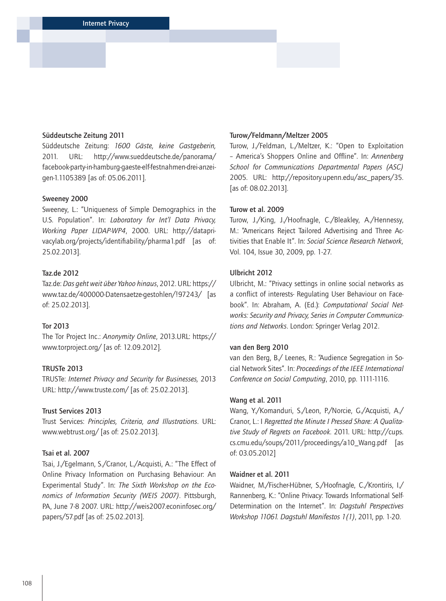# Süddeutsche Zeitung 2011

Süddeutsche Zeitung: *1600 Gäste, keine Gastgeberin,* 2011. URL: http://[www.sueddeutsche.de](http://www.sueddeutsche.de/panorama/facebook-party-in-hamburg-gaeste-elf-festnahmen-drei-anzeigen-1.1105389)/panorama/ [facebook-party-in-hamburg-gaeste-elf-festnahmen-drei-anzei](http://www.sueddeutsche.de/panorama/facebook-party-in-hamburg-gaeste-elf-festnahmen-drei-anzeigen-1.1105389)[gen-1.1105389](http://www.sueddeutsche.de/panorama/facebook-party-in-hamburg-gaeste-elf-festnahmen-drei-anzeigen-1.1105389) [as of: 05.06.2011].

# Sweeney 2000

Sweeney, L.: "Uniqueness of Simple Demographics in the U.S. Population". In: *Laboratory for Int'l Data Privacy, Working Paper LIDAP-WP4*, 2000. URL: http://[datapri](http://dataprivacylab.org/projects/identifiability/pharma1.pdf)vacylab.org/projects/[identifiability](http://dataprivacylab.org/projects/identifiability/pharma1.pdf)/pharma1.pdf [as of: 25.02.2013].

# Taz.de 2012

Taz.de: *Das geht weit über Yahoo hinaus*, 2012. URL: [https:](https://www.taz.de/400000-Datensaetze-gestohlen/%2197243/)// www.taz.de/[400000-Datensaetze-gestohlen](https://www.taz.de/400000-Datensaetze-gestohlen/%2197243/)/!97243/ [as of: 25.02.2013].

# Tor 2013

The Tor Project Inc.: *Anonymity Online*, 2013.URL: [https:](https://www.torproject.org/)// [www.torproject.org](https://www.torproject.org/)/ [as of: 12.09.2012].

# TRUSTe 2013

TRUSTe: *Internet Privacy and Security for Businesses,* 2013 URL: http://www.truste.com/ [as of: 25.02.2013].

# Trust Services 2013

Trust Services: *Principles, Criteria, and Illustrations*. URL: www.webtrust.org/ [as of: 25.02.2013].

# Tsai et al. 2007

Tsai, J./Egelmann, S./Cranor, L./Acquisti, A.: "The Effect of Online Privacy Information on Purchasing Behaviour: An Experimental Study". In: *The Sixth Workshop on the Economics of Information Security (WEIS 2007)*. Pittsburgh, PA, June 7-8 2007. URL: http://[weis2007.econinfosec.org](http://weis2007.econinfosec.org/papers/57.pdf)/ [papers](http://weis2007.econinfosec.org/papers/57.pdf)/57.pdf [as of: 25.02.2013].

# Turow**/**Feldmann**/**Meltzer 2005

Turow, J./Feldman, L./Meltzer, K.: "Open to Exploitation – America's Shoppers Online and Offline". In: *Annenberg School for Communications Departmental Papers (ASC)*  2005. URL: http://repository.upenn.edu/asc\_papers/35. [as of: 08.02.2013].

#### Turow et al. 2009

Turow, J./King, J./Hoofnagle, C./Bleakley, A./Hennessy, M.: "Americans Reject Tailored Advertising and Three Activities that Enable It". In: *Social Science Research Network,* Vol. 104, Issue 30, 2009, pp. 1-27.

# Ulbricht 2012

Ulbricht, M.: "Privacy settings in online social networks as a conflict of interests- Regulating User Behaviour on Facebook". In: Abraham, A. (Ed.): *Computational Social Networks: Security and Privacy, Series in Computer Communications and Networks*. London: Springer Verlag 2012.

# van den Berg 2010

van den Berg, B./ Leenes, R.: "Audience Segregation in Social Network Sites". In: *Proceedings of the IEEE International Conference on Social Computing*, 2010, pp. 1111-1116.

# Wang et al. 2011

Wang, Y./Komanduri, S./Leon, P./Norcie, G./Acquisti, A./ Cranor, L.: I *Regretted the Minute I Pressed Share: A Qualitative Study of Regrets on Facebook*. 2011. URL: http://[cups.](http://cups.cs.cmu.edu/soups/2011/proceedings/a10_Wang.pdf) cs.cmu.edu/soups/2011/proceedings/[a10\\_Wang.pdf](http://cups.cs.cmu.edu/soups/2011/proceedings/a10_Wang.pdf) [as of: 03.05.2012]

# Waidner et al. 2011

Waidner, M./Fischer-Hübner, S./Hoofnagle, C./Krontiris, I./ Rannenberg, K.: "Online Privacy: Towards Informational Self-Determination on the Internet". In: *Dagstuhl Perspectives Workshop 11061. Dagstuhl Manifestos 1(1)*, 2011, pp. 1-20.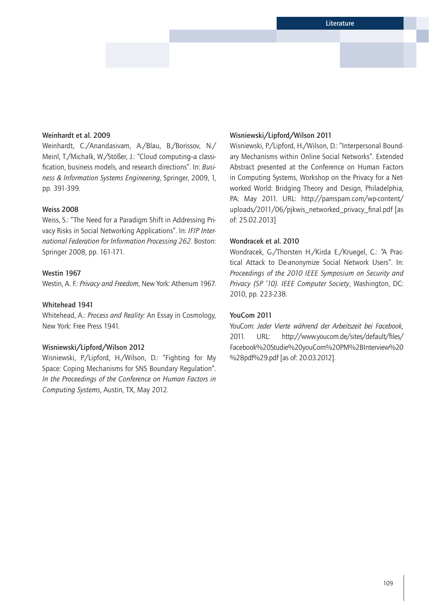## Weinhardt et al. 2009

Weinhardt, C./Anandasivam, A./Blau, B./Borissov, N./ Meinl, T./Michalk, W./Stößer, J.: "Cloud computing-a classification, business models, and research directions". In: *Business & Information Systems Engineering*, Springer, 2009, 1, pp. 391-399.

### Weiss 2008

Weiss, S.: "The Need for a Paradigm Shift in Addressing Privacy Risks in Social Networking Applications". In: *IFIP International Federation for Information Processing 262*. Boston: Springer 2008, pp. 161-171.

### Westin 1967

Westin, A. F.: *Privacy and Freedom*, New York: Athenum 1967.

#### Whitehead 1941

Whitehead, A.: *Process and Reality:* An Essay in Cosmology, New York: Free Press 1941.

## Wisniewski**/**Lipford**/**Wilson 2012

Wisniewski, P./Lipford, H./Wilson, D.: "Fighting for My Space: Coping Mechanisms for SNS Boundary Regulation". *In the Proceedings of the Conference on Human Factors in Computing Systems*, Austin, TX, May 2012.

### Wisniewski**/**Lipford**/**Wilson 2011

Wisniewski, P./Lipford, H./Wilson, D.: "Interpersonal Boundary Mechanisms within Online Social Networks". Extended Abstract presented at the Conference on Human Factors in Computing Systems, Workshop on the Privacy for a Networked World: Bridging Theory and Design, Philadelphia, PA: May 2011. URL: http://[pamspam.com](http://pamspam.com/wp-content/uploads/2011/06/pjkwis_networked_privacy_final.pdf)/wp-content/ uploads/2011/06/[pjkwis\\_networked\\_privacy\\_final.pdf](http://pamspam.com/wp-content/uploads/2011/06/pjkwis_networked_privacy_final.pdf) [as of: 25.02.2013]

#### Wondracek et al. 2010

Wondracek, G./Thorsten H./Kirda E./Kruegel, C.: "A Practical Attack to De-anonymize Social Network Users". In: *Proceedings of the 2010 IEEE Symposium on Security and Privacy (SP '10). IEEE Computer Society*, Washington, DC: 2010, pp. 223-238.

### YouCom 2011

YouCom: *Jeder Vierte während der Arbeitszeit bei Facebook,* 2011. URL: http://[www.youcom.de](http://www.youcom.de/sites/default/files/Facebook%20Studie%20youCom%20PM%2BInterview%20%28pdf%29.pdf)/sites/default/files/ [Facebook%20Studie%20youCom%20PM%2BInterview%20](http://www.youcom.de/sites/default/files/Facebook%20Studie%20youCom%20PM%2BInterview%20%28pdf%29.pdf) [%28pdf%29.pdf \[](http://www.youcom.de/sites/default/files/Facebook%20Studie%20youCom%20PM%2BInterview%20%28pdf%29.pdf)as of: 20.03.2012].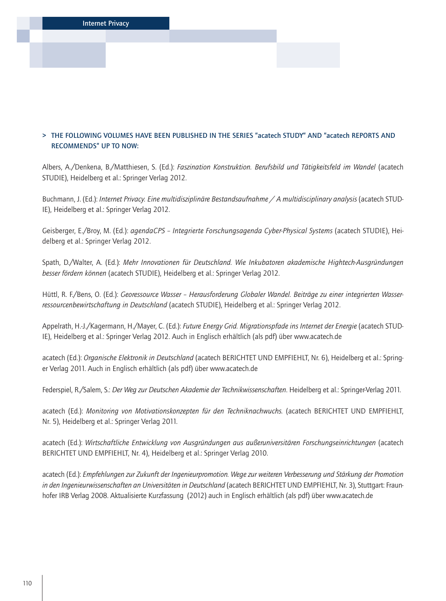Internet Privacy

# > THE FOLLOWING VOLUMES HAVE BEEN PUBLISHED IN THE SERIES "acatech STUDY" AND "acatech REPORTS AND RECOMMENDS" UP TO NOW:

Albers, A./Denkena, B./Matthiesen, S. (Ed.): *Faszination Konstruktion. Berufsbild und Tätigkeitsfeld im Wandel* (acatech STUDIE), Heidelberg et al.: Springer Verlag 2012.

Buchmann, J. (Ed.): *Internet Privacy. Eine multidisziplinäre Bestandsaufnahme / A multidisciplinary analysis* (acatech STUD-IE), Heidelberg et al.: Springer Verlag 2012.

Geisberger, E./Broy, M. (Ed.): *agendaCPS – Integrierte Forschungsagenda Cyber-Physical Systems* (acatech STUDIE), Heidelberg et al.: Springer Verlag 2012.

Spath, D./Walter, A. (Ed.): *Mehr Innovationen für Deutschland. Wie Inkubatoren akademische Hightech-Ausgründungen besser fördern können* (acatech STUDIE), Heidelberg et al.: Springer Verlag 2012.

Hüttl, R. F./Bens, O. (Ed.): *Georessource Wasser – Herausforderung Globaler Wandel. Beiträge zu einer integrierten Wasserressourcenbewirtschaftung in Deutschland* (acatech STUDIE), Heidelberg et al.: Springer Verlag 2012.

Appelrath, H.-J./Kagermann, H./Mayer, C. (Ed.): *Future Energy Grid. Migrationspfade ins Internet der Energie* (acatech STUD-IE), Heidelberg et al.: Springer Verlag 2012. Auch in Englisch erhältlich (als pdf) über www.acatech.de

acatech (Ed.): *Organische Elektronik in Deutschland* (acatech BERICHTET UND EMPFIEHLT, Nr. 6), Heidelberg et al.: Springer Verlag 2011. Auch in Englisch erhältlich (als pdf) über www.acatech.de

Federspiel, R./Salem, S.: *Der Weg zur Deutschen Akademie der Technikwissenschaften*. Heidelberg et al.: Springer-Verlag 2011.

acatech (Ed.): *Monitoring von Motivationskonzepten für den Techniknachwuchs.* (acatech BERICHTET UND EMPFIEHLT, Nr. 5), Heidelberg et al.: Springer Verlag 2011.

acatech (Ed.): *Wirtschaftliche Entwicklung von Ausgründungen aus außeruniversitären Forschungseinrichtungen* (acatech BERICHTET UND EMPFIEHLT, Nr. 4), Heidelberg et al.: Springer Verlag 2010.

acatech (Ed.): *Empfehlungen zur Zukunft der Ingenieurpromotion. Wege zur weiteren Verbesserung und Stärkung der Promotion in den Ingenieurwissenschaften an Universitäten in Deutschland* (acatech BERICHTET UND EMPFIEHLT, Nr. 3), Stuttgart: Fraunhofer IRB Verlag 2008. Aktualisierte Kurzfassung (2012) auch in Englisch erhältlich (als pdf) über www.acatech.de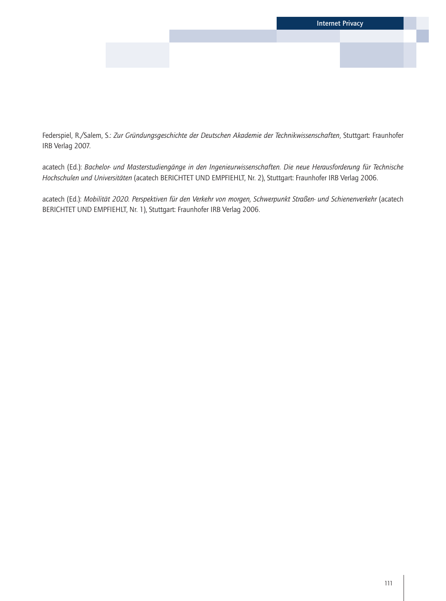Federspiel, R./Salem, S.: *Zur Gründungsgeschichte der Deutschen Akademie der Technikwissenschaften*, Stuttgart: Fraunhofer IRB Verlag 2007.

acatech (Ed.): *Bachelor- und Masterstudiengänge in den Ingenieurwissenschaften. Die neue Herausforderung für Technische Hochschulen und Universitäten* (acatech BERICHTET UND EMPFIEHLT, Nr. 2), Stuttgart: Fraunhofer IRB Verlag 2006.

acatech (Ed.): *Mobilität 2020. Perspektiven für den Verkehr von morgen, Schwerpunkt Straßen- und Schienenverkehr* (acatech BERICHTET UND EMPFIEHLT, Nr. 1), Stuttgart: Fraunhofer IRB Verlag 2006.